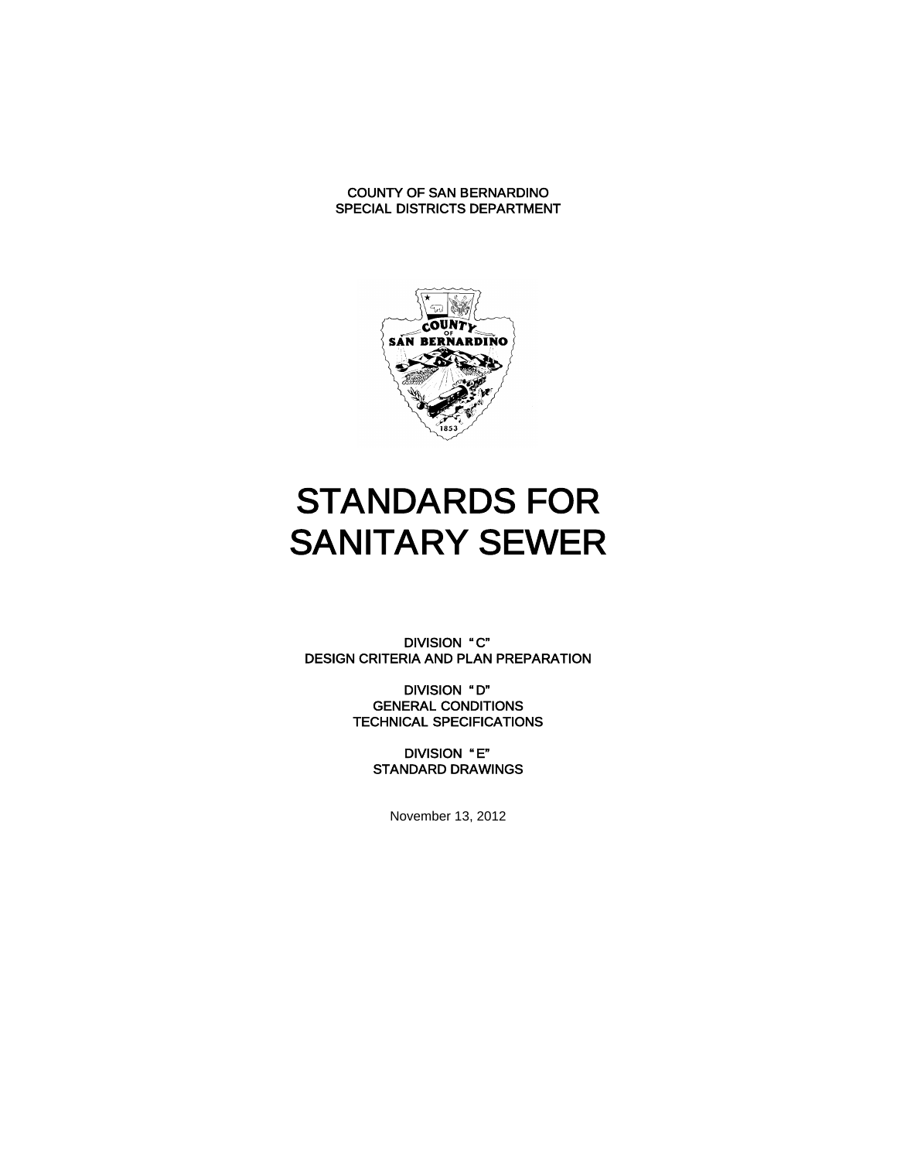

# STANDARDS FOR SANITARY SEWER

DIVISION "C" DESIGN CRITERIA AND PLAN PREPARATION

> DIVISION " D" GENERAL CONDITIONS TECHNICAL SPECIFICATIONS

> > DIVISION " E" STANDARD DRAWINGS

> > > November 13, 2012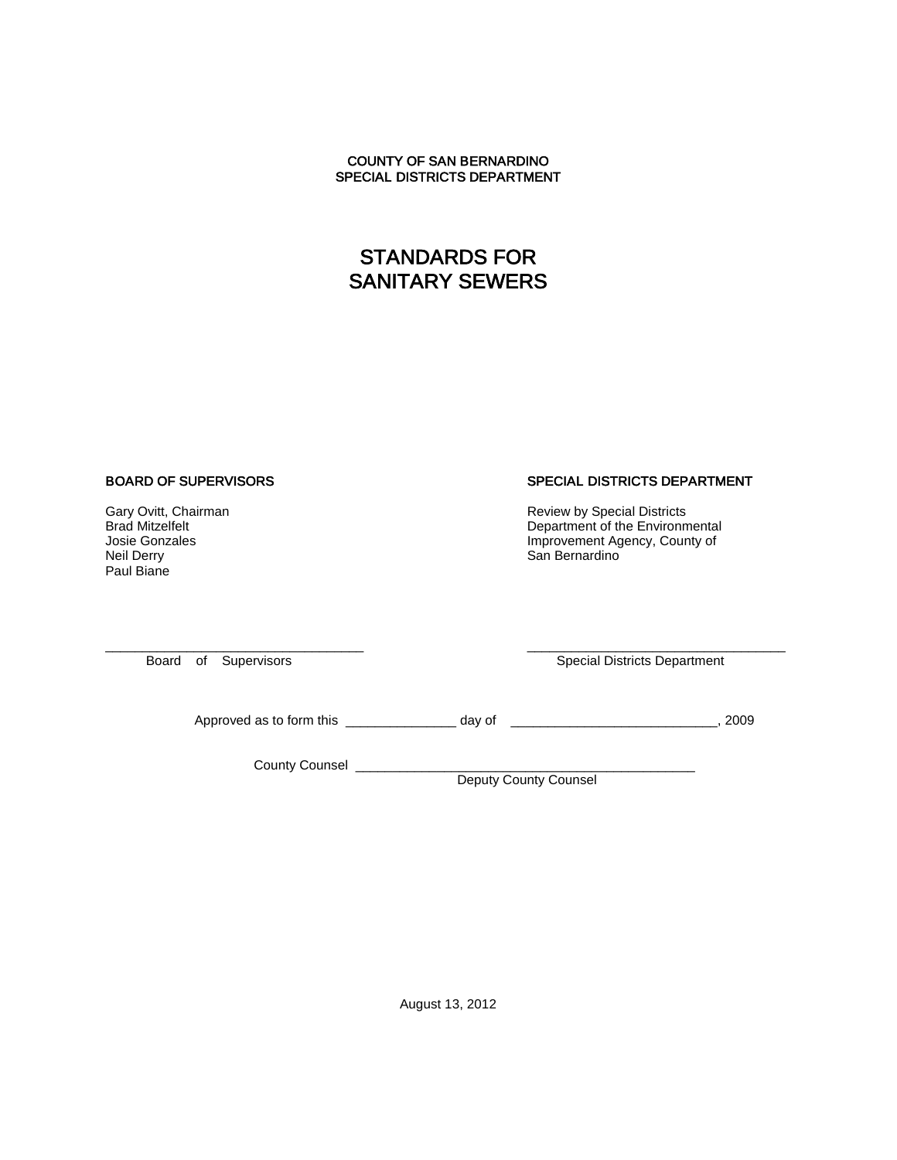# STANDARDS FOR SANITARY SEWERS

#### BOARD OF SUPERVISORS

Gary Ovitt, Chairman Brad Mitzelfelt Josie Gonzales Neil Derry Paul Biane

#### SPECIAL DISTRICTS DEPARTMENT

Review by Special Districts Department of the Environmental Improvement Agency, County of San Bernardino

\_\_\_\_\_\_\_\_\_\_\_\_\_\_\_\_\_\_\_\_\_\_\_\_\_\_\_\_\_\_\_\_\_\_\_ Board of Supervisors

\_\_\_\_\_\_\_\_\_\_\_\_\_\_\_\_\_\_\_\_\_\_\_\_\_\_\_\_\_\_\_\_\_\_\_ Special Districts Department

Approved as to form this \_\_\_\_\_\_\_\_\_\_\_\_\_\_\_\_\_\_\_\_ day of \_\_\_\_\_\_\_\_\_\_\_\_\_\_\_\_\_\_\_\_\_\_\_\_\_\_\_\_\_\_\_\_\_\_, 2009

County Counsel

Deputy County Counsel

August 13, 2012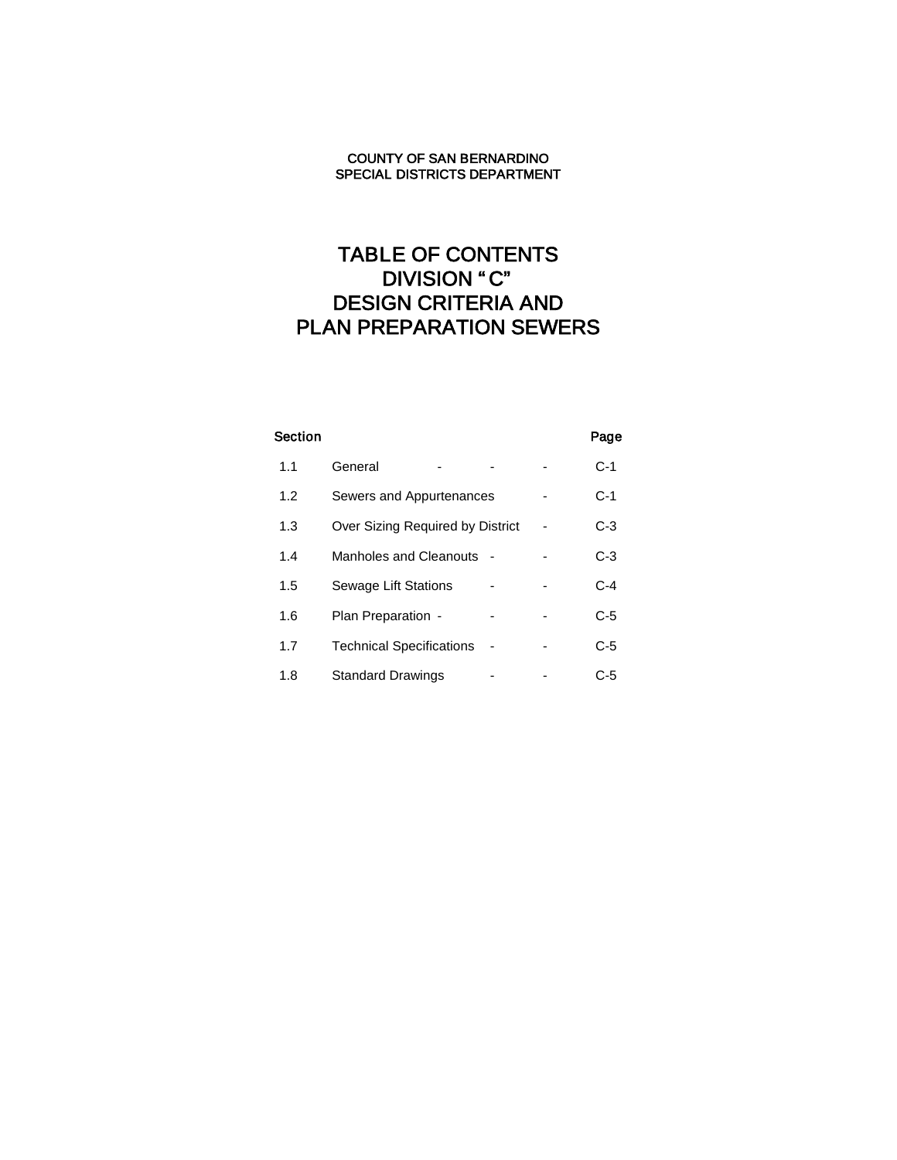# TABLE OF CONTENTS DIVISION "C" DESIGN CRITERIA AND PLAN PREPARATION SEWERS

| <b>Section</b> |                                  |  | Page  |
|----------------|----------------------------------|--|-------|
| 1.1            | General                          |  | $C-1$ |
| 1.2            | Sewers and Appurtenances         |  | $C-1$ |
| 1.3            | Over Sizing Required by District |  | $C-3$ |
| 1.4            | Manholes and Cleanouts           |  | $C-3$ |
| 1.5            | Sewage Lift Stations             |  | $C-4$ |
| 1.6            | Plan Preparation -               |  | $C-5$ |
| 1.7            | <b>Technical Specifications</b>  |  | $C-5$ |
| 1.8            | <b>Standard Drawings</b>         |  | C-5   |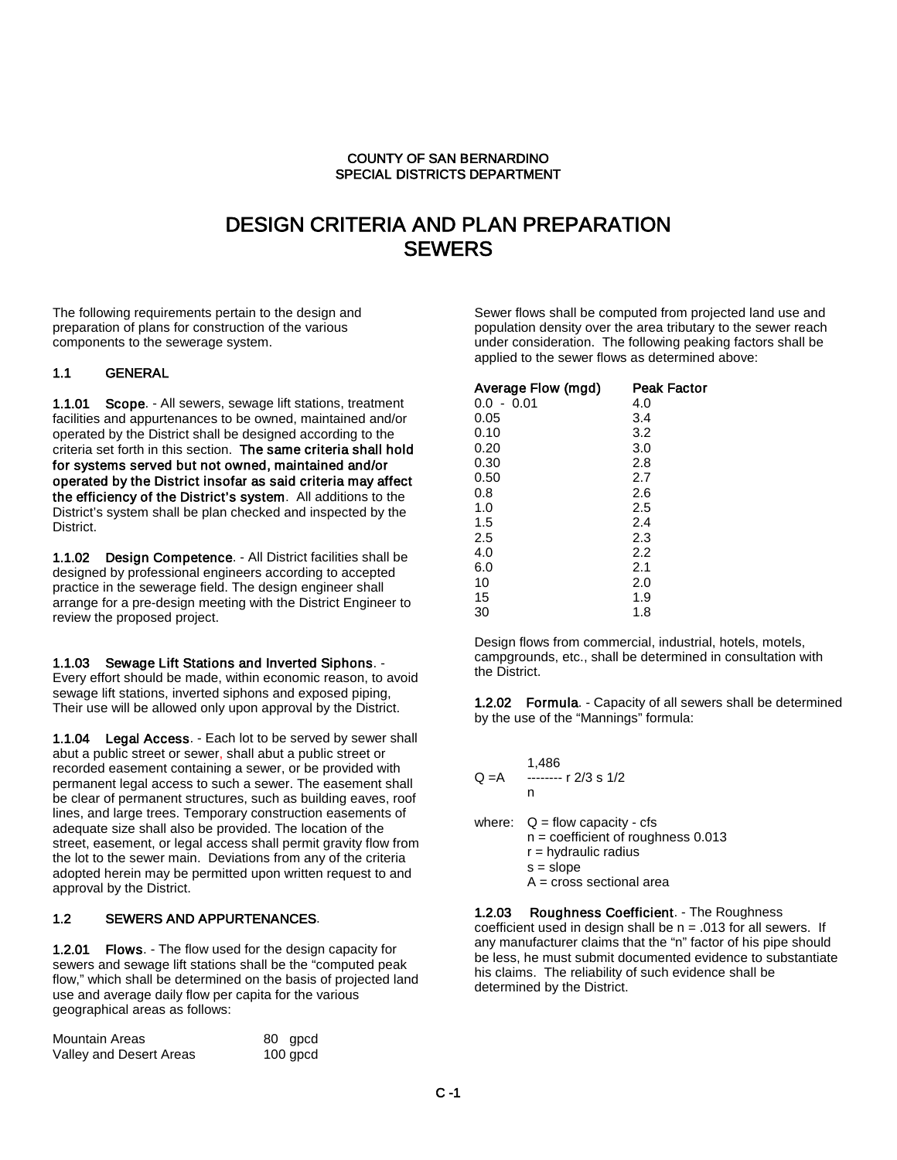## DESIGN CRITERIA AND PLAN PREPARATION **SEWERS**

The following requirements pertain to the design and preparation of plans for construction of the various components to the sewerage system.

#### 1.1 GENERAL

1.1.01 Scope. - All sewers, sewage lift stations, treatment facilities and appurtenances to be owned, maintained and/or operated by the District shall be designed according to the criteria set forth in this section. The same criteria shall hold for systems served but not owned, maintained and/or operated by the District insofar as said criteria may affect the efficiency of the District's system. All additions to the District's system shall be plan checked and inspected by the District.

1.1.02 Design Competence. - All District facilities shall be designed by professional engineers according to accepted practice in the sewerage field. The design engineer shall arrange for a pre-design meeting with the District Engineer to review the proposed project.

#### 1.1.03 Sewage Lift Stations and Inverted Siphons. -

Every effort should be made, within economic reason, to avoid sewage lift stations, inverted siphons and exposed piping, Their use will be allowed only upon approval by the District.

1.1.04 Legal Access. - Each lot to be served by sewer shall abut a public street or sewer, shall abut a public street or recorded easement containing a sewer, or be provided with permanent legal access to such a sewer. The easement shall be clear of permanent structures, such as building eaves, roof lines, and large trees. Temporary construction easements of adequate size shall also be provided. The location of the street, easement, or legal access shall permit gravity flow from the lot to the sewer main. Deviations from any of the criteria adopted herein may be permitted upon written request to and approval by the District.

#### 1.2 SEWERS AND APPURTENANCES.

1.2.01 Flows. - The flow used for the design capacity for sewers and sewage lift stations shall be the "computed peak flow," which shall be determined on the basis of projected land use and average daily flow per capita for the various geographical areas as follows:

| Mountain Areas          | 80 gpcd    |
|-------------------------|------------|
| Valley and Desert Areas | $100$ gpcd |

Sewer flows shall be computed from projected land use and population density over the area tributary to the sewer reach under consideration. The following peaking factors shall be applied to the sewer flows as determined above:

| Average Flow (mgd) | Peak Factor |
|--------------------|-------------|
| $0.0 - 0.01$       | 4.0         |
| 0.05               | 3.4         |
| 0.10               | 3.2         |
| 0.20               | 3.0         |
| 0.30               | 2.8         |
| 0.50               | 2.7         |
| 0.8                | 2.6         |
| 1.0                | 2.5         |
| 1.5                | 2.4         |
| 2.5                | 2.3         |
| 4.0                | 2.2         |
| 6.0                | 2.1         |
| 10                 | 2.0         |
| 15                 | 1.9         |
| 30                 | 1.8         |

Design flows from commercial, industrial, hotels, motels, campgrounds, etc., shall be determined in consultation with the District.

1.2.02 Formula. - Capacity of all sewers shall be determined by the use of the "Mannings" formula:

| Q =A | 1,486<br>$---$ r 2/3 s 1/2<br>n                                                                                                                 |
|------|-------------------------------------------------------------------------------------------------------------------------------------------------|
|      | where: $Q = flow$ capacity - cfs<br>$n =$ coefficient of roughness 0.013<br>$r =$ hydraulic radius<br>$s = slope$<br>$A = cross sectional area$ |

1.2.03 Roughness Coefficient. - The Roughness coefficient used in design shall be  $n = .013$  for all sewers. If any manufacturer claims that the "n" factor of his pipe should be less, he must submit documented evidence to substantiate his claims. The reliability of such evidence shall be determined by the District.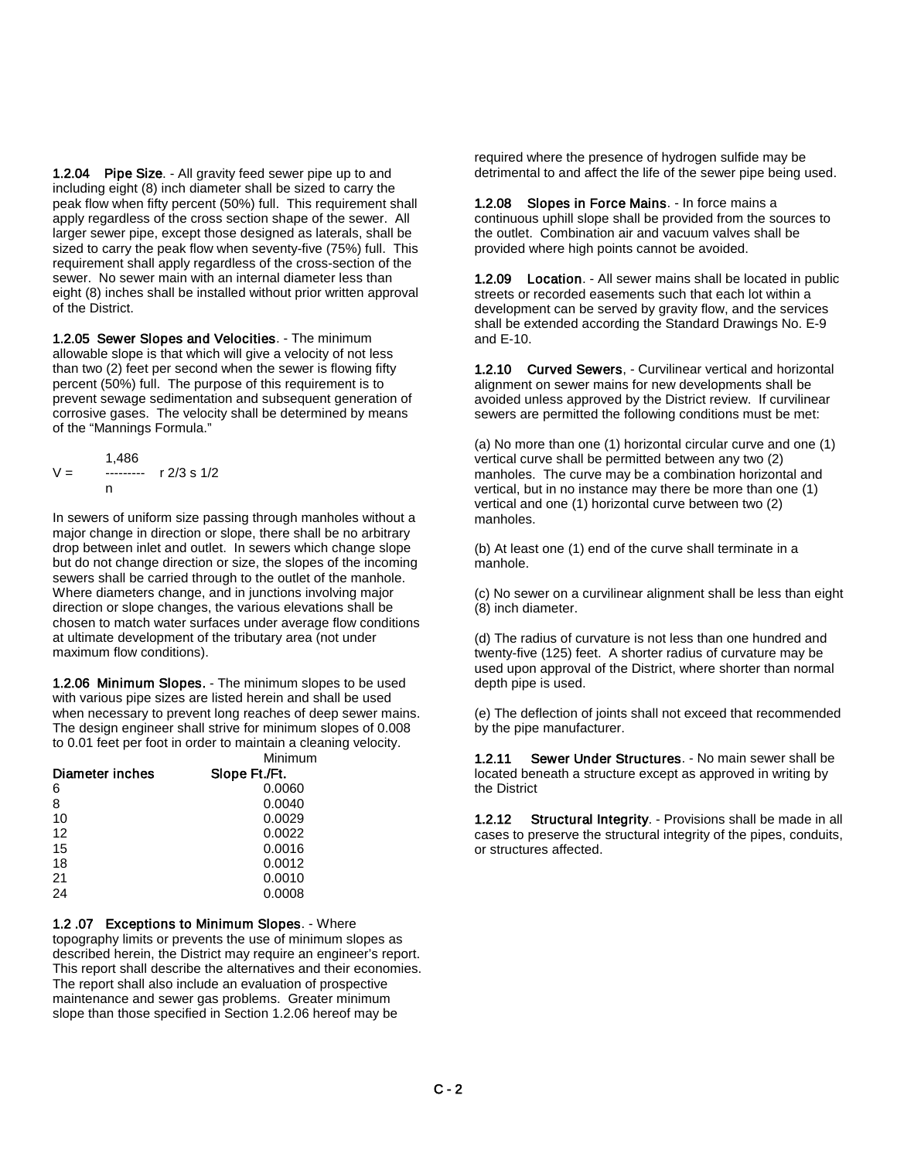1.2.04 Pipe Size. - All gravity feed sewer pipe up to and including eight (8) inch diameter shall be sized to carry the peak flow when fifty percent (50%) full. This requirement shall apply regardless of the cross section shape of the sewer. All larger sewer pipe, except those designed as laterals, shall be sized to carry the peak flow when seventy-five (75%) full. This requirement shall apply regardless of the cross-section of the sewer. No sewer main with an internal diameter less than eight (8) inches shall be installed without prior written approval of the District.

1.2.05 Sewer Slopes and Velocities. - The minimum allowable slope is that which will give a velocity of not less than two (2) feet per second when the sewer is flowing fifty percent (50%) full. The purpose of this requirement is to prevent sewage sedimentation and subsequent generation of corrosive gases. The velocity shall be determined by means of the "Mannings Formula."

$$
V = \begin{array}{c} 1,486 \\ \text{---} \\ n \end{array} \quad r \, 2/3 \, s \, 1/2
$$

In sewers of uniform size passing through manholes without a major change in direction or slope, there shall be no arbitrary drop between inlet and outlet. In sewers which change slope but do not change direction or size, the slopes of the incoming sewers shall be carried through to the outlet of the manhole. Where diameters change, and in junctions involving major direction or slope changes, the various elevations shall be chosen to match water surfaces under average flow conditions at ultimate development of the tributary area (not under maximum flow conditions).

1.2.06 Minimum Slopes. - The minimum slopes to be used with various pipe sizes are listed herein and shall be used when necessary to prevent long reaches of deep sewer mains. The design engineer shall strive for minimum slopes of 0.008 to 0.01 feet per foot in order to maintain a cleaning velocity. Minimum

|                 | ,,,,,,,,,,,,,,, |
|-----------------|-----------------|
| Diameter inches | Slope Ft./Ft.   |
| 6               | 0.0060          |
| 8               | 0.0040          |
| 10              | 0.0029          |
| 12              | 0.0022          |
| 15              | 0.0016          |
| 18              | 0.0012          |
| 21              | 0.0010          |
| 24              | 0.0008          |
|                 |                 |

#### 1.2 .07 Exceptions to Minimum Slopes. - Where

topography limits or prevents the use of minimum slopes as described herein, the District may require an engineer's report. This report shall describe the alternatives and their economies. The report shall also include an evaluation of prospective maintenance and sewer gas problems. Greater minimum slope than those specified in Section 1.2.06 hereof may be

required where the presence of hydrogen sulfide may be detrimental to and affect the life of the sewer pipe being used.

1.2.08 Slopes in Force Mains. - In force mains a continuous uphill slope shall be provided from the sources to the outlet. Combination air and vacuum valves shall be provided where high points cannot be avoided.

1.2.09 Location. - All sewer mains shall be located in public streets or recorded easements such that each lot within a development can be served by gravity flow, and the services shall be extended according the Standard Drawings No. E-9 and E-10.

1.2.10 Curved Sewers, - Curvilinear vertical and horizontal alignment on sewer mains for new developments shall be avoided unless approved by the District review. If curvilinear sewers are permitted the following conditions must be met:

(a) No more than one (1) horizontal circular curve and one (1) vertical curve shall be permitted between any two (2) manholes. The curve may be a combination horizontal and vertical, but in no instance may there be more than one (1) vertical and one (1) horizontal curve between two (2) manholes.

(b) At least one (1) end of the curve shall terminate in a manhole.

(c) No sewer on a curvilinear alignment shall be less than eight (8) inch diameter.

(d) The radius of curvature is not less than one hundred and twenty-five (125) feet. A shorter radius of curvature may be used upon approval of the District, where shorter than normal depth pipe is used.

(e) The deflection of joints shall not exceed that recommended by the pipe manufacturer.

1.2.11 Sewer Under Structures. - No main sewer shall be located beneath a structure except as approved in writing by the District

1.2.12 Structural Integrity. - Provisions shall be made in all cases to preserve the structural integrity of the pipes, conduits, or structures affected.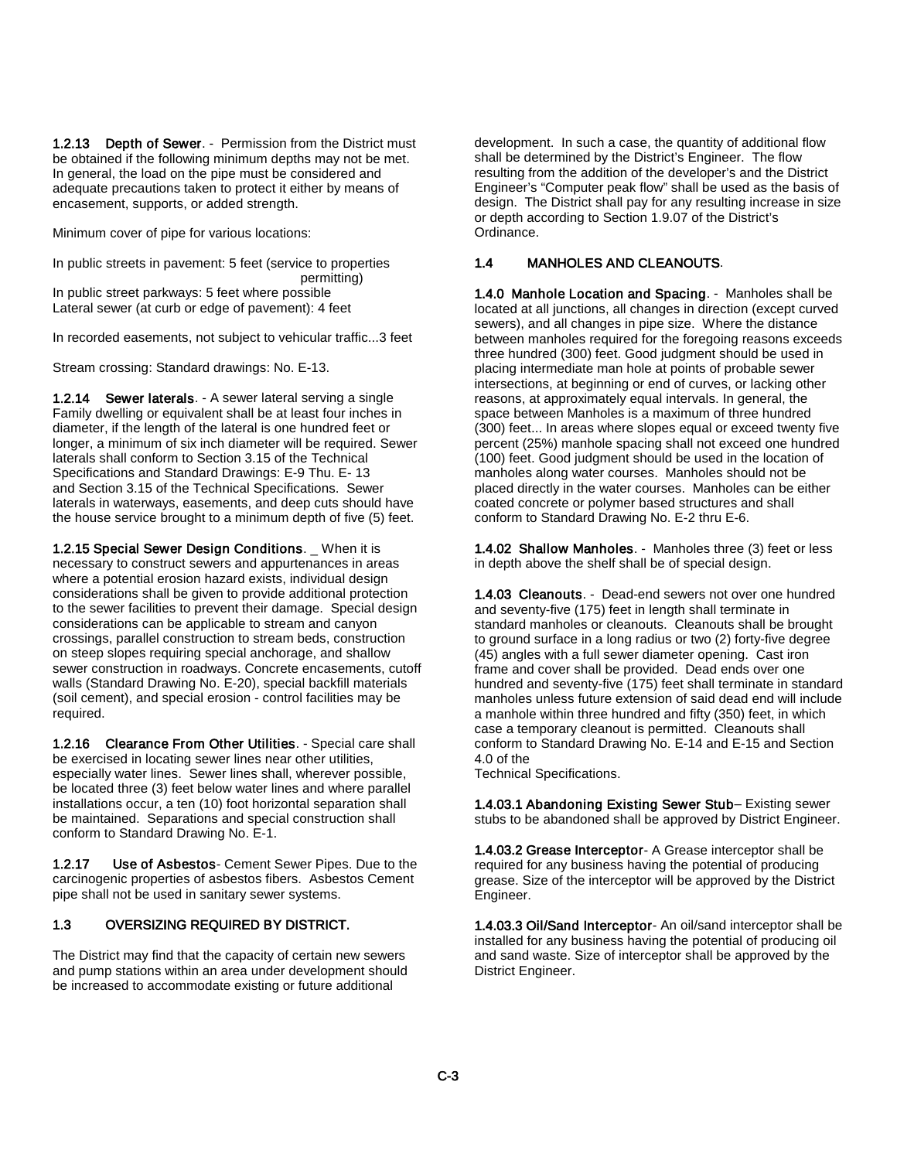1.2.13 Depth of Sewer. - Permission from the District must be obtained if the following minimum depths may not be met. In general, the load on the pipe must be considered and adequate precautions taken to protect it either by means of encasement, supports, or added strength.

Minimum cover of pipe for various locations:

In public streets in pavement: 5 feet (service to properties permitting) In public street parkways: 5 feet where possible Lateral sewer (at curb or edge of pavement): 4 feet

In recorded easements, not subject to vehicular traffic...3 feet

Stream crossing: Standard drawings: No. E-13.

1.2.14 Sewer laterals. - A sewer lateral serving a single Family dwelling or equivalent shall be at least four inches in diameter, if the length of the lateral is one hundred feet or longer, a minimum of six inch diameter will be required. Sewer laterals shall conform to Section 3.15 of the Technical Specifications and Standard Drawings: E-9 Thu. E- 13 and Section 3.15 of the Technical Specifications. Sewer laterals in waterways, easements, and deep cuts should have the house service brought to a minimum depth of five (5) feet.

1.2.15 Special Sewer Design Conditions. \_ When it is necessary to construct sewers and appurtenances in areas where a potential erosion hazard exists, individual design considerations shall be given to provide additional protection to the sewer facilities to prevent their damage. Special design considerations can be applicable to stream and canyon crossings, parallel construction to stream beds, construction on steep slopes requiring special anchorage, and shallow sewer construction in roadways. Concrete encasements, cutoff walls (Standard Drawing No. E-20), special backfill materials (soil cement), and special erosion - control facilities may be required.

1.2.16 Clearance From Other Utilities. - Special care shall be exercised in locating sewer lines near other utilities, especially water lines. Sewer lines shall, wherever possible, be located three (3) feet below water lines and where parallel installations occur, a ten (10) foot horizontal separation shall be maintained. Separations and special construction shall conform to Standard Drawing No. E-1.

1.2.17 Use of Asbestos- Cement Sewer Pipes. Due to the carcinogenic properties of asbestos fibers. Asbestos Cement pipe shall not be used in sanitary sewer systems.

#### 1.3 OVERSIZING REQUIRED BY DISTRICT.

The District may find that the capacity of certain new sewers and pump stations within an area under development should be increased to accommodate existing or future additional

development. In such a case, the quantity of additional flow shall be determined by the District's Engineer. The flow resulting from the addition of the developer's and the District Engineer's "Computer peak flow" shall be used as the basis of design. The District shall pay for any resulting increase in size or depth according to Section 1.9.07 of the District's Ordinance.

#### 1.4 MANHOLES AND CLEANOUTS.

1.4.0 Manhole Location and Spacing. - Manholes shall be located at all junctions, all changes in direction (except curved sewers), and all changes in pipe size. Where the distance between manholes required for the foregoing reasons exceeds three hundred (300) feet. Good judgment should be used in placing intermediate man hole at points of probable sewer intersections, at beginning or end of curves, or lacking other reasons, at approximately equal intervals. In general, the space between Manholes is a maximum of three hundred (300) feet... In areas where slopes equal or exceed twenty five percent (25%) manhole spacing shall not exceed one hundred (100) feet. Good judgment should be used in the location of manholes along water courses. Manholes should not be placed directly in the water courses. Manholes can be either coated concrete or polymer based structures and shall conform to Standard Drawing No. E-2 thru E-6.

1.4.02 Shallow Manholes. - Manholes three (3) feet or less in depth above the shelf shall be of special design.

1.4.03 Cleanouts. - Dead-end sewers not over one hundred and seventy-five (175) feet in length shall terminate in standard manholes or cleanouts. Cleanouts shall be brought to ground surface in a long radius or two (2) forty-five degree (45) angles with a full sewer diameter opening. Cast iron frame and cover shall be provided. Dead ends over one hundred and seventy-five (175) feet shall terminate in standard manholes unless future extension of said dead end will include a manhole within three hundred and fifty (350) feet, in which case a temporary cleanout is permitted. Cleanouts shall conform to Standard Drawing No. E-14 and E-15 and Section 4.0 of the

Technical Specifications.

1.4.03.1 Abandoning Existing Sewer Stub– Existing sewer stubs to be abandoned shall be approved by District Engineer.

1.4.03.2 Grease Interceptor- A Grease interceptor shall be required for any business having the potential of producing grease. Size of the interceptor will be approved by the District Engineer.

1.4.03.3 Oil/Sand Interceptor- An oil/sand interceptor shall be installed for any business having the potential of producing oil and sand waste. Size of interceptor shall be approved by the District Engineer.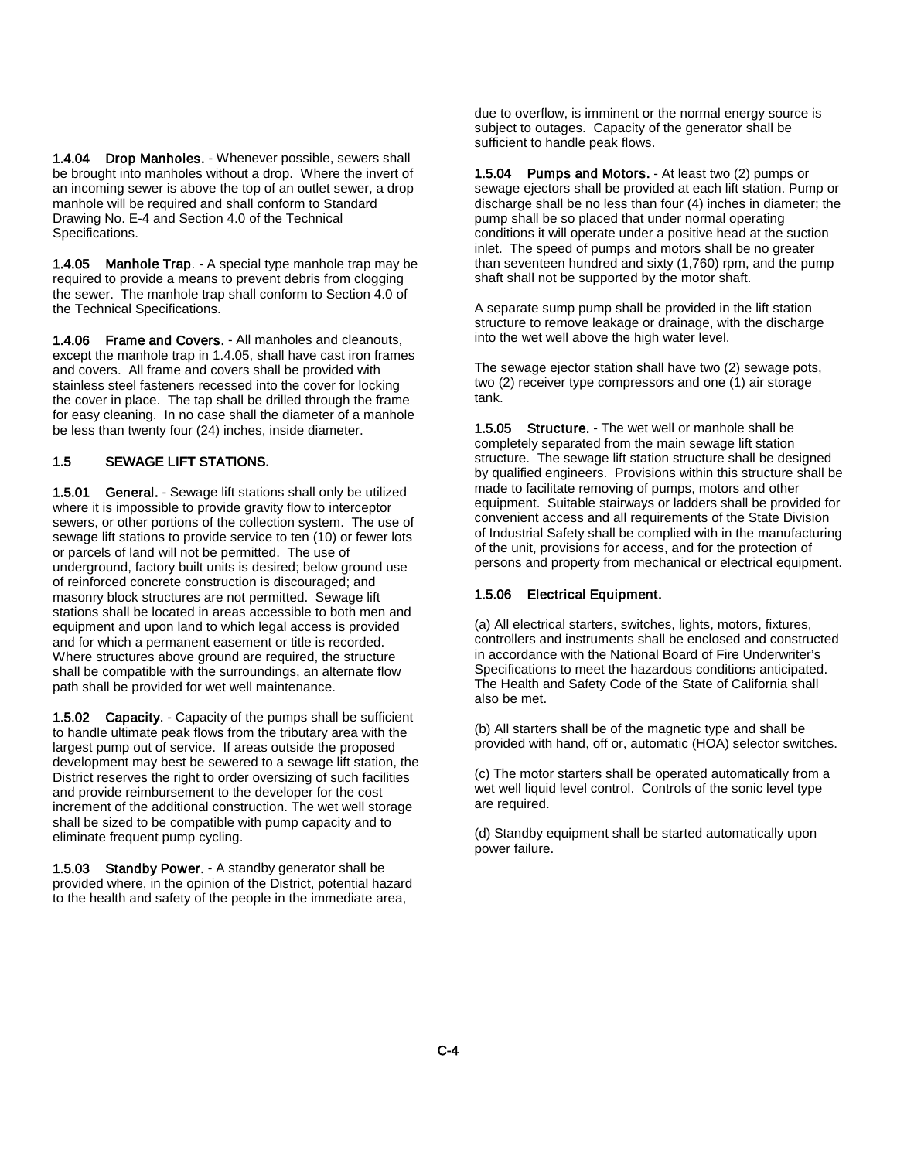1.4.04 Drop Manholes. - Whenever possible, sewers shall be brought into manholes without a drop. Where the invert of an incoming sewer is above the top of an outlet sewer, a drop manhole will be required and shall conform to Standard Drawing No. E-4 and Section 4.0 of the Technical Specifications.

1.4.05 Manhole Trap. - A special type manhole trap may be required to provide a means to prevent debris from clogging the sewer. The manhole trap shall conform to Section 4.0 of the Technical Specifications.

1.4.06 Frame and Covers. - All manholes and cleanouts, except the manhole trap in 1.4.05, shall have cast iron frames and covers. All frame and covers shall be provided with stainless steel fasteners recessed into the cover for locking the cover in place. The tap shall be drilled through the frame for easy cleaning. In no case shall the diameter of a manhole be less than twenty four (24) inches, inside diameter.

#### 1.5 SEWAGE LIFT STATIONS.

1.5.01 General. - Sewage lift stations shall only be utilized where it is impossible to provide gravity flow to interceptor sewers, or other portions of the collection system. The use of sewage lift stations to provide service to ten (10) or fewer lots or parcels of land will not be permitted. The use of underground, factory built units is desired; below ground use of reinforced concrete construction is discouraged; and masonry block structures are not permitted. Sewage lift stations shall be located in areas accessible to both men and equipment and upon land to which legal access is provided and for which a permanent easement or title is recorded. Where structures above ground are required, the structure shall be compatible with the surroundings, an alternate flow path shall be provided for wet well maintenance.

1.5.02 Capacity. - Capacity of the pumps shall be sufficient to handle ultimate peak flows from the tributary area with the largest pump out of service. If areas outside the proposed development may best be sewered to a sewage lift station, the District reserves the right to order oversizing of such facilities and provide reimbursement to the developer for the cost increment of the additional construction. The wet well storage shall be sized to be compatible with pump capacity and to eliminate frequent pump cycling.

1.5.03 Standby Power. - A standby generator shall be provided where, in the opinion of the District, potential hazard to the health and safety of the people in the immediate area,

due to overflow, is imminent or the normal energy source is subject to outages. Capacity of the generator shall be sufficient to handle peak flows.

1.5.04 Pumps and Motors. - At least two (2) pumps or sewage ejectors shall be provided at each lift station. Pump or discharge shall be no less than four (4) inches in diameter; the pump shall be so placed that under normal operating conditions it will operate under a positive head at the suction inlet. The speed of pumps and motors shall be no greater than seventeen hundred and sixty (1,760) rpm, and the pump shaft shall not be supported by the motor shaft.

A separate sump pump shall be provided in the lift station structure to remove leakage or drainage, with the discharge into the wet well above the high water level.

The sewage ejector station shall have two (2) sewage pots, two (2) receiver type compressors and one (1) air storage tank.

1.5.05 Structure. - The wet well or manhole shall be completely separated from the main sewage lift station structure. The sewage lift station structure shall be designed by qualified engineers. Provisions within this structure shall be made to facilitate removing of pumps, motors and other equipment. Suitable stairways or ladders shall be provided for convenient access and all requirements of the State Division of Industrial Safety shall be complied with in the manufacturing of the unit, provisions for access, and for the protection of persons and property from mechanical or electrical equipment.

#### 1.5.06 Electrical Equipment.

(a) All electrical starters, switches, lights, motors, fixtures, controllers and instruments shall be enclosed and constructed in accordance with the National Board of Fire Underwriter's Specifications to meet the hazardous conditions anticipated. The Health and Safety Code of the State of California shall also be met.

(b) All starters shall be of the magnetic type and shall be provided with hand, off or, automatic (HOA) selector switches.

(c) The motor starters shall be operated automatically from a wet well liquid level control. Controls of the sonic level type are required.

(d) Standby equipment shall be started automatically upon power failure.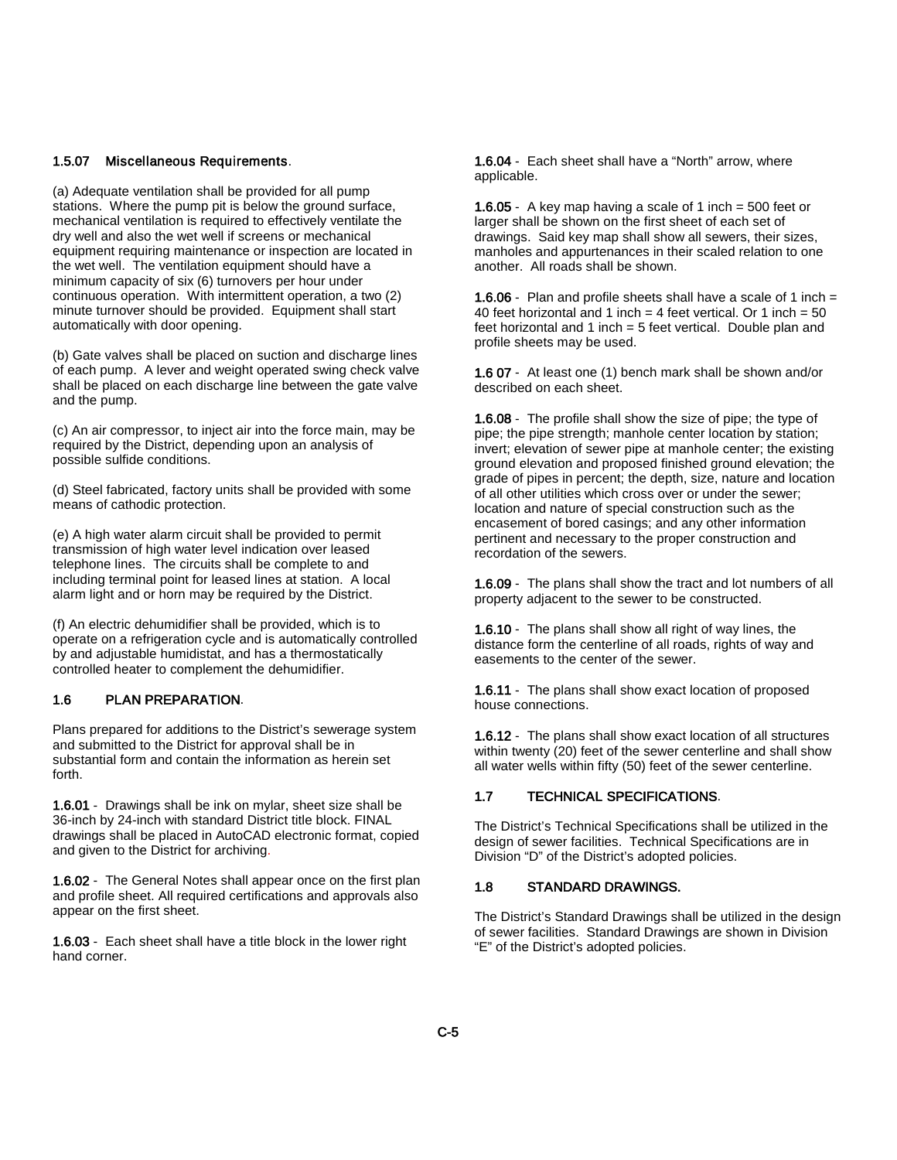#### 1.5.07 Miscellaneous Requirements.

(a) Adequate ventilation shall be provided for all pump stations. Where the pump pit is below the ground surface, mechanical ventilation is required to effectively ventilate the dry well and also the wet well if screens or mechanical equipment requiring maintenance or inspection are located in the wet well. The ventilation equipment should have a minimum capacity of six (6) turnovers per hour under continuous operation. With intermittent operation, a two (2) minute turnover should be provided. Equipment shall start automatically with door opening.

(b) Gate valves shall be placed on suction and discharge lines of each pump. A lever and weight operated swing check valve shall be placed on each discharge line between the gate valve and the pump.

(c) An air compressor, to inject air into the force main, may be required by the District, depending upon an analysis of possible sulfide conditions.

(d) Steel fabricated, factory units shall be provided with some means of cathodic protection.

(e) A high water alarm circuit shall be provided to permit transmission of high water level indication over leased telephone lines. The circuits shall be complete to and including terminal point for leased lines at station. A local alarm light and or horn may be required by the District.

(f) An electric dehumidifier shall be provided, which is to operate on a refrigeration cycle and is automatically controlled by and adjustable humidistat, and has a thermostatically controlled heater to complement the dehumidifier.

#### 1.6 PLAN PREPARATION.

Plans prepared for additions to the District's sewerage system and submitted to the District for approval shall be in substantial form and contain the information as herein set forth.

1.6.01 - Drawings shall be ink on mylar, sheet size shall be 36-inch by 24-inch with standard District title block. FINAL drawings shall be placed in AutoCAD electronic format, copied and given to the District for archiving.

1.6.02 - The General Notes shall appear once on the first plan and profile sheet. All required certifications and approvals also appear on the first sheet.

1.6.03 - Each sheet shall have a title block in the lower right hand corner.

1.6.04 - Each sheet shall have a "North" arrow, where applicable.

1.6.05 - A key map having a scale of 1 inch = 500 feet or larger shall be shown on the first sheet of each set of drawings. Said key map shall show all sewers, their sizes, manholes and appurtenances in their scaled relation to one another. All roads shall be shown.

1.6.06 - Plan and profile sheets shall have a scale of 1 inch = 40 feet horizontal and 1 inch = 4 feet vertical. Or 1 inch =  $50$ feet horizontal and 1 inch = 5 feet vertical. Double plan and profile sheets may be used.

1.6 07 - At least one (1) bench mark shall be shown and/or described on each sheet.

1.6.08 - The profile shall show the size of pipe; the type of pipe; the pipe strength; manhole center location by station; invert; elevation of sewer pipe at manhole center; the existing ground elevation and proposed finished ground elevation; the grade of pipes in percent; the depth, size, nature and location of all other utilities which cross over or under the sewer; location and nature of special construction such as the encasement of bored casings; and any other information pertinent and necessary to the proper construction and recordation of the sewers.

1.6.09 - The plans shall show the tract and lot numbers of all property adjacent to the sewer to be constructed.

1.6.10 - The plans shall show all right of way lines, the distance form the centerline of all roads, rights of way and easements to the center of the sewer.

1.6.11 - The plans shall show exact location of proposed house connections.

1.6.12 - The plans shall show exact location of all structures within twenty (20) feet of the sewer centerline and shall show all water wells within fifty (50) feet of the sewer centerline.

#### 1.7 TECHNICAL SPECIFICATIONS.

The District's Technical Specifications shall be utilized in the design of sewer facilities. Technical Specifications are in Division "D" of the District's adopted policies.

#### 1.8 STANDARD DRAWINGS.

The District's Standard Drawings shall be utilized in the design of sewer facilities. Standard Drawings are shown in Division "E" of the District's adopted policies.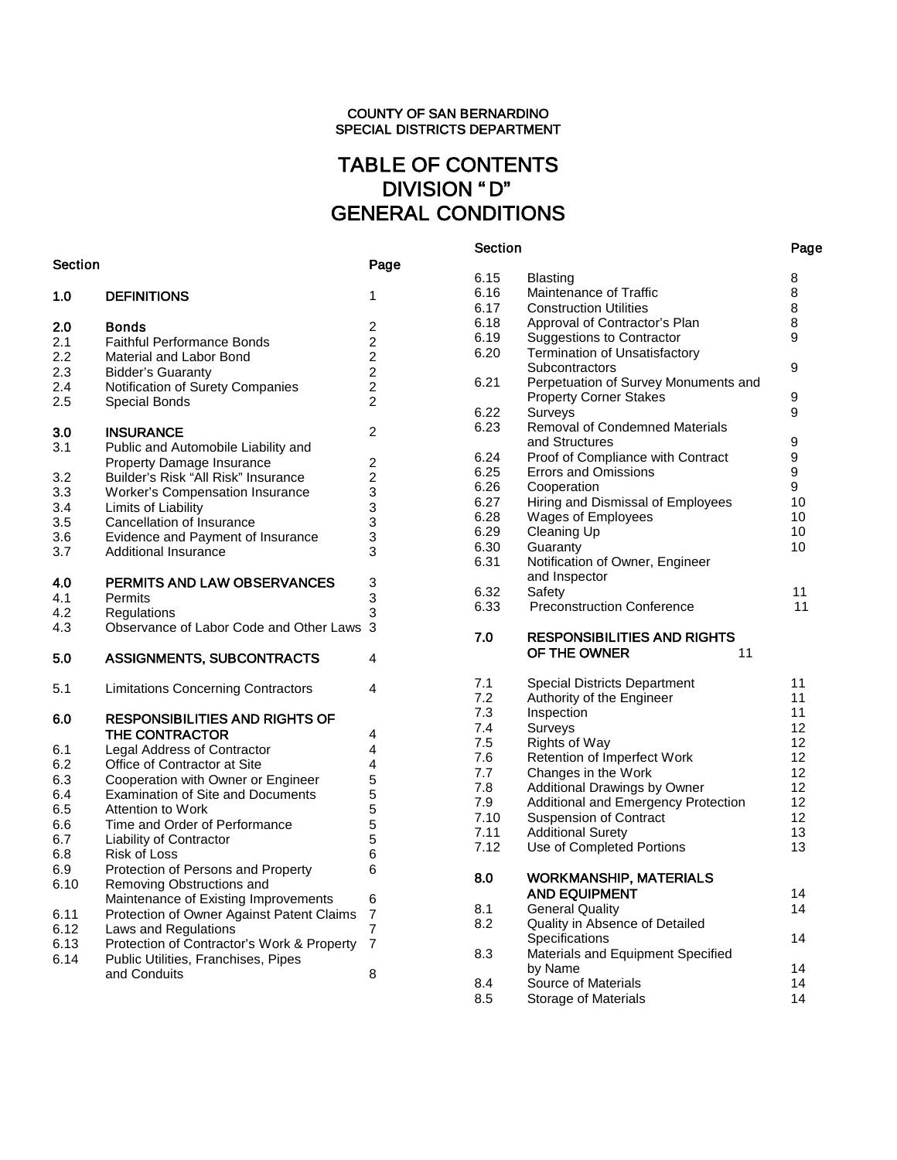# TABLE OF CONTENTS DIVISION " D" GENERAL CONDITIONS

Section Page

| Section |                                            | Page           |
|---------|--------------------------------------------|----------------|
| 1.0     | <b>DEFINITIONS</b>                         | 1              |
| 2.0     | Bonds                                      | 2              |
| 2.1     | <b>Faithful Performance Bonds</b>          | $\overline{2}$ |
| 2.2     | Material and Labor Bond                    | $\overline{c}$ |
| 2.3     | <b>Bidder's Guaranty</b>                   | $\overline{c}$ |
| 2.4     | Notification of Surety Companies           | $\overline{c}$ |
| 2.5     | Special Bonds                              | $\overline{2}$ |
| 3.0     | <b>INSURANCE</b>                           | $\overline{2}$ |
| 3.1     | Public and Automobile Liability and        |                |
|         | Property Damage Insurance                  | $\overline{c}$ |
| 3.2     | Builder's Risk "All Risk" Insurance        | $\overline{c}$ |
| 3.3     | <b>Worker's Compensation Insurance</b>     | 3              |
| 3.4     | Limits of Liability                        |                |
| 3.5     | Cancellation of Insurance                  | $\frac{3}{3}$  |
| 3.6     | Evidence and Payment of Insurance          | 3              |
| 3.7     | <b>Additional Insurance</b>                | 3              |
| 4.0     | PERMITS AND LAW OBSERVANCES                | 3              |
|         |                                            | 3              |
| 4.1     | Permits                                    |                |
| 4.2     | Regulations                                | 3              |
| 4.3     | Observance of Labor Code and Other Laws    | 3              |
| 5.0     | <b>ASSIGNMENTS, SUBCONTRACTS</b>           | 4              |
| 5.1     | <b>Limitations Concerning Contractors</b>  | 4              |
| 6.0     | <b>RESPONSIBILITIES AND RIGHTS OF</b>      |                |
|         | THE CONTRACTOR                             | 4              |
| 6.1     | <b>Legal Address of Contractor</b>         | 4              |
| 6.2     | Office of Contractor at Site               | 4              |
| 6.3     | Cooperation with Owner or Engineer         | 5              |
| 6.4     | <b>Examination of Site and Documents</b>   | 5              |
| 6.5     | <b>Attention to Work</b>                   | 5              |
| 6.6     | Time and Order of Performance              | 5              |
| 6.7     | Liability of Contractor                    | 5              |
| 6.8     | <b>Risk of Loss</b>                        | 6              |
| 6.9     | Protection of Persons and Property         | 6              |
| 6.10    | Removing Obstructions and                  |                |
|         | Maintenance of Existing Improvements       | 6              |
| 6.11    | Protection of Owner Against Patent Claims  | 7              |
| 6.12    | Laws and Regulations                       | 7              |
| 6.13    | Protection of Contractor's Work & Property | 7              |
| 6.14    | Public Utilities, Franchises, Pipes        |                |
|         |                                            |                |
|         | and Conduits                               | 8              |

| 6.15 | <b>Blasting</b>                       | 8               |
|------|---------------------------------------|-----------------|
| 6.16 | Maintenance of Traffic                | 8               |
| 6.17 | <b>Construction Utilities</b>         | 8               |
| 6.18 | Approval of Contractor's Plan         | 8               |
| 6.19 | <b>Suggestions to Contractor</b>      | 9               |
| 6.20 | <b>Termination of Unsatisfactory</b>  |                 |
|      | Subcontractors                        | 9               |
| 6.21 | Perpetuation of Survey Monuments and  |                 |
|      | <b>Property Corner Stakes</b>         | 9               |
| 6.22 | Surveys                               | 9               |
| 6.23 | <b>Removal of Condemned Materials</b> |                 |
|      | and Structures                        | 9               |
| 6.24 | Proof of Compliance with Contract     | 9               |
| 6.25 | <b>Errors and Omissions</b>           | 9               |
| 6.26 | Cooperation                           | 9               |
| 6.27 | Hiring and Dismissal of Employees     | 10              |
| 6.28 | <b>Wages of Employees</b>             | 10              |
| 6.29 | <b>Cleaning Up</b>                    | 10              |
| 6.30 | Guaranty                              | 10              |
| 6.31 | Notification of Owner, Engineer       |                 |
|      | and Inspector                         |                 |
| 6.32 | Safety                                | 11              |
| 6.33 | <b>Preconstruction Conference</b>     | 11              |
|      |                                       |                 |
| 7.0  | <b>RESPONSIBILITIES AND RIGHTS</b>    |                 |
|      | OF THE OWNER<br>11                    |                 |
| 7.1  | <b>Special Districts Department</b>   | 11              |
| 7.2  | Authority of the Engineer             | 11              |
| 7.3  | Inspection                            | 11              |
| 7.4  | Surveys                               | 12              |
| 7.5  | <b>Rights of Way</b>                  | 12              |
| 7.6  | Retention of Imperfect Work           | 12              |
| 7.7  | Changes in the Work                   | 12              |
| 7.8  | Additional Drawings by Owner          | 12 <sup>2</sup> |
| 7.9  | Additional and Emergency Protection   | 12              |
| 7.10 | <b>Suspension of Contract</b>         | 12              |
| 7.11 | <b>Additional Surety</b>              | 13              |
| 7.12 | Use of Completed Portions             | 13              |

| 7.12 | Use of Completed Portions                             | 13 |
|------|-------------------------------------------------------|----|
| 8.0  | <b>WORKMANSHIP, MATERIALS</b><br><b>AND EQUIPMENT</b> | 14 |
| 8.1  | <b>General Quality</b>                                | 14 |
| 8.2  | Quality in Absence of Detailed                        |    |
|      | Specifications                                        | 14 |
| 8.3  | Materials and Equipment Specified                     |    |
|      | by Name                                               | 14 |
| 8.4  | Source of Materials                                   | 14 |
| 8.5  | Storage of Materials                                  | 14 |
|      |                                                       |    |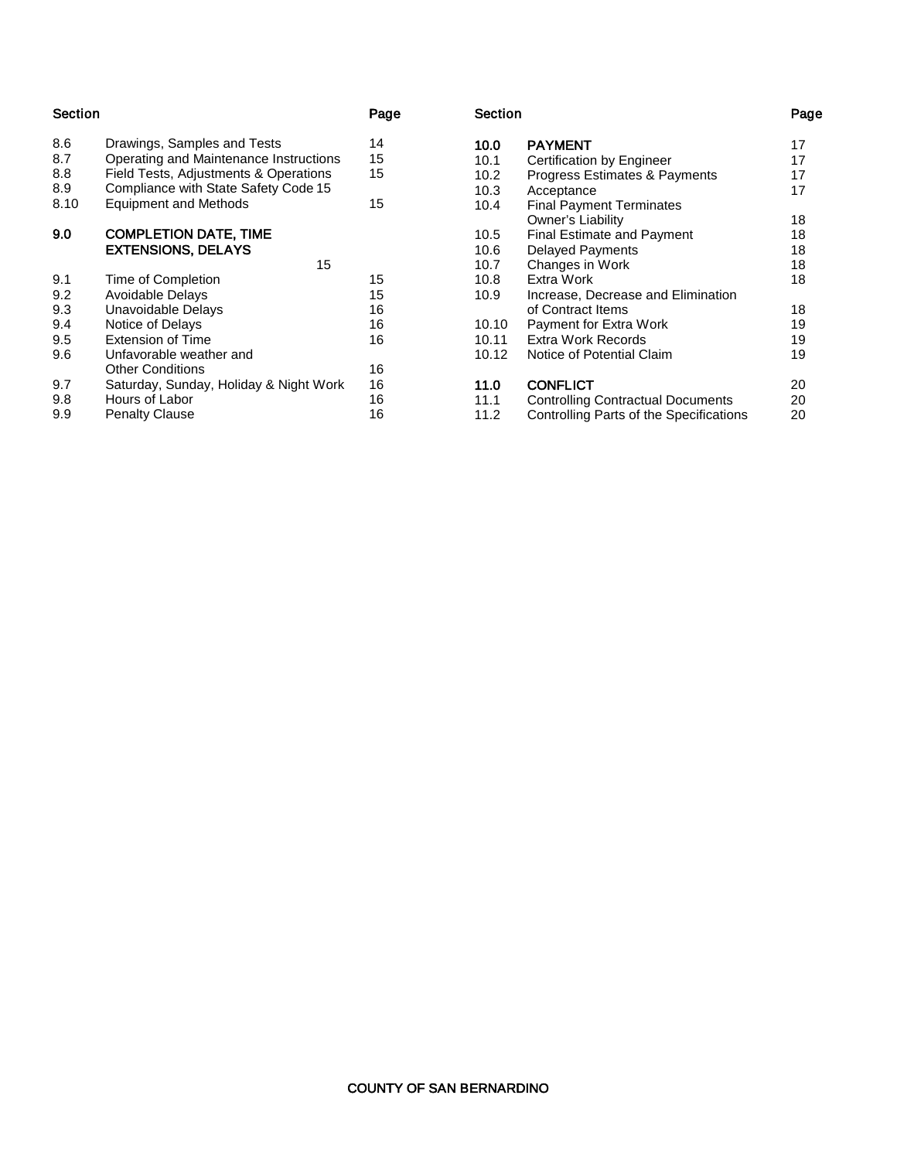| Section |                                                           | Page |
|---------|-----------------------------------------------------------|------|
| 8.6     | Drawings, Samples and Tests                               | 14   |
| 8.7     | Operating and Maintenance Instructions                    | 15   |
| 8.8     | Field Tests, Adjustments & Operations                     | 15   |
| 8.9     | Compliance with State Safety Code 15                      |      |
| 8.10    | <b>Equipment and Methods</b>                              | 15   |
| 9.0     | <b>COMPLETION DATE, TIME</b><br><b>EXTENSIONS, DELAYS</b> |      |
|         | 15                                                        |      |
| 9.1     | Time of Completion                                        | 15   |
| 9.2     | <b>Avoidable Delays</b>                                   | 15   |
| 9.3     | Unavoidable Delays                                        | 16   |
| 9.4     | Notice of Delays                                          | 16   |
| 9.5     | <b>Extension of Time</b>                                  | 16   |
| 9.6     | Unfavorable weather and                                   |      |
|         | <b>Other Conditions</b>                                   | 16   |
| 9.7     | Saturday, Sunday, Holiday & Night Work                    | 16   |
| 9.8     | Hours of Labor                                            | 16   |
| 9.9     | <b>Penalty Clause</b>                                     | 16   |

#### Section Page

| 17 |
|----|
| 17 |
| 17 |
| 17 |
|    |
| 18 |
| 18 |
| 18 |
| 18 |
| 18 |
|    |
| 18 |
| 19 |
| 19 |
| 19 |
| 20 |
| 20 |
| 20 |
|    |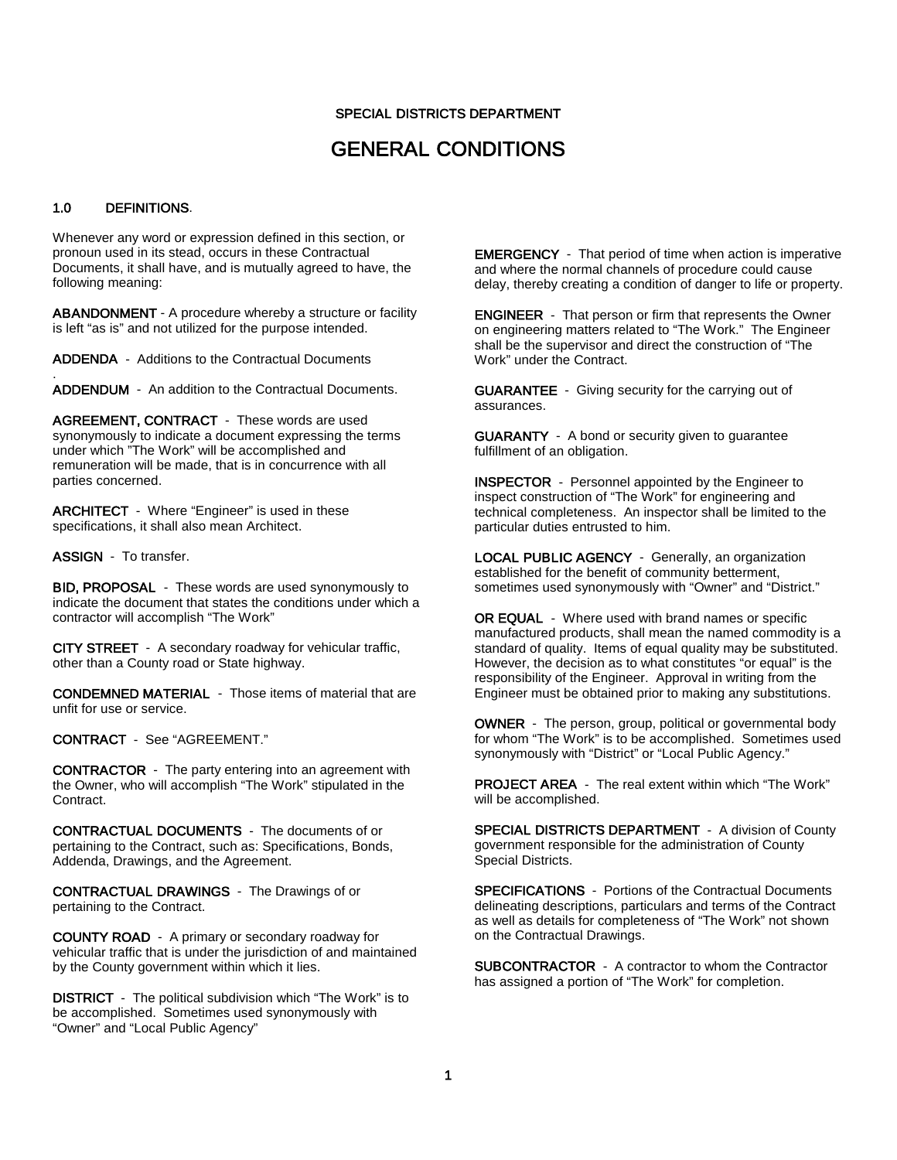#### SPECIAL DISTRICTS DEPARTMENT

### GENERAL CONDITIONS

#### 1.0 DEFINITIONS.

.

Whenever any word or expression defined in this section, or pronoun used in its stead, occurs in these Contractual Documents, it shall have, and is mutually agreed to have, the following meaning:

ABANDONMENT - A procedure whereby a structure or facility is left "as is" and not utilized for the purpose intended.

ADDENDA - Additions to the Contractual Documents

ADDENDUM - An addition to the Contractual Documents.

AGREEMENT, CONTRACT - These words are used synonymously to indicate a document expressing the terms under which "The Work" will be accomplished and remuneration will be made, that is in concurrence with all parties concerned.

ARCHITECT - Where "Engineer" is used in these specifications, it shall also mean Architect.

ASSIGN - To transfer.

BID, PROPOSAL - These words are used synonymously to indicate the document that states the conditions under which a contractor will accomplish "The Work"

CITY STREET - A secondary roadway for vehicular traffic, other than a County road or State highway.

CONDEMNED MATERIAL - Those items of material that are unfit for use or service.

CONTRACT - See "AGREEMENT."

CONTRACTOR - The party entering into an agreement with the Owner, who will accomplish "The Work" stipulated in the Contract.

CONTRACTUAL DOCUMENTS - The documents of or pertaining to the Contract, such as: Specifications, Bonds, Addenda, Drawings, and the Agreement.

CONTRACTUAL DRAWINGS - The Drawings of or pertaining to the Contract.

COUNTY ROAD - A primary or secondary roadway for vehicular traffic that is under the jurisdiction of and maintained by the County government within which it lies.

DISTRICT - The political subdivision which "The Work" is to be accomplished. Sometimes used synonymously with "Owner" and "Local Public Agency"

EMERGENCY - That period of time when action is imperative and where the normal channels of procedure could cause delay, thereby creating a condition of danger to life or property.

ENGINEER - That person or firm that represents the Owner on engineering matters related to "The Work." The Engineer shall be the supervisor and direct the construction of "The Work" under the Contract.

GUARANTEE - Giving security for the carrying out of assurances.

GUARANTY - A bond or security given to guarantee fulfillment of an obligation.

INSPECTOR - Personnel appointed by the Engineer to inspect construction of "The Work" for engineering and technical completeness. An inspector shall be limited to the particular duties entrusted to him.

LOCAL PUBLIC AGENCY - Generally, an organization established for the benefit of community betterment, sometimes used synonymously with "Owner" and "District."

OR EQUAL - Where used with brand names or specific manufactured products, shall mean the named commodity is a standard of quality. Items of equal quality may be substituted. However, the decision as to what constitutes "or equal" is the responsibility of the Engineer. Approval in writing from the Engineer must be obtained prior to making any substitutions.

OWNER - The person, group, political or governmental body for whom "The Work" is to be accomplished. Sometimes used synonymously with "District" or "Local Public Agency."

PROJECT AREA - The real extent within which "The Work" will be accomplished.

SPECIAL DISTRICTS DEPARTMENT - A division of County government responsible for the administration of County Special Districts.

SPECIFICATIONS - Portions of the Contractual Documents delineating descriptions, particulars and terms of the Contract as well as details for completeness of "The Work" not shown on the Contractual Drawings.

SUBCONTRACTOR - A contractor to whom the Contractor has assigned a portion of "The Work" for completion.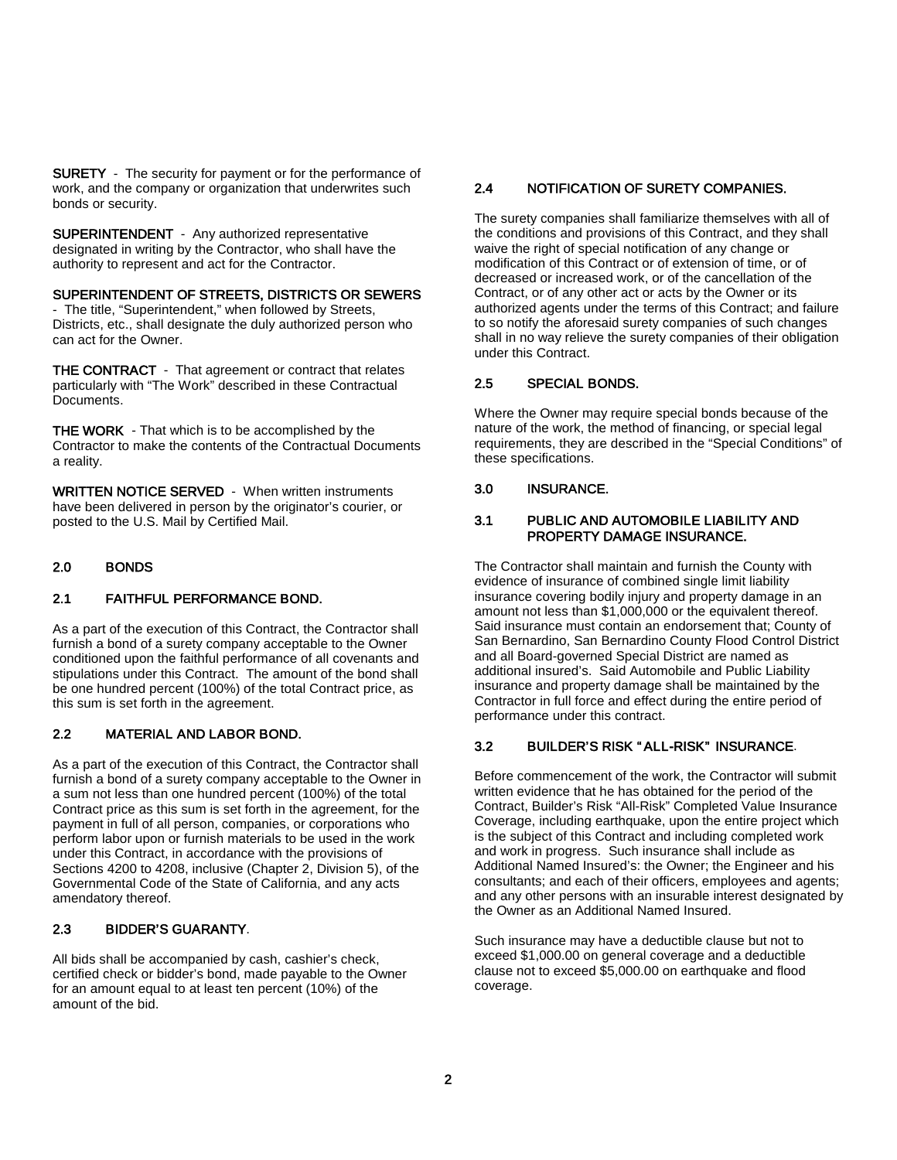SURETY - The security for payment or for the performance of work, and the company or organization that underwrites such bonds or security.

SUPERINTENDENT - Any authorized representative designated in writing by the Contractor, who shall have the authority to represent and act for the Contractor.

#### SUPERINTENDENT OF STREETS, DISTRICTS OR SEWERS

- The title, "Superintendent," when followed by Streets, Districts, etc., shall designate the duly authorized person who can act for the Owner.

THE CONTRACT - That agreement or contract that relates particularly with "The Work" described in these Contractual Documents.

THE WORK - That which is to be accomplished by the Contractor to make the contents of the Contractual Documents a reality.

WRITTEN NOTICE SERVED - When written instruments have been delivered in person by the originator's courier, or posted to the U.S. Mail by Certified Mail.

#### 2.0 BONDS

#### 2.1 FAITHFUL PERFORMANCE BOND.

As a part of the execution of this Contract, the Contractor shall furnish a bond of a surety company acceptable to the Owner conditioned upon the faithful performance of all covenants and stipulations under this Contract. The amount of the bond shall be one hundred percent (100%) of the total Contract price, as this sum is set forth in the agreement.

#### 2.2 MATERIAL AND LABOR BOND.

As a part of the execution of this Contract, the Contractor shall furnish a bond of a surety company acceptable to the Owner in a sum not less than one hundred percent (100%) of the total Contract price as this sum is set forth in the agreement, for the payment in full of all person, companies, or corporations who perform labor upon or furnish materials to be used in the work under this Contract, in accordance with the provisions of Sections 4200 to 4208, inclusive (Chapter 2, Division 5), of the Governmental Code of the State of California, and any acts amendatory thereof.

#### 2.3 BIDDER'S GUARANTY.

All bids shall be accompanied by cash, cashier's check, certified check or bidder's bond, made payable to the Owner for an amount equal to at least ten percent (10%) of the amount of the bid.

#### 2.4 NOTIFICATION OF SURETY COMPANIES.

The surety companies shall familiarize themselves with all of the conditions and provisions of this Contract, and they shall waive the right of special notification of any change or modification of this Contract or of extension of time, or of decreased or increased work, or of the cancellation of the Contract, or of any other act or acts by the Owner or its authorized agents under the terms of this Contract; and failure to so notify the aforesaid surety companies of such changes shall in no way relieve the surety companies of their obligation under this Contract.

#### 2.5 SPECIAL BONDS.

Where the Owner may require special bonds because of the nature of the work, the method of financing, or special legal requirements, they are described in the "Special Conditions" of these specifications.

#### 3.0 INSURANCE.

#### 3.1 PUBLIC AND AUTOMOBILE LIABILITY AND PROPERTY DAMAGE INSURANCE.

The Contractor shall maintain and furnish the County with evidence of insurance of combined single limit liability insurance covering bodily injury and property damage in an amount not less than \$1,000,000 or the equivalent thereof. Said insurance must contain an endorsement that; County of San Bernardino, San Bernardino County Flood Control District and all Board-governed Special District are named as additional insured's. Said Automobile and Public Liability insurance and property damage shall be maintained by the Contractor in full force and effect during the entire period of performance under this contract.

#### 3.2 BUILDER'S RISK " ALL-RISK" INSURANCE.

Before commencement of the work, the Contractor will submit written evidence that he has obtained for the period of the Contract, Builder's Risk "All-Risk" Completed Value Insurance Coverage, including earthquake, upon the entire project which is the subject of this Contract and including completed work and work in progress. Such insurance shall include as Additional Named Insured's: the Owner; the Engineer and his consultants; and each of their officers, employees and agents; and any other persons with an insurable interest designated by the Owner as an Additional Named Insured.

Such insurance may have a deductible clause but not to exceed \$1,000.00 on general coverage and a deductible clause not to exceed \$5,000.00 on earthquake and flood coverage.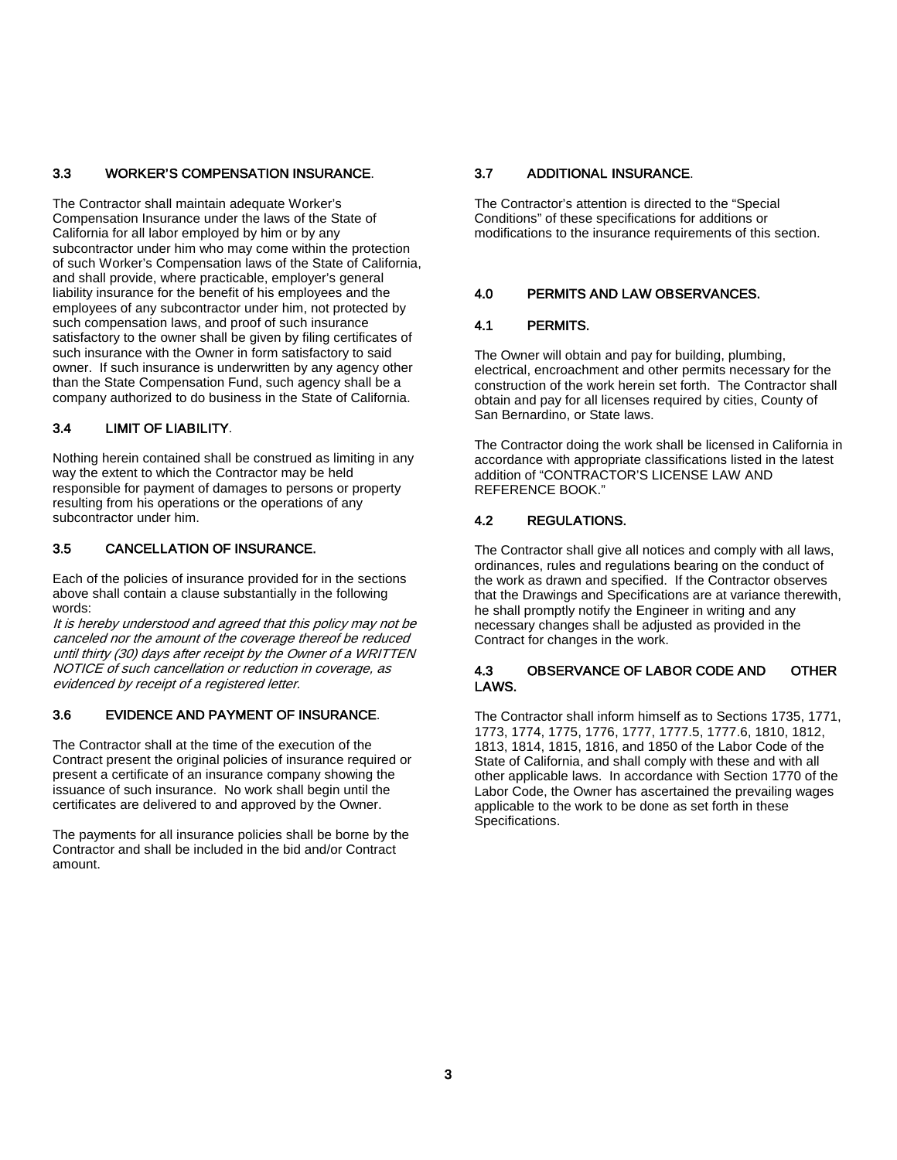#### 3.3 WORKER'S COMPENSATION INSURANCE.

The Contractor shall maintain adequate Worker's Compensation Insurance under the laws of the State of California for all labor employed by him or by any subcontractor under him who may come within the protection of such Worker's Compensation laws of the State of California, and shall provide, where practicable, employer's general liability insurance for the benefit of his employees and the employees of any subcontractor under him, not protected by such compensation laws, and proof of such insurance satisfactory to the owner shall be given by filing certificates of such insurance with the Owner in form satisfactory to said owner. If such insurance is underwritten by any agency other than the State Compensation Fund, such agency shall be a company authorized to do business in the State of California.

#### 3.4 LIMIT OF LIABILITY.

Nothing herein contained shall be construed as limiting in any way the extent to which the Contractor may be held responsible for payment of damages to persons or property resulting from his operations or the operations of any subcontractor under him.

#### 3.5 CANCELLATION OF INSURANCE.

Each of the policies of insurance provided for in the sections above shall contain a clause substantially in the following words:

It is hereby understood and agreed that this policy may not be canceled nor the amount of the coverage thereof be reduced until thirty (30) days after receipt by the Owner of a WRITTEN NOTICE of such cancellation or reduction in coverage, as evidenced by receipt of a registered letter.

#### 3.6 EVIDENCE AND PAYMENT OF INSURANCE.

The Contractor shall at the time of the execution of the Contract present the original policies of insurance required or present a certificate of an insurance company showing the issuance of such insurance. No work shall begin until the certificates are delivered to and approved by the Owner.

The payments for all insurance policies shall be borne by the Contractor and shall be included in the bid and/or Contract amount.

#### 3.7 ADDITIONAL INSURANCE.

The Contractor's attention is directed to the "Special Conditions" of these specifications for additions or modifications to the insurance requirements of this section.

#### 4.0 PERMITS AND LAW OBSERVANCES.

#### 4.1 PERMITS.

The Owner will obtain and pay for building, plumbing, electrical, encroachment and other permits necessary for the construction of the work herein set forth. The Contractor shall obtain and pay for all licenses required by cities, County of San Bernardino, or State laws.

The Contractor doing the work shall be licensed in California in accordance with appropriate classifications listed in the latest addition of "CONTRACTOR'S LICENSE LAW AND REFERENCE BOOK."

#### 4.2 REGULATIONS.

The Contractor shall give all notices and comply with all laws, ordinances, rules and regulations bearing on the conduct of the work as drawn and specified. If the Contractor observes that the Drawings and Specifications are at variance therewith, he shall promptly notify the Engineer in writing and any necessary changes shall be adjusted as provided in the Contract for changes in the work.

#### 4.3 OBSERVANCE OF LABOR CODE AND OTHER LAWS.

The Contractor shall inform himself as to Sections 1735, 1771, 1773, 1774, 1775, 1776, 1777, 1777.5, 1777.6, 1810, 1812, 1813, 1814, 1815, 1816, and 1850 of the Labor Code of the State of California, and shall comply with these and with all other applicable laws. In accordance with Section 1770 of the Labor Code, the Owner has ascertained the prevailing wages applicable to the work to be done as set forth in these Specifications.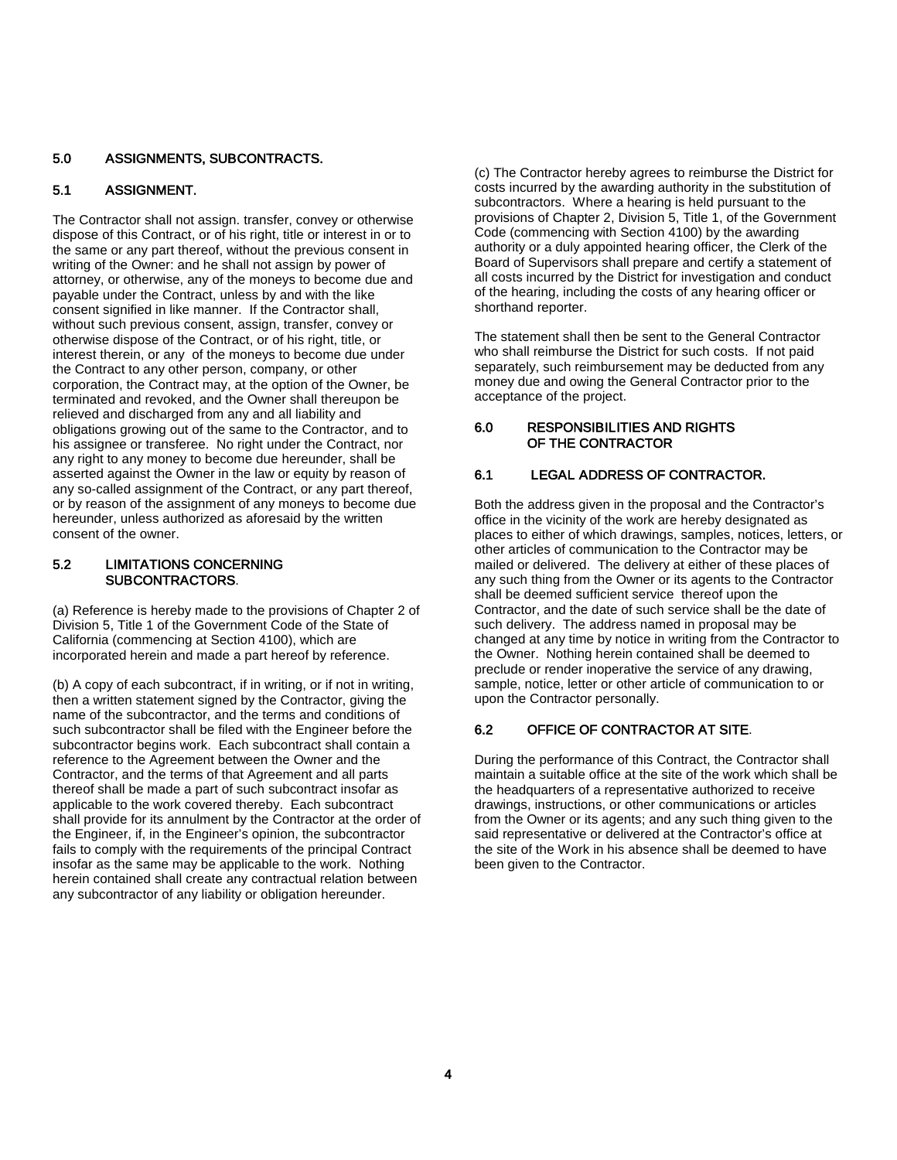#### 5.0 ASSIGNMENTS, SUBCONTRACTS.

#### 5.1 ASSIGNMENT.

The Contractor shall not assign. transfer, convey or otherwise dispose of this Contract, or of his right, title or interest in or to the same or any part thereof, without the previous consent in writing of the Owner: and he shall not assign by power of attorney, or otherwise, any of the moneys to become due and payable under the Contract, unless by and with the like consent signified in like manner. If the Contractor shall, without such previous consent, assign, transfer, convey or otherwise dispose of the Contract, or of his right, title, or interest therein, or any of the moneys to become due under the Contract to any other person, company, or other corporation, the Contract may, at the option of the Owner, be terminated and revoked, and the Owner shall thereupon be relieved and discharged from any and all liability and obligations growing out of the same to the Contractor, and to his assignee or transferee. No right under the Contract, nor any right to any money to become due hereunder, shall be asserted against the Owner in the law or equity by reason of any so-called assignment of the Contract, or any part thereof, or by reason of the assignment of any moneys to become due hereunder, unless authorized as aforesaid by the written consent of the owner.

#### 5.2 LIMITATIONS CONCERNING SUBCONTRACTORS.

(a) Reference is hereby made to the provisions of Chapter 2 of Division 5, Title 1 of the Government Code of the State of California (commencing at Section 4100), which are incorporated herein and made a part hereof by reference.

(b) A copy of each subcontract, if in writing, or if not in writing, then a written statement signed by the Contractor, giving the name of the subcontractor, and the terms and conditions of such subcontractor shall be filed with the Engineer before the subcontractor begins work. Each subcontract shall contain a reference to the Agreement between the Owner and the Contractor, and the terms of that Agreement and all parts thereof shall be made a part of such subcontract insofar as applicable to the work covered thereby. Each subcontract shall provide for its annulment by the Contractor at the order of the Engineer, if, in the Engineer's opinion, the subcontractor fails to comply with the requirements of the principal Contract insofar as the same may be applicable to the work. Nothing herein contained shall create any contractual relation between any subcontractor of any liability or obligation hereunder.

(c) The Contractor hereby agrees to reimburse the District for costs incurred by the awarding authority in the substitution of subcontractors. Where a hearing is held pursuant to the provisions of Chapter 2, Division 5, Title 1, of the Government Code (commencing with Section 4100) by the awarding authority or a duly appointed hearing officer, the Clerk of the Board of Supervisors shall prepare and certify a statement of all costs incurred by the District for investigation and conduct of the hearing, including the costs of any hearing officer or shorthand reporter.

The statement shall then be sent to the General Contractor who shall reimburse the District for such costs. If not paid separately, such reimbursement may be deducted from any money due and owing the General Contractor prior to the acceptance of the project.

#### 6.0 RESPONSIBILITIES AND RIGHTS OF THE CONTRACTOR

#### 6.1 LEGAL ADDRESS OF CONTRACTOR.

Both the address given in the proposal and the Contractor's office in the vicinity of the work are hereby designated as places to either of which drawings, samples, notices, letters, or other articles of communication to the Contractor may be mailed or delivered. The delivery at either of these places of any such thing from the Owner or its agents to the Contractor shall be deemed sufficient service thereof upon the Contractor, and the date of such service shall be the date of such delivery. The address named in proposal may be changed at any time by notice in writing from the Contractor to the Owner. Nothing herein contained shall be deemed to preclude or render inoperative the service of any drawing, sample, notice, letter or other article of communication to or upon the Contractor personally.

#### 6.2 OFFICE OF CONTRACTOR AT SITE.

During the performance of this Contract, the Contractor shall maintain a suitable office at the site of the work which shall be the headquarters of a representative authorized to receive drawings, instructions, or other communications or articles from the Owner or its agents; and any such thing given to the said representative or delivered at the Contractor's office at the site of the Work in his absence shall be deemed to have been given to the Contractor.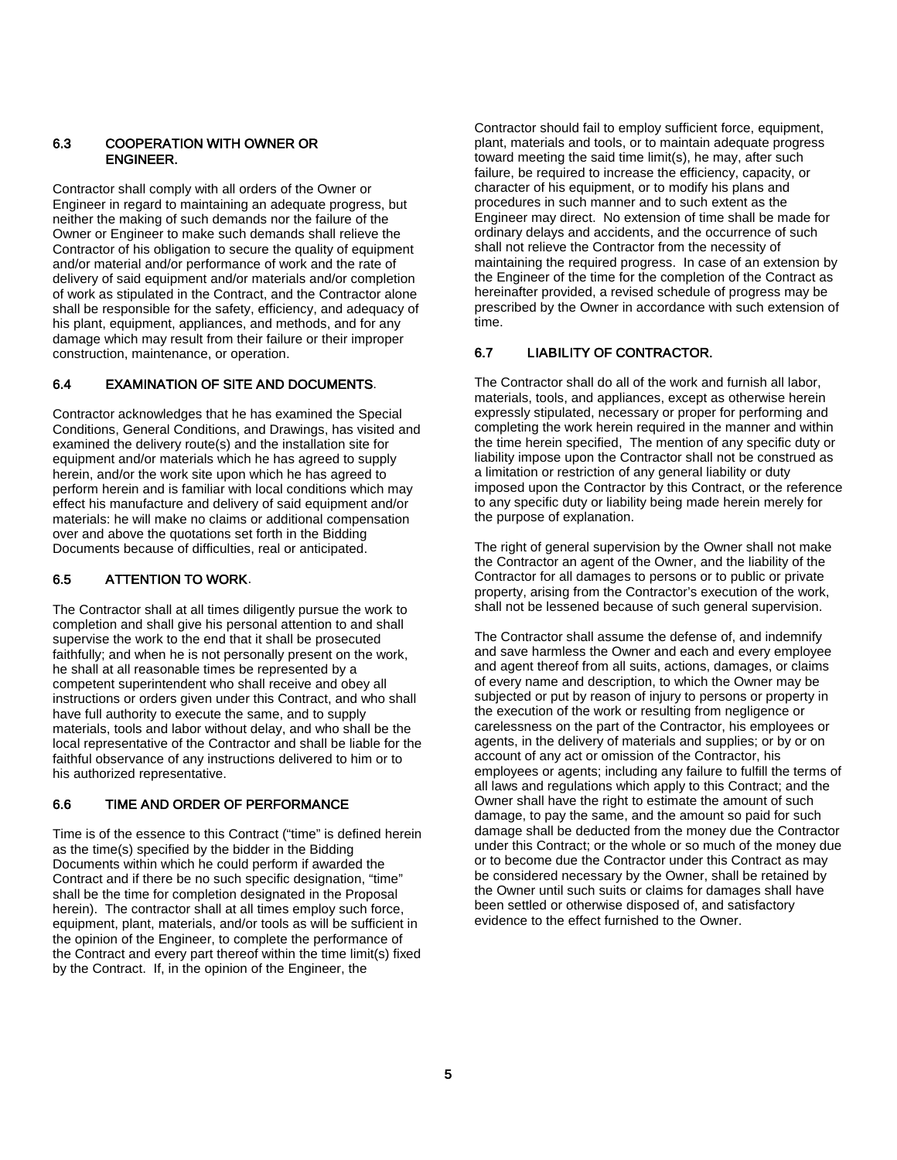#### 6.3 COOPERATION WITH OWNER OR ENGINEER.

Contractor shall comply with all orders of the Owner or Engineer in regard to maintaining an adequate progress, but neither the making of such demands nor the failure of the Owner or Engineer to make such demands shall relieve the Contractor of his obligation to secure the quality of equipment and/or material and/or performance of work and the rate of delivery of said equipment and/or materials and/or completion of work as stipulated in the Contract, and the Contractor alone shall be responsible for the safety, efficiency, and adequacy of his plant, equipment, appliances, and methods, and for any damage which may result from their failure or their improper construction, maintenance, or operation.

#### 6.4 EXAMINATION OF SITE AND DOCUMENTS.

Contractor acknowledges that he has examined the Special Conditions, General Conditions, and Drawings, has visited and examined the delivery route(s) and the installation site for equipment and/or materials which he has agreed to supply herein, and/or the work site upon which he has agreed to perform herein and is familiar with local conditions which may effect his manufacture and delivery of said equipment and/or materials: he will make no claims or additional compensation over and above the quotations set forth in the Bidding Documents because of difficulties, real or anticipated.

#### 6.5 ATTENTION TO WORK.

The Contractor shall at all times diligently pursue the work to completion and shall give his personal attention to and shall supervise the work to the end that it shall be prosecuted faithfully; and when he is not personally present on the work, he shall at all reasonable times be represented by a competent superintendent who shall receive and obey all instructions or orders given under this Contract, and who shall have full authority to execute the same, and to supply materials, tools and labor without delay, and who shall be the local representative of the Contractor and shall be liable for the faithful observance of any instructions delivered to him or to his authorized representative.

#### 6.6 TIME AND ORDER OF PERFORMANCE

Time is of the essence to this Contract ("time" is defined herein as the time(s) specified by the bidder in the Bidding Documents within which he could perform if awarded the Contract and if there be no such specific designation, "time" shall be the time for completion designated in the Proposal herein). The contractor shall at all times employ such force, equipment, plant, materials, and/or tools as will be sufficient in the opinion of the Engineer, to complete the performance of the Contract and every part thereof within the time limit(s) fixed by the Contract. If, in the opinion of the Engineer, the

Contractor should fail to employ sufficient force, equipment, plant, materials and tools, or to maintain adequate progress toward meeting the said time limit(s), he may, after such failure, be required to increase the efficiency, capacity, or character of his equipment, or to modify his plans and procedures in such manner and to such extent as the Engineer may direct. No extension of time shall be made for ordinary delays and accidents, and the occurrence of such shall not relieve the Contractor from the necessity of maintaining the required progress. In case of an extension by the Engineer of the time for the completion of the Contract as hereinafter provided, a revised schedule of progress may be prescribed by the Owner in accordance with such extension of time.

#### 6.7 LIABILITY OF CONTRACTOR.

The Contractor shall do all of the work and furnish all labor, materials, tools, and appliances, except as otherwise herein expressly stipulated, necessary or proper for performing and completing the work herein required in the manner and within the time herein specified, The mention of any specific duty or liability impose upon the Contractor shall not be construed as a limitation or restriction of any general liability or duty imposed upon the Contractor by this Contract, or the reference to any specific duty or liability being made herein merely for the purpose of explanation.

The right of general supervision by the Owner shall not make the Contractor an agent of the Owner, and the liability of the Contractor for all damages to persons or to public or private property, arising from the Contractor's execution of the work, shall not be lessened because of such general supervision.

The Contractor shall assume the defense of, and indemnify and save harmless the Owner and each and every employee and agent thereof from all suits, actions, damages, or claims of every name and description, to which the Owner may be subjected or put by reason of injury to persons or property in the execution of the work or resulting from negligence or carelessness on the part of the Contractor, his employees or agents, in the delivery of materials and supplies; or by or on account of any act or omission of the Contractor, his employees or agents; including any failure to fulfill the terms of all laws and regulations which apply to this Contract; and the Owner shall have the right to estimate the amount of such damage, to pay the same, and the amount so paid for such damage shall be deducted from the money due the Contractor under this Contract; or the whole or so much of the money due or to become due the Contractor under this Contract as may be considered necessary by the Owner, shall be retained by the Owner until such suits or claims for damages shall have been settled or otherwise disposed of, and satisfactory evidence to the effect furnished to the Owner.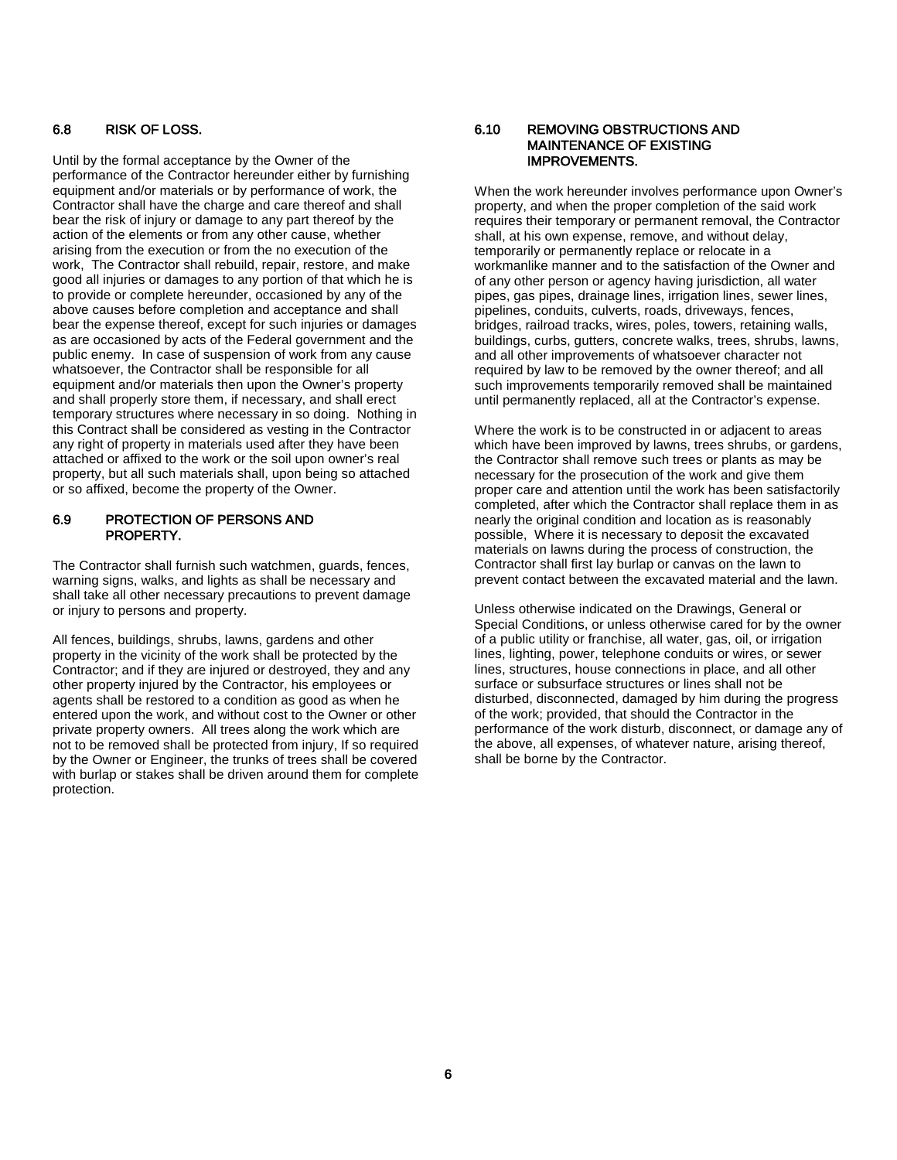#### 6.8 RISK OF LOSS.

Until by the formal acceptance by the Owner of the performance of the Contractor hereunder either by furnishing equipment and/or materials or by performance of work, the Contractor shall have the charge and care thereof and shall bear the risk of injury or damage to any part thereof by the action of the elements or from any other cause, whether arising from the execution or from the no execution of the work, The Contractor shall rebuild, repair, restore, and make good all injuries or damages to any portion of that which he is to provide or complete hereunder, occasioned by any of the above causes before completion and acceptance and shall bear the expense thereof, except for such injuries or damages as are occasioned by acts of the Federal government and the public enemy. In case of suspension of work from any cause whatsoever, the Contractor shall be responsible for all equipment and/or materials then upon the Owner's property and shall properly store them, if necessary, and shall erect temporary structures where necessary in so doing. Nothing in this Contract shall be considered as vesting in the Contractor any right of property in materials used after they have been attached or affixed to the work or the soil upon owner's real property, but all such materials shall, upon being so attached or so affixed, become the property of the Owner.

#### 6.9 PROTECTION OF PERSONS AND PROPERTY.

The Contractor shall furnish such watchmen, guards, fences, warning signs, walks, and lights as shall be necessary and shall take all other necessary precautions to prevent damage or injury to persons and property.

All fences, buildings, shrubs, lawns, gardens and other property in the vicinity of the work shall be protected by the Contractor; and if they are injured or destroyed, they and any other property injured by the Contractor, his employees or agents shall be restored to a condition as good as when he entered upon the work, and without cost to the Owner or other private property owners. All trees along the work which are not to be removed shall be protected from injury, If so required by the Owner or Engineer, the trunks of trees shall be covered with burlap or stakes shall be driven around them for complete protection.

#### 6.10 REMOVING OBSTRUCTIONS AND MAINTENANCE OF EXISTING IMPROVEMENTS.

When the work hereunder involves performance upon Owner's property, and when the proper completion of the said work requires their temporary or permanent removal, the Contractor shall, at his own expense, remove, and without delay, temporarily or permanently replace or relocate in a workmanlike manner and to the satisfaction of the Owner and of any other person or agency having jurisdiction, all water pipes, gas pipes, drainage lines, irrigation lines, sewer lines, pipelines, conduits, culverts, roads, driveways, fences, bridges, railroad tracks, wires, poles, towers, retaining walls, buildings, curbs, gutters, concrete walks, trees, shrubs, lawns, and all other improvements of whatsoever character not required by law to be removed by the owner thereof; and all such improvements temporarily removed shall be maintained until permanently replaced, all at the Contractor's expense.

Where the work is to be constructed in or adjacent to areas which have been improved by lawns, trees shrubs, or gardens, the Contractor shall remove such trees or plants as may be necessary for the prosecution of the work and give them proper care and attention until the work has been satisfactorily completed, after which the Contractor shall replace them in as nearly the original condition and location as is reasonably possible, Where it is necessary to deposit the excavated materials on lawns during the process of construction, the Contractor shall first lay burlap or canvas on the lawn to prevent contact between the excavated material and the lawn.

Unless otherwise indicated on the Drawings, General or Special Conditions, or unless otherwise cared for by the owner of a public utility or franchise, all water, gas, oil, or irrigation lines, lighting, power, telephone conduits or wires, or sewer lines, structures, house connections in place, and all other surface or subsurface structures or lines shall not be disturbed, disconnected, damaged by him during the progress of the work; provided, that should the Contractor in the performance of the work disturb, disconnect, or damage any of the above, all expenses, of whatever nature, arising thereof, shall be borne by the Contractor.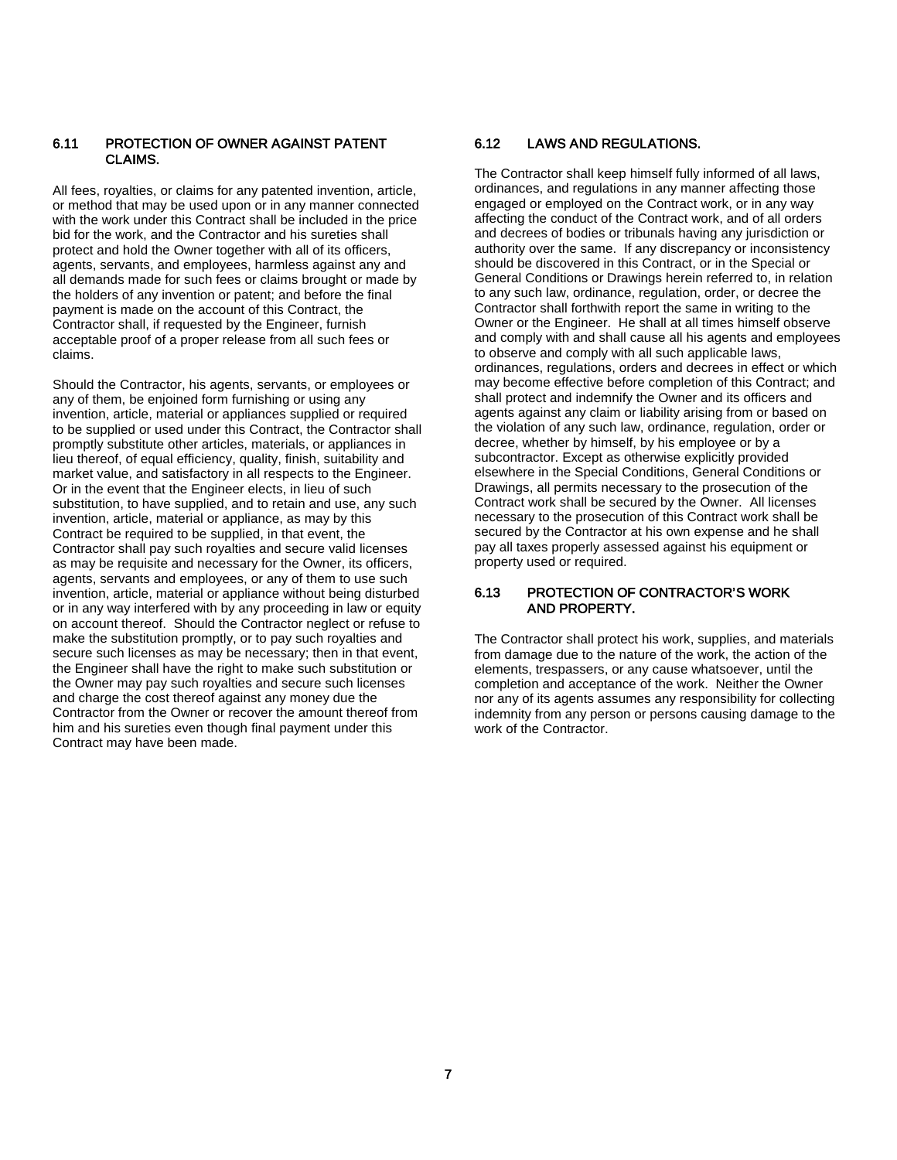#### 6.11 PROTECTION OF OWNER AGAINST PATENT CLAIMS.

All fees, royalties, or claims for any patented invention, article, or method that may be used upon or in any manner connected with the work under this Contract shall be included in the price bid for the work, and the Contractor and his sureties shall protect and hold the Owner together with all of its officers, agents, servants, and employees, harmless against any and all demands made for such fees or claims brought or made by the holders of any invention or patent; and before the final payment is made on the account of this Contract, the Contractor shall, if requested by the Engineer, furnish acceptable proof of a proper release from all such fees or claims.

Should the Contractor, his agents, servants, or employees or any of them, be enjoined form furnishing or using any invention, article, material or appliances supplied or required to be supplied or used under this Contract, the Contractor shall promptly substitute other articles, materials, or appliances in lieu thereof, of equal efficiency, quality, finish, suitability and market value, and satisfactory in all respects to the Engineer. Or in the event that the Engineer elects, in lieu of such substitution, to have supplied, and to retain and use, any such invention, article, material or appliance, as may by this Contract be required to be supplied, in that event, the Contractor shall pay such royalties and secure valid licenses as may be requisite and necessary for the Owner, its officers, agents, servants and employees, or any of them to use such invention, article, material or appliance without being disturbed or in any way interfered with by any proceeding in law or equity on account thereof. Should the Contractor neglect or refuse to make the substitution promptly, or to pay such royalties and secure such licenses as may be necessary; then in that event, the Engineer shall have the right to make such substitution or the Owner may pay such royalties and secure such licenses and charge the cost thereof against any money due the Contractor from the Owner or recover the amount thereof from him and his sureties even though final payment under this Contract may have been made.

#### 6.12 LAWS AND REGULATIONS.

The Contractor shall keep himself fully informed of all laws, ordinances, and regulations in any manner affecting those engaged or employed on the Contract work, or in any way affecting the conduct of the Contract work, and of all orders and decrees of bodies or tribunals having any jurisdiction or authority over the same. If any discrepancy or inconsistency should be discovered in this Contract, or in the Special or General Conditions or Drawings herein referred to, in relation to any such law, ordinance, regulation, order, or decree the Contractor shall forthwith report the same in writing to the Owner or the Engineer. He shall at all times himself observe and comply with and shall cause all his agents and employees to observe and comply with all such applicable laws, ordinances, regulations, orders and decrees in effect or which may become effective before completion of this Contract; and shall protect and indemnify the Owner and its officers and agents against any claim or liability arising from or based on the violation of any such law, ordinance, regulation, order or decree, whether by himself, by his employee or by a subcontractor. Except as otherwise explicitly provided elsewhere in the Special Conditions, General Conditions or Drawings, all permits necessary to the prosecution of the Contract work shall be secured by the Owner. All licenses necessary to the prosecution of this Contract work shall be secured by the Contractor at his own expense and he shall pay all taxes properly assessed against his equipment or property used or required.

#### 6.13 PROTECTION OF CONTRACTOR'S WORK AND PROPERTY.

The Contractor shall protect his work, supplies, and materials from damage due to the nature of the work, the action of the elements, trespassers, or any cause whatsoever, until the completion and acceptance of the work. Neither the Owner nor any of its agents assumes any responsibility for collecting indemnity from any person or persons causing damage to the work of the Contractor.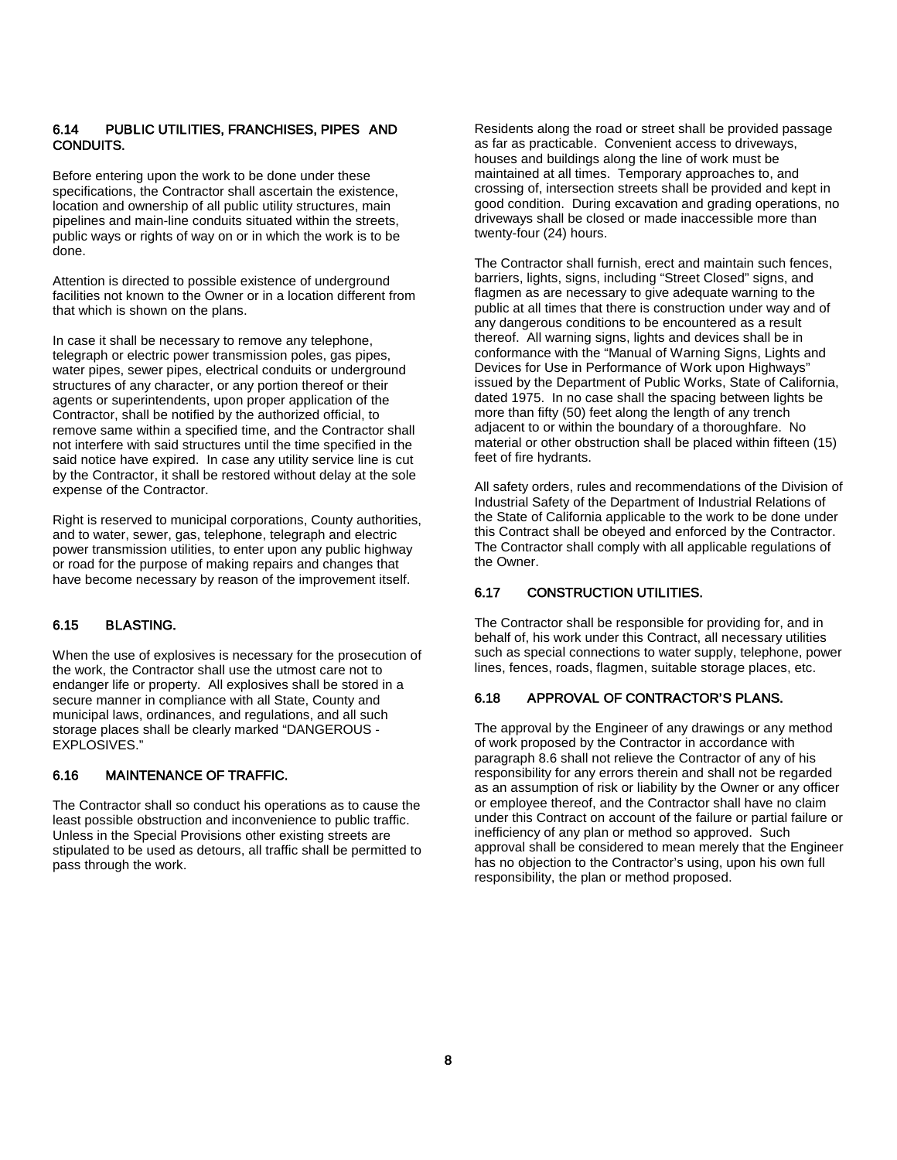#### 6.14 PUBLIC UTILITIES, FRANCHISES, PIPES AND CONDUITS.

Before entering upon the work to be done under these specifications, the Contractor shall ascertain the existence, location and ownership of all public utility structures, main pipelines and main-line conduits situated within the streets, public ways or rights of way on or in which the work is to be done.

Attention is directed to possible existence of underground facilities not known to the Owner or in a location different from that which is shown on the plans.

In case it shall be necessary to remove any telephone, telegraph or electric power transmission poles, gas pipes, water pipes, sewer pipes, electrical conduits or underground structures of any character, or any portion thereof or their agents or superintendents, upon proper application of the Contractor, shall be notified by the authorized official, to remove same within a specified time, and the Contractor shall not interfere with said structures until the time specified in the said notice have expired. In case any utility service line is cut by the Contractor, it shall be restored without delay at the sole expense of the Contractor.

Right is reserved to municipal corporations, County authorities, and to water, sewer, gas, telephone, telegraph and electric power transmission utilities, to enter upon any public highway or road for the purpose of making repairs and changes that have become necessary by reason of the improvement itself.

#### 6.15 BLASTING.

When the use of explosives is necessary for the prosecution of the work, the Contractor shall use the utmost care not to endanger life or property. All explosives shall be stored in a secure manner in compliance with all State, County and municipal laws, ordinances, and regulations, and all such storage places shall be clearly marked "DANGEROUS - EXPLOSIVES."

#### 6.16 MAINTENANCE OF TRAFFIC.

The Contractor shall so conduct his operations as to cause the least possible obstruction and inconvenience to public traffic. Unless in the Special Provisions other existing streets are stipulated to be used as detours, all traffic shall be permitted to pass through the work.

Residents along the road or street shall be provided passage as far as practicable. Convenient access to driveways, houses and buildings along the line of work must be maintained at all times. Temporary approaches to, and crossing of, intersection streets shall be provided and kept in good condition. During excavation and grading operations, no driveways shall be closed or made inaccessible more than twenty-four (24) hours.

The Contractor shall furnish, erect and maintain such fences, barriers, lights, signs, including "Street Closed" signs, and flagmen as are necessary to give adequate warning to the public at all times that there is construction under way and of any dangerous conditions to be encountered as a result thereof. All warning signs, lights and devices shall be in conformance with the "Manual of Warning Signs, Lights and Devices for Use in Performance of Work upon Highways" issued by the Department of Public Works, State of California, dated 1975. In no case shall the spacing between lights be more than fifty (50) feet along the length of any trench adjacent to or within the boundary of a thoroughfare. No material or other obstruction shall be placed within fifteen (15) feet of fire hydrants.

All safety orders, rules and recommendations of the Division of Industrial Safety of the Department of Industrial Relations of the State of California applicable to the work to be done under this Contract shall be obeyed and enforced by the Contractor. The Contractor shall comply with all applicable regulations of the Owner.

#### 6.17 CONSTRUCTION UTILITIES.

The Contractor shall be responsible for providing for, and in behalf of, his work under this Contract, all necessary utilities such as special connections to water supply, telephone, power lines, fences, roads, flagmen, suitable storage places, etc.

#### 6.18 APPROVAL OF CONTRACTOR'S PLANS.

The approval by the Engineer of any drawings or any method of work proposed by the Contractor in accordance with paragraph 8.6 shall not relieve the Contractor of any of his responsibility for any errors therein and shall not be regarded as an assumption of risk or liability by the Owner or any officer or employee thereof, and the Contractor shall have no claim under this Contract on account of the failure or partial failure or inefficiency of any plan or method so approved. Such approval shall be considered to mean merely that the Engineer has no objection to the Contractor's using, upon his own full responsibility, the plan or method proposed.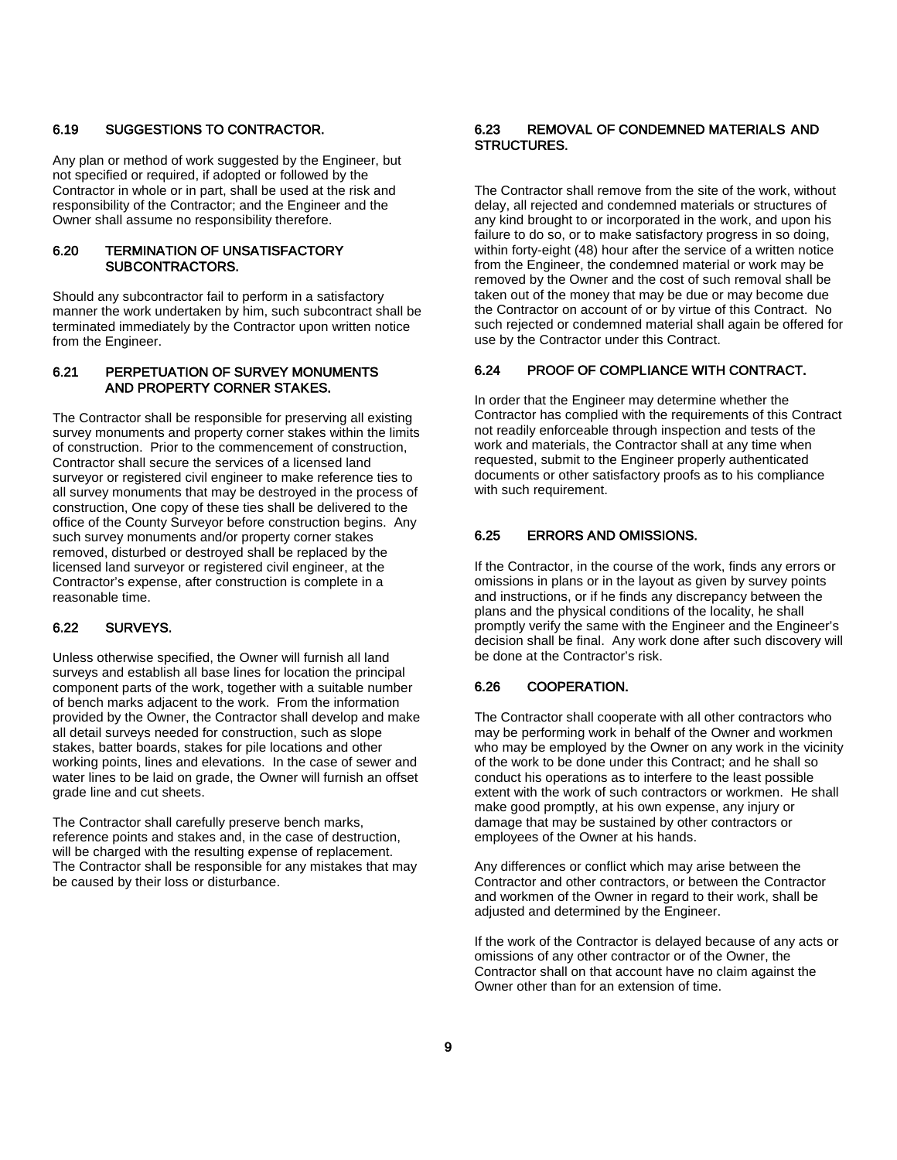#### 6.19 SUGGESTIONS TO CONTRACTOR.

Any plan or method of work suggested by the Engineer, but not specified or required, if adopted or followed by the Contractor in whole or in part, shall be used at the risk and responsibility of the Contractor; and the Engineer and the Owner shall assume no responsibility therefore.

#### 6.20 TERMINATION OF UNSATISFACTORY SUBCONTRACTORS.

Should any subcontractor fail to perform in a satisfactory manner the work undertaken by him, such subcontract shall be terminated immediately by the Contractor upon written notice from the Engineer.

#### 6.21 PERPETUATION OF SURVEY MONUMENTS AND PROPERTY CORNER STAKES.

The Contractor shall be responsible for preserving all existing survey monuments and property corner stakes within the limits of construction. Prior to the commencement of construction, Contractor shall secure the services of a licensed land surveyor or registered civil engineer to make reference ties to all survey monuments that may be destroyed in the process of construction, One copy of these ties shall be delivered to the office of the County Surveyor before construction begins. Any such survey monuments and/or property corner stakes removed, disturbed or destroyed shall be replaced by the licensed land surveyor or registered civil engineer, at the Contractor's expense, after construction is complete in a reasonable time.

#### 6.22 SURVEYS.

Unless otherwise specified, the Owner will furnish all land surveys and establish all base lines for location the principal component parts of the work, together with a suitable number of bench marks adjacent to the work. From the information provided by the Owner, the Contractor shall develop and make all detail surveys needed for construction, such as slope stakes, batter boards, stakes for pile locations and other working points, lines and elevations. In the case of sewer and water lines to be laid on grade, the Owner will furnish an offset grade line and cut sheets.

The Contractor shall carefully preserve bench marks, reference points and stakes and, in the case of destruction, will be charged with the resulting expense of replacement. The Contractor shall be responsible for any mistakes that may be caused by their loss or disturbance.

#### 6.23 REMOVAL OF CONDEMNED MATERIALS AND STRUCTURES.

The Contractor shall remove from the site of the work, without delay, all rejected and condemned materials or structures of any kind brought to or incorporated in the work, and upon his failure to do so, or to make satisfactory progress in so doing, within forty-eight (48) hour after the service of a written notice from the Engineer, the condemned material or work may be removed by the Owner and the cost of such removal shall be taken out of the money that may be due or may become due the Contractor on account of or by virtue of this Contract. No such rejected or condemned material shall again be offered for use by the Contractor under this Contract.

#### 6.24 PROOF OF COMPLIANCE WITH CONTRACT.

In order that the Engineer may determine whether the Contractor has complied with the requirements of this Contract not readily enforceable through inspection and tests of the work and materials, the Contractor shall at any time when requested, submit to the Engineer properly authenticated documents or other satisfactory proofs as to his compliance with such requirement.

#### 6.25 ERRORS AND OMISSIONS.

If the Contractor, in the course of the work, finds any errors or omissions in plans or in the layout as given by survey points and instructions, or if he finds any discrepancy between the plans and the physical conditions of the locality, he shall promptly verify the same with the Engineer and the Engineer's decision shall be final. Any work done after such discovery will be done at the Contractor's risk.

#### 6.26 COOPERATION.

The Contractor shall cooperate with all other contractors who may be performing work in behalf of the Owner and workmen who may be employed by the Owner on any work in the vicinity of the work to be done under this Contract; and he shall so conduct his operations as to interfere to the least possible extent with the work of such contractors or workmen. He shall make good promptly, at his own expense, any injury or damage that may be sustained by other contractors or employees of the Owner at his hands.

Any differences or conflict which may arise between the Contractor and other contractors, or between the Contractor and workmen of the Owner in regard to their work, shall be adjusted and determined by the Engineer.

If the work of the Contractor is delayed because of any acts or omissions of any other contractor or of the Owner, the Contractor shall on that account have no claim against the Owner other than for an extension of time.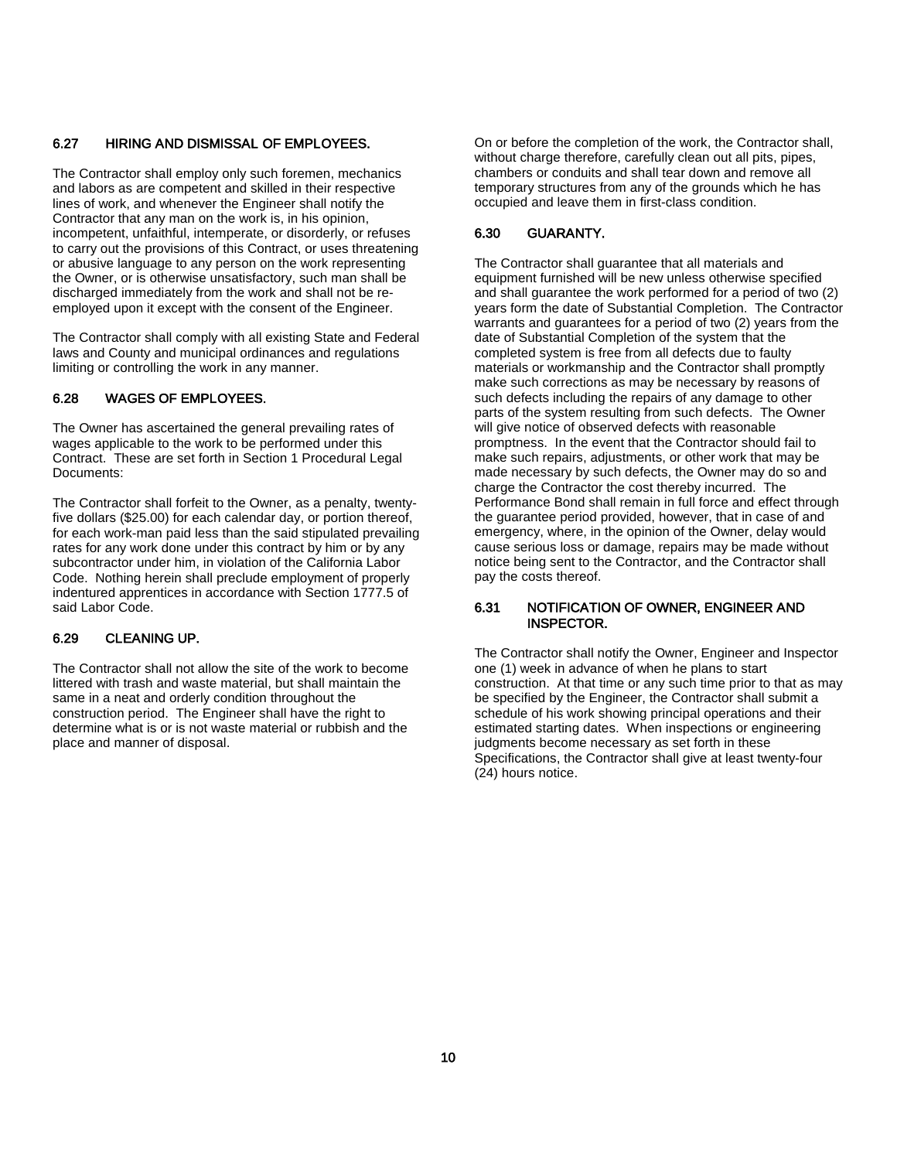#### 6.27 HIRING AND DISMISSAL OF EMPLOYEES.

The Contractor shall employ only such foremen, mechanics and labors as are competent and skilled in their respective lines of work, and whenever the Engineer shall notify the Contractor that any man on the work is, in his opinion, incompetent, unfaithful, intemperate, or disorderly, or refuses to carry out the provisions of this Contract, or uses threatening or abusive language to any person on the work representing the Owner, or is otherwise unsatisfactory, such man shall be discharged immediately from the work and shall not be reemployed upon it except with the consent of the Engineer.

The Contractor shall comply with all existing State and Federal laws and County and municipal ordinances and regulations limiting or controlling the work in any manner.

#### 6.28 WAGES OF EMPLOYEES.

The Owner has ascertained the general prevailing rates of wages applicable to the work to be performed under this Contract. These are set forth in Section 1 Procedural Legal Documents:

The Contractor shall forfeit to the Owner, as a penalty, twentyfive dollars (\$25.00) for each calendar day, or portion thereof, for each work-man paid less than the said stipulated prevailing rates for any work done under this contract by him or by any subcontractor under him, in violation of the California Labor Code. Nothing herein shall preclude employment of properly indentured apprentices in accordance with Section 1777.5 of said Labor Code.

#### 6.29 CLEANING UP.

The Contractor shall not allow the site of the work to become littered with trash and waste material, but shall maintain the same in a neat and orderly condition throughout the construction period. The Engineer shall have the right to determine what is or is not waste material or rubbish and the place and manner of disposal.

On or before the completion of the work, the Contractor shall, without charge therefore, carefully clean out all pits, pipes, chambers or conduits and shall tear down and remove all temporary structures from any of the grounds which he has occupied and leave them in first-class condition.

#### 6.30 GUARANTY.

The Contractor shall guarantee that all materials and equipment furnished will be new unless otherwise specified and shall guarantee the work performed for a period of two (2) years form the date of Substantial Completion. The Contractor warrants and guarantees for a period of two (2) years from the date of Substantial Completion of the system that the completed system is free from all defects due to faulty materials or workmanship and the Contractor shall promptly make such corrections as may be necessary by reasons of such defects including the repairs of any damage to other parts of the system resulting from such defects. The Owner will give notice of observed defects with reasonable promptness. In the event that the Contractor should fail to make such repairs, adjustments, or other work that may be made necessary by such defects, the Owner may do so and charge the Contractor the cost thereby incurred. The Performance Bond shall remain in full force and effect through the guarantee period provided, however, that in case of and emergency, where, in the opinion of the Owner, delay would cause serious loss or damage, repairs may be made without notice being sent to the Contractor, and the Contractor shall pay the costs thereof.

#### 6.31 NOTIFICATION OF OWNER, ENGINEER AND INSPECTOR.

The Contractor shall notify the Owner, Engineer and Inspector one (1) week in advance of when he plans to start construction. At that time or any such time prior to that as may be specified by the Engineer, the Contractor shall submit a schedule of his work showing principal operations and their estimated starting dates. When inspections or engineering judgments become necessary as set forth in these Specifications, the Contractor shall give at least twenty-four (24) hours notice.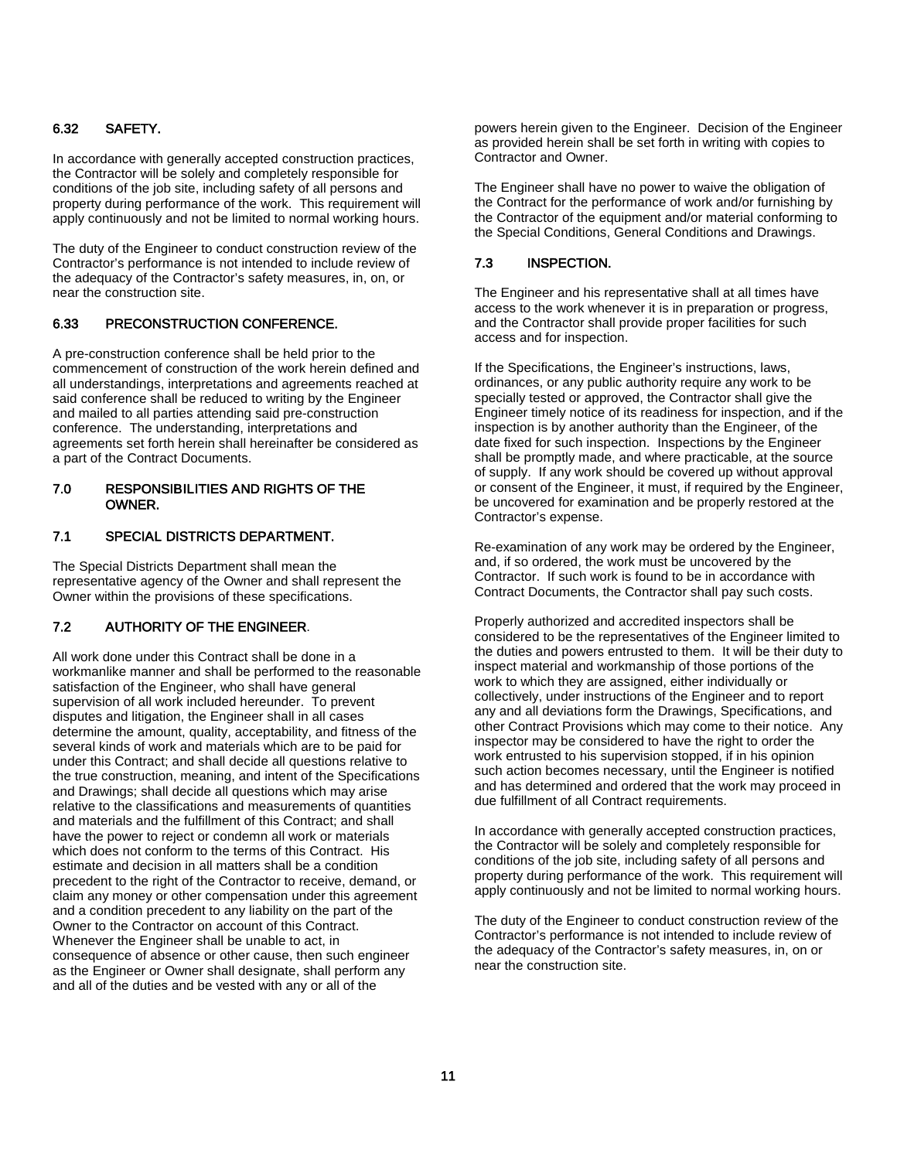#### 6.32 SAFETY.

In accordance with generally accepted construction practices, the Contractor will be solely and completely responsible for conditions of the job site, including safety of all persons and property during performance of the work. This requirement will apply continuously and not be limited to normal working hours.

The duty of the Engineer to conduct construction review of the Contractor's performance is not intended to include review of the adequacy of the Contractor's safety measures, in, on, or near the construction site.

#### 6.33 PRECONSTRUCTION CONFERENCE.

A pre-construction conference shall be held prior to the commencement of construction of the work herein defined and all understandings, interpretations and agreements reached at said conference shall be reduced to writing by the Engineer and mailed to all parties attending said pre-construction conference. The understanding, interpretations and agreements set forth herein shall hereinafter be considered as a part of the Contract Documents.

#### 7.0 RESPONSIBILITIES AND RIGHTS OF THE OWNER.

#### 7.1 SPECIAL DISTRICTS DEPARTMENT.

The Special Districts Department shall mean the representative agency of the Owner and shall represent the Owner within the provisions of these specifications.

#### 7.2 AUTHORITY OF THE ENGINEER.

All work done under this Contract shall be done in a workmanlike manner and shall be performed to the reasonable satisfaction of the Engineer, who shall have general supervision of all work included hereunder. To prevent disputes and litigation, the Engineer shall in all cases determine the amount, quality, acceptability, and fitness of the several kinds of work and materials which are to be paid for under this Contract; and shall decide all questions relative to the true construction, meaning, and intent of the Specifications and Drawings; shall decide all questions which may arise relative to the classifications and measurements of quantities and materials and the fulfillment of this Contract; and shall have the power to reject or condemn all work or materials which does not conform to the terms of this Contract. His estimate and decision in all matters shall be a condition precedent to the right of the Contractor to receive, demand, or claim any money or other compensation under this agreement and a condition precedent to any liability on the part of the Owner to the Contractor on account of this Contract. Whenever the Engineer shall be unable to act, in consequence of absence or other cause, then such engineer as the Engineer or Owner shall designate, shall perform any and all of the duties and be vested with any or all of the

powers herein given to the Engineer. Decision of the Engineer as provided herein shall be set forth in writing with copies to Contractor and Owner.

The Engineer shall have no power to waive the obligation of the Contract for the performance of work and/or furnishing by the Contractor of the equipment and/or material conforming to the Special Conditions, General Conditions and Drawings.

#### 7.3 INSPECTION.

The Engineer and his representative shall at all times have access to the work whenever it is in preparation or progress, and the Contractor shall provide proper facilities for such access and for inspection.

If the Specifications, the Engineer's instructions, laws, ordinances, or any public authority require any work to be specially tested or approved, the Contractor shall give the Engineer timely notice of its readiness for inspection, and if the inspection is by another authority than the Engineer, of the date fixed for such inspection. Inspections by the Engineer shall be promptly made, and where practicable, at the source of supply. If any work should be covered up without approval or consent of the Engineer, it must, if required by the Engineer, be uncovered for examination and be properly restored at the Contractor's expense.

Re-examination of any work may be ordered by the Engineer, and, if so ordered, the work must be uncovered by the Contractor. If such work is found to be in accordance with Contract Documents, the Contractor shall pay such costs.

Properly authorized and accredited inspectors shall be considered to be the representatives of the Engineer limited to the duties and powers entrusted to them. It will be their duty to inspect material and workmanship of those portions of the work to which they are assigned, either individually or collectively, under instructions of the Engineer and to report any and all deviations form the Drawings, Specifications, and other Contract Provisions which may come to their notice. Any inspector may be considered to have the right to order the work entrusted to his supervision stopped, if in his opinion such action becomes necessary, until the Engineer is notified and has determined and ordered that the work may proceed in due fulfillment of all Contract requirements.

In accordance with generally accepted construction practices, the Contractor will be solely and completely responsible for conditions of the job site, including safety of all persons and property during performance of the work. This requirement will apply continuously and not be limited to normal working hours.

The duty of the Engineer to conduct construction review of the Contractor's performance is not intended to include review of the adequacy of the Contractor's safety measures, in, on or near the construction site.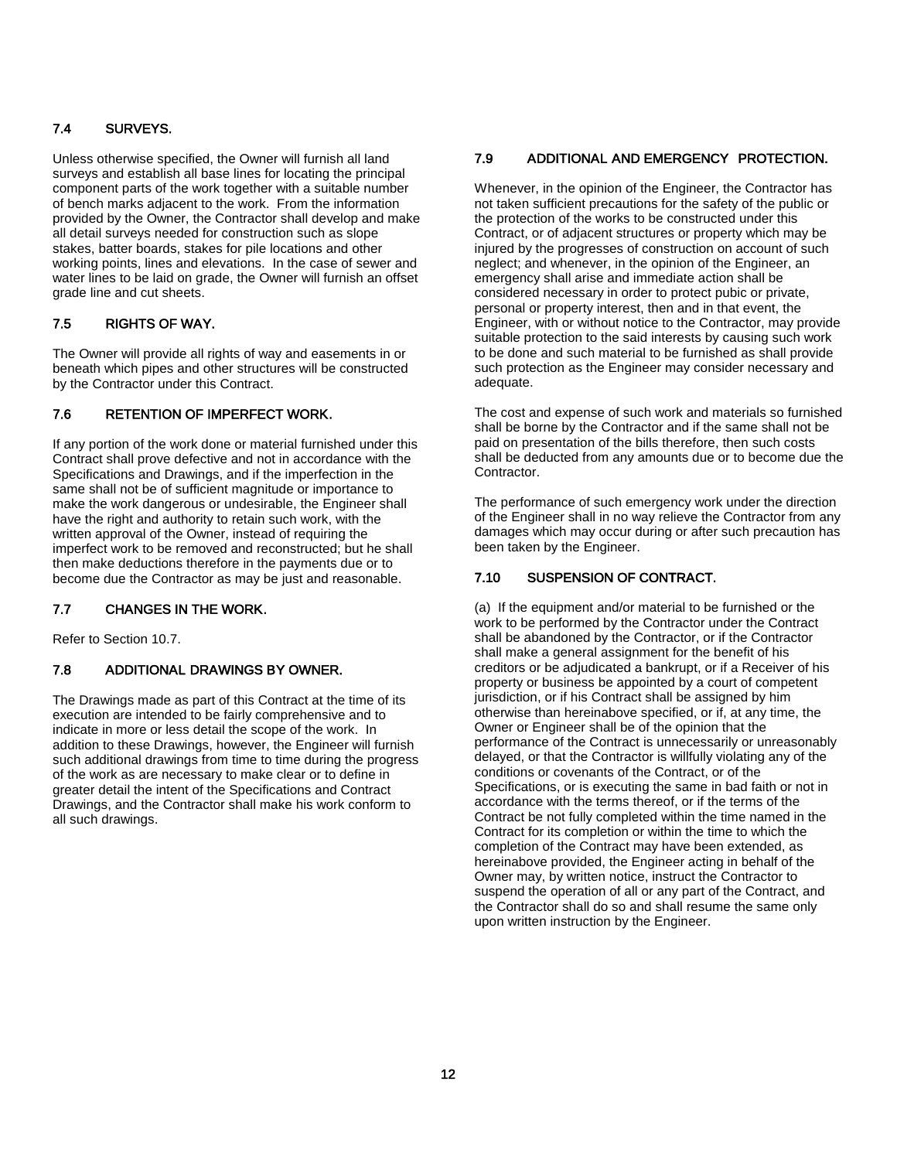### 7.4 SURVEYS.

Unless otherwise specified, the Owner will furnish all land surveys and establish all base lines for locating the principal component parts of the work together with a suitable number of bench marks adjacent to the work. From the information provided by the Owner, the Contractor shall develop and make all detail surveys needed for construction such as slope stakes, batter boards, stakes for pile locations and other working points, lines and elevations. In the case of sewer and water lines to be laid on grade, the Owner will furnish an offset grade line and cut sheets.

#### 7.5 RIGHTS OF WAY.

The Owner will provide all rights of way and easements in or beneath which pipes and other structures will be constructed by the Contractor under this Contract.

#### 7.6 RETENTION OF IMPERFECT WORK.

If any portion of the work done or material furnished under this Contract shall prove defective and not in accordance with the Specifications and Drawings, and if the imperfection in the same shall not be of sufficient magnitude or importance to make the work dangerous or undesirable, the Engineer shall have the right and authority to retain such work, with the written approval of the Owner, instead of requiring the imperfect work to be removed and reconstructed; but he shall then make deductions therefore in the payments due or to become due the Contractor as may be just and reasonable.

#### 7.7 CHANGES IN THE WORK.

Refer to Section 10.7.

#### 7.8 ADDITIONAL DRAWINGS BY OWNER.

The Drawings made as part of this Contract at the time of its execution are intended to be fairly comprehensive and to indicate in more or less detail the scope of the work. In addition to these Drawings, however, the Engineer will furnish such additional drawings from time to time during the progress of the work as are necessary to make clear or to define in greater detail the intent of the Specifications and Contract Drawings, and the Contractor shall make his work conform to all such drawings.

#### 7.9 ADDITIONAL AND EMERGENCY PROTECTION.

Whenever, in the opinion of the Engineer, the Contractor has not taken sufficient precautions for the safety of the public or the protection of the works to be constructed under this Contract, or of adjacent structures or property which may be injured by the progresses of construction on account of such neglect; and whenever, in the opinion of the Engineer, an emergency shall arise and immediate action shall be considered necessary in order to protect pubic or private, personal or property interest, then and in that event, the Engineer, with or without notice to the Contractor, may provide suitable protection to the said interests by causing such work to be done and such material to be furnished as shall provide such protection as the Engineer may consider necessary and adequate.

The cost and expense of such work and materials so furnished shall be borne by the Contractor and if the same shall not be paid on presentation of the bills therefore, then such costs shall be deducted from any amounts due or to become due the Contractor.

The performance of such emergency work under the direction of the Engineer shall in no way relieve the Contractor from any damages which may occur during or after such precaution has been taken by the Engineer.

#### 7.10 SUSPENSION OF CONTRACT.

(a) If the equipment and/or material to be furnished or the work to be performed by the Contractor under the Contract shall be abandoned by the Contractor, or if the Contractor shall make a general assignment for the benefit of his creditors or be adjudicated a bankrupt, or if a Receiver of his property or business be appointed by a court of competent jurisdiction, or if his Contract shall be assigned by him otherwise than hereinabove specified, or if, at any time, the Owner or Engineer shall be of the opinion that the performance of the Contract is unnecessarily or unreasonably delayed, or that the Contractor is willfully violating any of the conditions or covenants of the Contract, or of the Specifications, or is executing the same in bad faith or not in accordance with the terms thereof, or if the terms of the Contract be not fully completed within the time named in the Contract for its completion or within the time to which the completion of the Contract may have been extended, as hereinabove provided, the Engineer acting in behalf of the Owner may, by written notice, instruct the Contractor to suspend the operation of all or any part of the Contract, and the Contractor shall do so and shall resume the same only upon written instruction by the Engineer.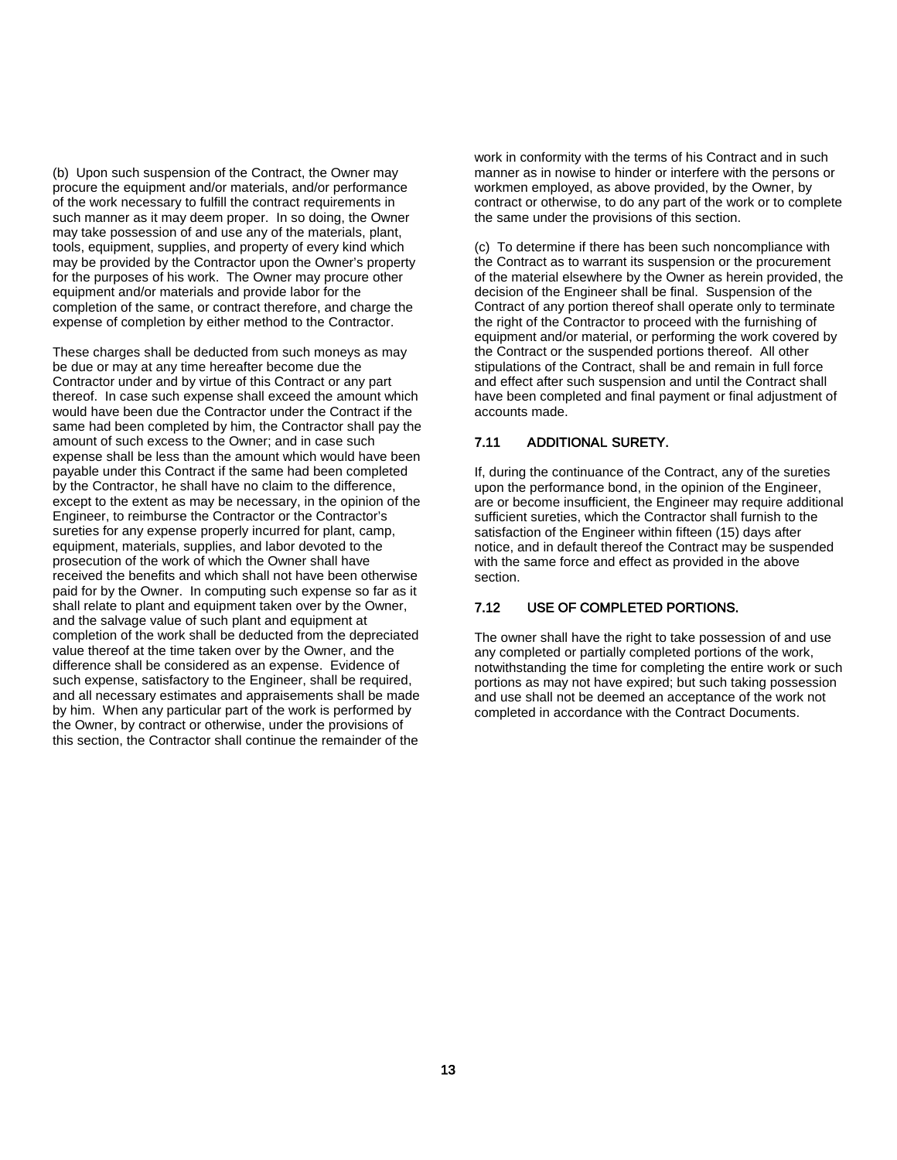(b) Upon such suspension of the Contract, the Owner may procure the equipment and/or materials, and/or performance of the work necessary to fulfill the contract requirements in such manner as it may deem proper. In so doing, the Owner may take possession of and use any of the materials, plant, tools, equipment, supplies, and property of every kind which may be provided by the Contractor upon the Owner's property for the purposes of his work. The Owner may procure other equipment and/or materials and provide labor for the completion of the same, or contract therefore, and charge the expense of completion by either method to the Contractor.

These charges shall be deducted from such moneys as may be due or may at any time hereafter become due the Contractor under and by virtue of this Contract or any part thereof. In case such expense shall exceed the amount which would have been due the Contractor under the Contract if the same had been completed by him, the Contractor shall pay the amount of such excess to the Owner; and in case such expense shall be less than the amount which would have been payable under this Contract if the same had been completed by the Contractor, he shall have no claim to the difference, except to the extent as may be necessary, in the opinion of the Engineer, to reimburse the Contractor or the Contractor's sureties for any expense properly incurred for plant, camp, equipment, materials, supplies, and labor devoted to the prosecution of the work of which the Owner shall have received the benefits and which shall not have been otherwise paid for by the Owner. In computing such expense so far as it shall relate to plant and equipment taken over by the Owner, and the salvage value of such plant and equipment at completion of the work shall be deducted from the depreciated value thereof at the time taken over by the Owner, and the difference shall be considered as an expense. Evidence of such expense, satisfactory to the Engineer, shall be required, and all necessary estimates and appraisements shall be made by him. When any particular part of the work is performed by the Owner, by contract or otherwise, under the provisions of this section, the Contractor shall continue the remainder of the

work in conformity with the terms of his Contract and in such manner as in nowise to hinder or interfere with the persons or workmen employed, as above provided, by the Owner, by contract or otherwise, to do any part of the work or to complete the same under the provisions of this section.

(c) To determine if there has been such noncompliance with the Contract as to warrant its suspension or the procurement of the material elsewhere by the Owner as herein provided, the decision of the Engineer shall be final. Suspension of the Contract of any portion thereof shall operate only to terminate the right of the Contractor to proceed with the furnishing of equipment and/or material, or performing the work covered by the Contract or the suspended portions thereof. All other stipulations of the Contract, shall be and remain in full force and effect after such suspension and until the Contract shall have been completed and final payment or final adjustment of accounts made.

#### 7.11 ADDITIONAL SURETY.

If, during the continuance of the Contract, any of the sureties upon the performance bond, in the opinion of the Engineer, are or become insufficient, the Engineer may require additional sufficient sureties, which the Contractor shall furnish to the satisfaction of the Engineer within fifteen (15) days after notice, and in default thereof the Contract may be suspended with the same force and effect as provided in the above section.

#### 7.12 USE OF COMPLETED PORTIONS.

The owner shall have the right to take possession of and use any completed or partially completed portions of the work, notwithstanding the time for completing the entire work or such portions as may not have expired; but such taking possession and use shall not be deemed an acceptance of the work not completed in accordance with the Contract Documents.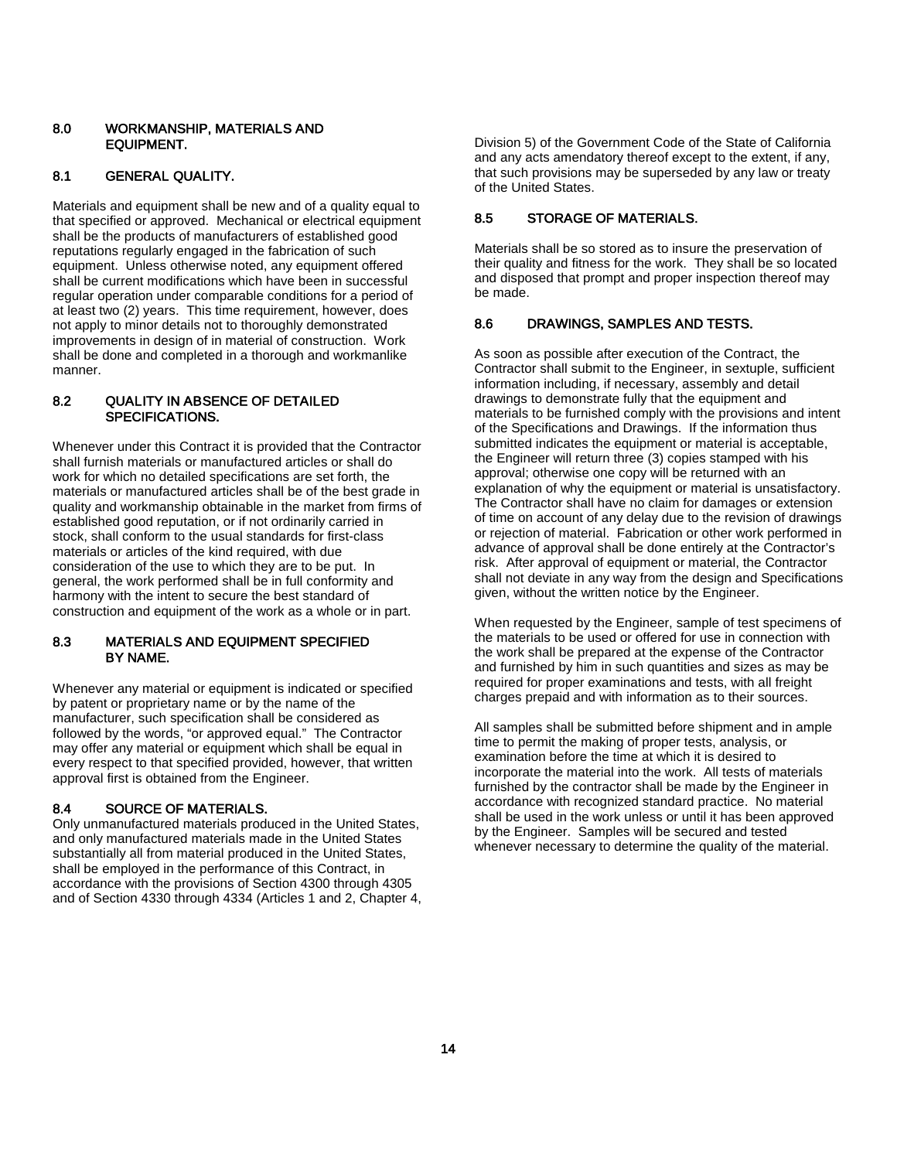#### 8.0 WORKMANSHIP, MATERIALS AND EQUIPMENT.

#### 8.1 GENERAL QUALITY.

Materials and equipment shall be new and of a quality equal to that specified or approved. Mechanical or electrical equipment shall be the products of manufacturers of established good reputations regularly engaged in the fabrication of such equipment. Unless otherwise noted, any equipment offered shall be current modifications which have been in successful regular operation under comparable conditions for a period of at least two (2) years. This time requirement, however, does not apply to minor details not to thoroughly demonstrated improvements in design of in material of construction. Work shall be done and completed in a thorough and workmanlike manner.

#### 8.2 QUALITY IN ABSENCE OF DETAILED SPECIFICATIONS.

Whenever under this Contract it is provided that the Contractor shall furnish materials or manufactured articles or shall do work for which no detailed specifications are set forth, the materials or manufactured articles shall be of the best grade in quality and workmanship obtainable in the market from firms of established good reputation, or if not ordinarily carried in stock, shall conform to the usual standards for first-class materials or articles of the kind required, with due consideration of the use to which they are to be put. In general, the work performed shall be in full conformity and harmony with the intent to secure the best standard of construction and equipment of the work as a whole or in part.

#### 8.3 MATERIALS AND EQUIPMENT SPECIFIED BY NAME.

Whenever any material or equipment is indicated or specified by patent or proprietary name or by the name of the manufacturer, such specification shall be considered as followed by the words, "or approved equal." The Contractor may offer any material or equipment which shall be equal in every respect to that specified provided, however, that written approval first is obtained from the Engineer.

#### 8.4 SOURCE OF MATERIALS.

Only unmanufactured materials produced in the United States, and only manufactured materials made in the United States substantially all from material produced in the United States, shall be employed in the performance of this Contract, in accordance with the provisions of Section 4300 through 4305 and of Section 4330 through 4334 (Articles 1 and 2, Chapter 4, Division 5) of the Government Code of the State of California and any acts amendatory thereof except to the extent, if any, that such provisions may be superseded by any law or treaty of the United States.

#### 8.5 STORAGE OF MATERIALS.

Materials shall be so stored as to insure the preservation of their quality and fitness for the work. They shall be so located and disposed that prompt and proper inspection thereof may be made.

#### 8.6 DRAWINGS, SAMPLES AND TESTS.

As soon as possible after execution of the Contract, the Contractor shall submit to the Engineer, in sextuple, sufficient information including, if necessary, assembly and detail drawings to demonstrate fully that the equipment and materials to be furnished comply with the provisions and intent of the Specifications and Drawings. If the information thus submitted indicates the equipment or material is acceptable, the Engineer will return three (3) copies stamped with his approval; otherwise one copy will be returned with an explanation of why the equipment or material is unsatisfactory. The Contractor shall have no claim for damages or extension of time on account of any delay due to the revision of drawings or rejection of material. Fabrication or other work performed in advance of approval shall be done entirely at the Contractor's risk. After approval of equipment or material, the Contractor shall not deviate in any way from the design and Specifications given, without the written notice by the Engineer.

When requested by the Engineer, sample of test specimens of the materials to be used or offered for use in connection with the work shall be prepared at the expense of the Contractor and furnished by him in such quantities and sizes as may be required for proper examinations and tests, with all freight charges prepaid and with information as to their sources.

All samples shall be submitted before shipment and in ample time to permit the making of proper tests, analysis, or examination before the time at which it is desired to incorporate the material into the work. All tests of materials furnished by the contractor shall be made by the Engineer in accordance with recognized standard practice. No material shall be used in the work unless or until it has been approved by the Engineer. Samples will be secured and tested whenever necessary to determine the quality of the material.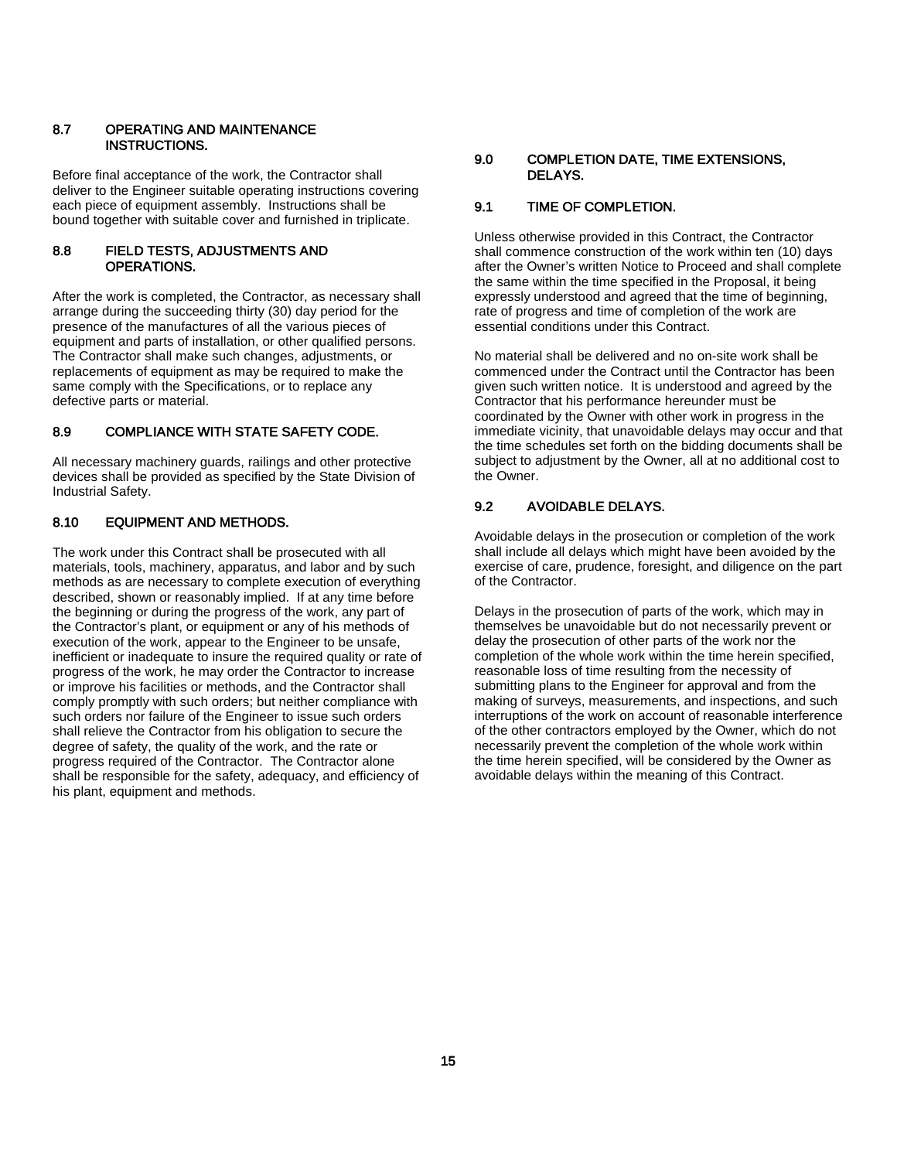#### 8.7 OPERATING AND MAINTENANCE INSTRUCTIONS.

Before final acceptance of the work, the Contractor shall deliver to the Engineer suitable operating instructions covering each piece of equipment assembly. Instructions shall be bound together with suitable cover and furnished in triplicate.

#### 8.8 FIELD TESTS, ADJUSTMENTS AND OPERATIONS.

After the work is completed, the Contractor, as necessary shall arrange during the succeeding thirty (30) day period for the presence of the manufactures of all the various pieces of equipment and parts of installation, or other qualified persons. The Contractor shall make such changes, adjustments, or replacements of equipment as may be required to make the same comply with the Specifications, or to replace any defective parts or material.

#### 8.9 COMPLIANCE WITH STATE SAFETY CODE.

All necessary machinery guards, railings and other protective devices shall be provided as specified by the State Division of Industrial Safety.

#### 8.10 EQUIPMENT AND METHODS.

The work under this Contract shall be prosecuted with all materials, tools, machinery, apparatus, and labor and by such methods as are necessary to complete execution of everything described, shown or reasonably implied. If at any time before the beginning or during the progress of the work, any part of the Contractor's plant, or equipment or any of his methods of execution of the work, appear to the Engineer to be unsafe, inefficient or inadequate to insure the required quality or rate of progress of the work, he may order the Contractor to increase or improve his facilities or methods, and the Contractor shall comply promptly with such orders; but neither compliance with such orders nor failure of the Engineer to issue such orders shall relieve the Contractor from his obligation to secure the degree of safety, the quality of the work, and the rate or progress required of the Contractor. The Contractor alone shall be responsible for the safety, adequacy, and efficiency of his plant, equipment and methods.

#### 9.0 COMPLETION DATE, TIME EXTENSIONS, DELAYS.

### 9.1 TIME OF COMPLETION.

Unless otherwise provided in this Contract, the Contractor shall commence construction of the work within ten (10) days after the Owner's written Notice to Proceed and shall complete the same within the time specified in the Proposal, it being expressly understood and agreed that the time of beginning, rate of progress and time of completion of the work are essential conditions under this Contract.

No material shall be delivered and no on-site work shall be commenced under the Contract until the Contractor has been given such written notice. It is understood and agreed by the Contractor that his performance hereunder must be coordinated by the Owner with other work in progress in the immediate vicinity, that unavoidable delays may occur and that the time schedules set forth on the bidding documents shall be subject to adjustment by the Owner, all at no additional cost to the Owner.

#### 9.2 AVOIDABLE DELAYS.

Avoidable delays in the prosecution or completion of the work shall include all delays which might have been avoided by the exercise of care, prudence, foresight, and diligence on the part of the Contractor.

Delays in the prosecution of parts of the work, which may in themselves be unavoidable but do not necessarily prevent or delay the prosecution of other parts of the work nor the completion of the whole work within the time herein specified, reasonable loss of time resulting from the necessity of submitting plans to the Engineer for approval and from the making of surveys, measurements, and inspections, and such interruptions of the work on account of reasonable interference of the other contractors employed by the Owner, which do not necessarily prevent the completion of the whole work within the time herein specified, will be considered by the Owner as avoidable delays within the meaning of this Contract.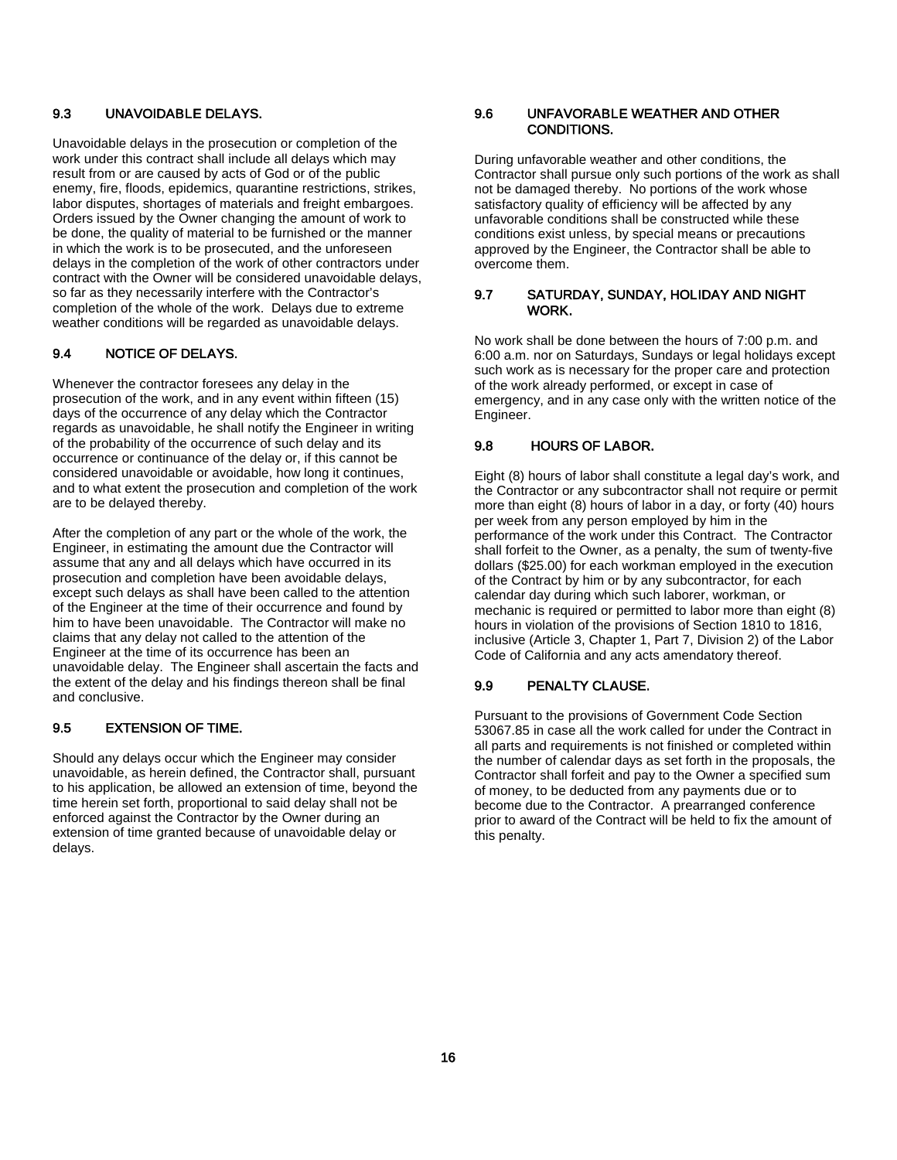#### 9.3 UNAVOIDABLE DELAYS.

Unavoidable delays in the prosecution or completion of the work under this contract shall include all delays which may result from or are caused by acts of God or of the public enemy, fire, floods, epidemics, quarantine restrictions, strikes, labor disputes, shortages of materials and freight embargoes. Orders issued by the Owner changing the amount of work to be done, the quality of material to be furnished or the manner in which the work is to be prosecuted, and the unforeseen delays in the completion of the work of other contractors under contract with the Owner will be considered unavoidable delays, so far as they necessarily interfere with the Contractor's completion of the whole of the work. Delays due to extreme weather conditions will be regarded as unavoidable delays.

#### 9.4 NOTICE OF DELAYS.

Whenever the contractor foresees any delay in the prosecution of the work, and in any event within fifteen (15) days of the occurrence of any delay which the Contractor regards as unavoidable, he shall notify the Engineer in writing of the probability of the occurrence of such delay and its occurrence or continuance of the delay or, if this cannot be considered unavoidable or avoidable, how long it continues, and to what extent the prosecution and completion of the work are to be delayed thereby.

After the completion of any part or the whole of the work, the Engineer, in estimating the amount due the Contractor will assume that any and all delays which have occurred in its prosecution and completion have been avoidable delays, except such delays as shall have been called to the attention of the Engineer at the time of their occurrence and found by him to have been unavoidable. The Contractor will make no claims that any delay not called to the attention of the Engineer at the time of its occurrence has been an unavoidable delay. The Engineer shall ascertain the facts and the extent of the delay and his findings thereon shall be final and conclusive.

#### 9.5 EXTENSION OF TIME.

Should any delays occur which the Engineer may consider unavoidable, as herein defined, the Contractor shall, pursuant to his application, be allowed an extension of time, beyond the time herein set forth, proportional to said delay shall not be enforced against the Contractor by the Owner during an extension of time granted because of unavoidable delay or delays.

#### 9.6 UNFAVORABLE WEATHER AND OTHER CONDITIONS.

During unfavorable weather and other conditions, the Contractor shall pursue only such portions of the work as shall not be damaged thereby. No portions of the work whose satisfactory quality of efficiency will be affected by any unfavorable conditions shall be constructed while these conditions exist unless, by special means or precautions approved by the Engineer, the Contractor shall be able to overcome them.

#### 9.7 SATURDAY, SUNDAY, HOLIDAY AND NIGHT WORK.

No work shall be done between the hours of 7:00 p.m. and 6:00 a.m. nor on Saturdays, Sundays or legal holidays except such work as is necessary for the proper care and protection of the work already performed, or except in case of emergency, and in any case only with the written notice of the Engineer.

#### 9.8 HOURS OF LABOR.

Eight (8) hours of labor shall constitute a legal day's work, and the Contractor or any subcontractor shall not require or permit more than eight (8) hours of labor in a day, or forty (40) hours per week from any person employed by him in the performance of the work under this Contract. The Contractor shall forfeit to the Owner, as a penalty, the sum of twenty-five dollars (\$25.00) for each workman employed in the execution of the Contract by him or by any subcontractor, for each calendar day during which such laborer, workman, or mechanic is required or permitted to labor more than eight (8) hours in violation of the provisions of Section 1810 to 1816, inclusive (Article 3, Chapter 1, Part 7, Division 2) of the Labor Code of California and any acts amendatory thereof.

#### 9.9 PENALTY CLAUSE.

Pursuant to the provisions of Government Code Section 53067.85 in case all the work called for under the Contract in all parts and requirements is not finished or completed within the number of calendar days as set forth in the proposals, the Contractor shall forfeit and pay to the Owner a specified sum of money, to be deducted from any payments due or to become due to the Contractor. A prearranged conference prior to award of the Contract will be held to fix the amount of this penalty.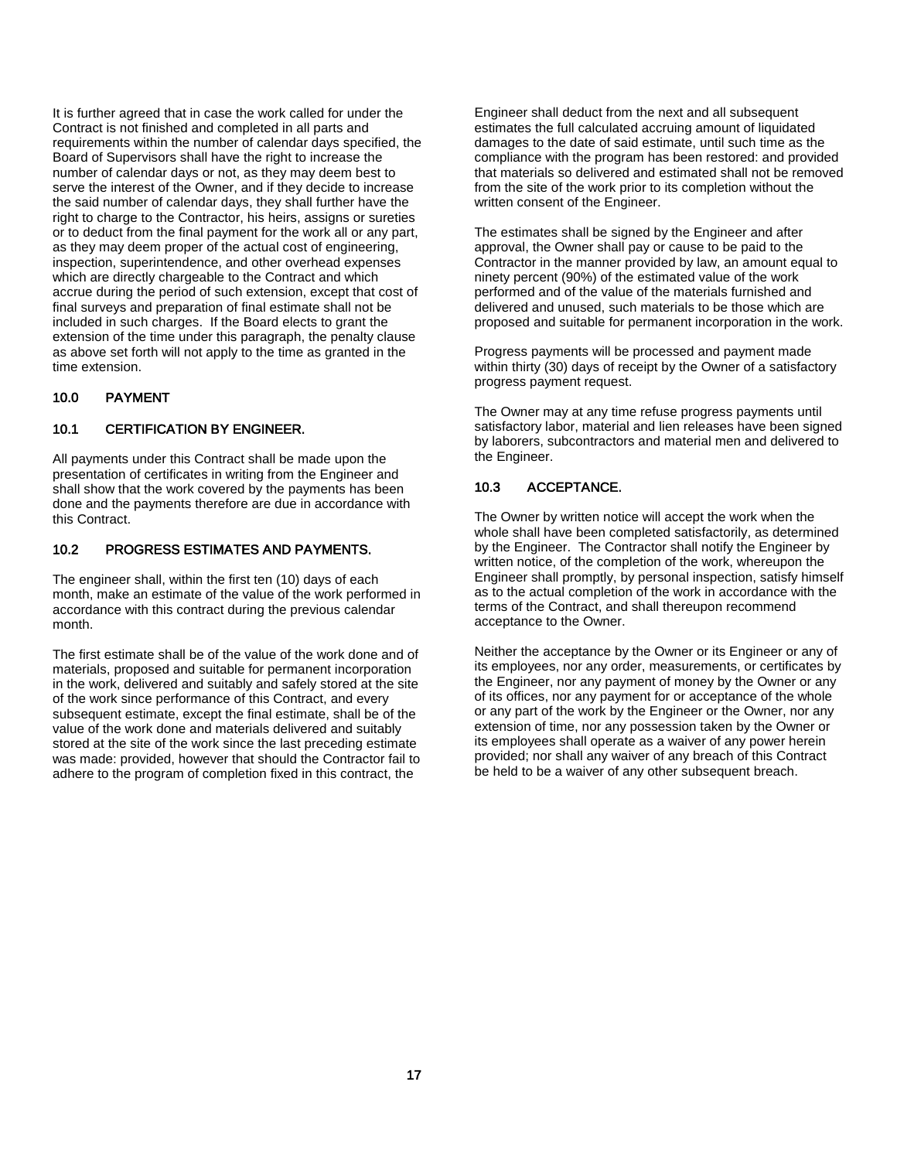It is further agreed that in case the work called for under the Contract is not finished and completed in all parts and requirements within the number of calendar days specified, the Board of Supervisors shall have the right to increase the number of calendar days or not, as they may deem best to serve the interest of the Owner, and if they decide to increase the said number of calendar days, they shall further have the right to charge to the Contractor, his heirs, assigns or sureties or to deduct from the final payment for the work all or any part, as they may deem proper of the actual cost of engineering, inspection, superintendence, and other overhead expenses which are directly chargeable to the Contract and which accrue during the period of such extension, except that cost of final surveys and preparation of final estimate shall not be included in such charges. If the Board elects to grant the extension of the time under this paragraph, the penalty clause as above set forth will not apply to the time as granted in the time extension.

#### 10.0 PAYMENT

#### 10.1 CERTIFICATION BY ENGINEER.

All payments under this Contract shall be made upon the presentation of certificates in writing from the Engineer and shall show that the work covered by the payments has been done and the payments therefore are due in accordance with this Contract.

#### 10.2 PROGRESS ESTIMATES AND PAYMENTS.

The engineer shall, within the first ten (10) days of each month, make an estimate of the value of the work performed in accordance with this contract during the previous calendar month.

The first estimate shall be of the value of the work done and of materials, proposed and suitable for permanent incorporation in the work, delivered and suitably and safely stored at the site of the work since performance of this Contract, and every subsequent estimate, except the final estimate, shall be of the value of the work done and materials delivered and suitably stored at the site of the work since the last preceding estimate was made: provided, however that should the Contractor fail to adhere to the program of completion fixed in this contract, the

Engineer shall deduct from the next and all subsequent estimates the full calculated accruing amount of liquidated damages to the date of said estimate, until such time as the compliance with the program has been restored: and provided that materials so delivered and estimated shall not be removed from the site of the work prior to its completion without the written consent of the Engineer.

The estimates shall be signed by the Engineer and after approval, the Owner shall pay or cause to be paid to the Contractor in the manner provided by law, an amount equal to ninety percent (90%) of the estimated value of the work performed and of the value of the materials furnished and delivered and unused, such materials to be those which are proposed and suitable for permanent incorporation in the work.

Progress payments will be processed and payment made within thirty (30) days of receipt by the Owner of a satisfactory progress payment request.

The Owner may at any time refuse progress payments until satisfactory labor, material and lien releases have been signed by laborers, subcontractors and material men and delivered to the Engineer.

#### 10.3 ACCEPTANCE.

The Owner by written notice will accept the work when the whole shall have been completed satisfactorily, as determined by the Engineer. The Contractor shall notify the Engineer by written notice, of the completion of the work, whereupon the Engineer shall promptly, by personal inspection, satisfy himself as to the actual completion of the work in accordance with the terms of the Contract, and shall thereupon recommend acceptance to the Owner.

Neither the acceptance by the Owner or its Engineer or any of its employees, nor any order, measurements, or certificates by the Engineer, nor any payment of money by the Owner or any of its offices, nor any payment for or acceptance of the whole or any part of the work by the Engineer or the Owner, nor any extension of time, nor any possession taken by the Owner or its employees shall operate as a waiver of any power herein provided; nor shall any waiver of any breach of this Contract be held to be a waiver of any other subsequent breach.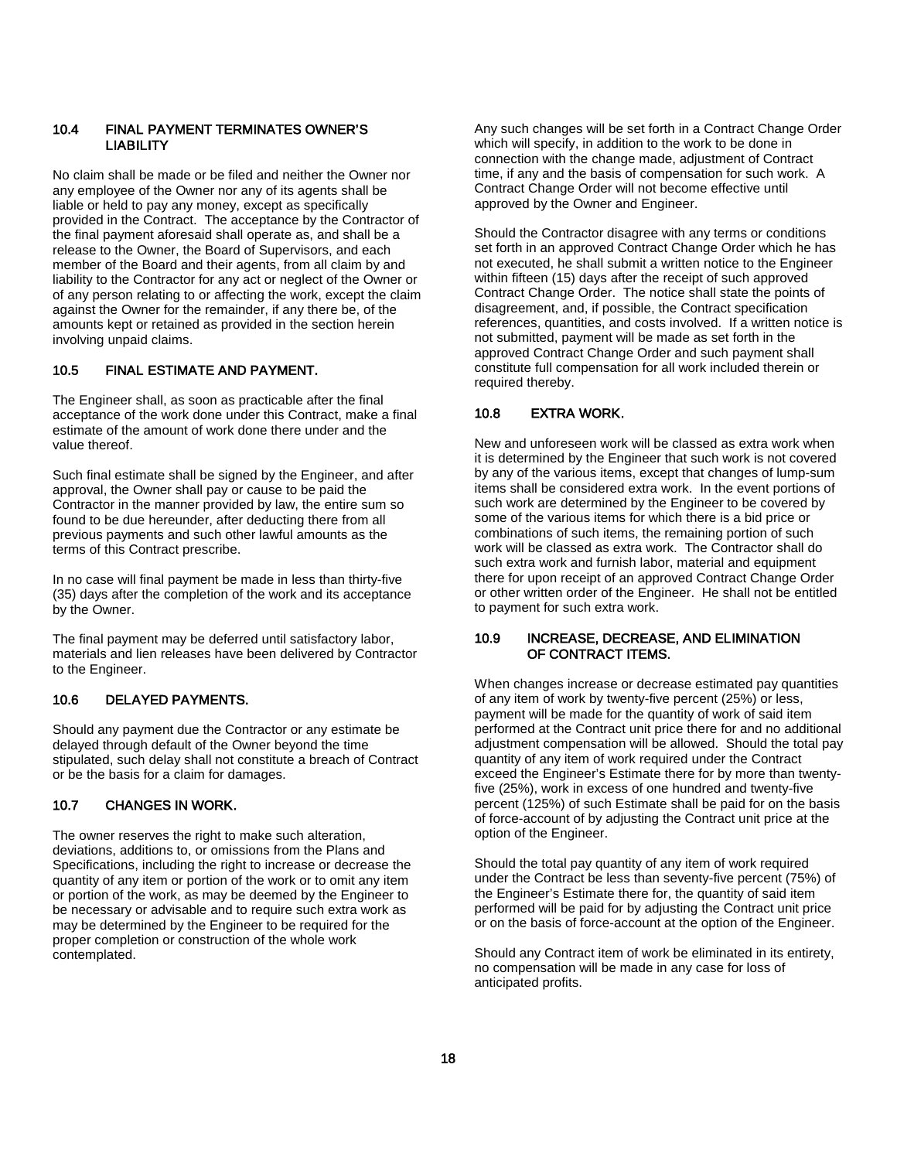#### 10.4 FINAL PAYMENT TERMINATES OWNER'S **LIABILITY**

No claim shall be made or be filed and neither the Owner nor any employee of the Owner nor any of its agents shall be liable or held to pay any money, except as specifically provided in the Contract. The acceptance by the Contractor of the final payment aforesaid shall operate as, and shall be a release to the Owner, the Board of Supervisors, and each member of the Board and their agents, from all claim by and liability to the Contractor for any act or neglect of the Owner or of any person relating to or affecting the work, except the claim against the Owner for the remainder, if any there be, of the amounts kept or retained as provided in the section herein involving unpaid claims.

#### 10.5 FINAL ESTIMATE AND PAYMENT.

The Engineer shall, as soon as practicable after the final acceptance of the work done under this Contract, make a final estimate of the amount of work done there under and the value thereof.

Such final estimate shall be signed by the Engineer, and after approval, the Owner shall pay or cause to be paid the Contractor in the manner provided by law, the entire sum so found to be due hereunder, after deducting there from all previous payments and such other lawful amounts as the terms of this Contract prescribe.

In no case will final payment be made in less than thirty-five (35) days after the completion of the work and its acceptance by the Owner.

The final payment may be deferred until satisfactory labor, materials and lien releases have been delivered by Contractor to the Engineer.

#### 10.6 DELAYED PAYMENTS.

Should any payment due the Contractor or any estimate be delayed through default of the Owner beyond the time stipulated, such delay shall not constitute a breach of Contract or be the basis for a claim for damages.

#### 10.7 CHANGES IN WORK.

The owner reserves the right to make such alteration, deviations, additions to, or omissions from the Plans and Specifications, including the right to increase or decrease the quantity of any item or portion of the work or to omit any item or portion of the work, as may be deemed by the Engineer to be necessary or advisable and to require such extra work as may be determined by the Engineer to be required for the proper completion or construction of the whole work contemplated.

Any such changes will be set forth in a Contract Change Order which will specify, in addition to the work to be done in connection with the change made, adjustment of Contract time, if any and the basis of compensation for such work. A Contract Change Order will not become effective until approved by the Owner and Engineer.

Should the Contractor disagree with any terms or conditions set forth in an approved Contract Change Order which he has not executed, he shall submit a written notice to the Engineer within fifteen (15) days after the receipt of such approved Contract Change Order. The notice shall state the points of disagreement, and, if possible, the Contract specification references, quantities, and costs involved. If a written notice is not submitted, payment will be made as set forth in the approved Contract Change Order and such payment shall constitute full compensation for all work included therein or required thereby.

#### 10.8 EXTRA WORK.

New and unforeseen work will be classed as extra work when it is determined by the Engineer that such work is not covered by any of the various items, except that changes of lump-sum items shall be considered extra work. In the event portions of such work are determined by the Engineer to be covered by some of the various items for which there is a bid price or combinations of such items, the remaining portion of such work will be classed as extra work. The Contractor shall do such extra work and furnish labor, material and equipment there for upon receipt of an approved Contract Change Order or other written order of the Engineer. He shall not be entitled to payment for such extra work.

#### 10.9 INCREASE, DECREASE, AND ELIMINATION OF CONTRACT ITEMS.

When changes increase or decrease estimated pay quantities of any item of work by twenty-five percent (25%) or less, payment will be made for the quantity of work of said item performed at the Contract unit price there for and no additional adjustment compensation will be allowed. Should the total pay quantity of any item of work required under the Contract exceed the Engineer's Estimate there for by more than twentyfive (25%), work in excess of one hundred and twenty-five percent (125%) of such Estimate shall be paid for on the basis of force-account of by adjusting the Contract unit price at the option of the Engineer.

Should the total pay quantity of any item of work required under the Contract be less than seventy-five percent (75%) of the Engineer's Estimate there for, the quantity of said item performed will be paid for by adjusting the Contract unit price or on the basis of force-account at the option of the Engineer.

Should any Contract item of work be eliminated in its entirety, no compensation will be made in any case for loss of anticipated profits.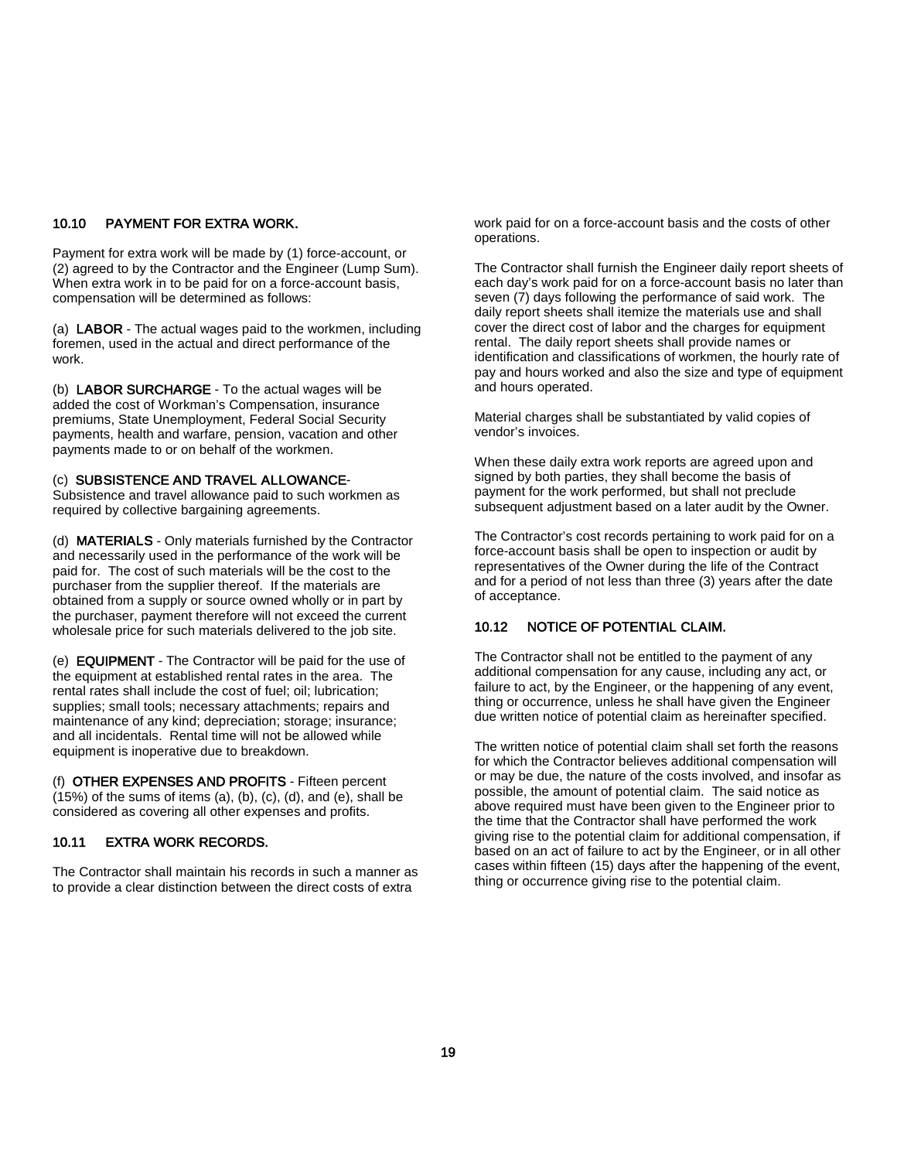#### 10.10 PAYMENT FOR EXTRA WORK.

Payment for extra work will be made by (1) force-account, or (2) agreed to by the Contractor and the Engineer (Lump Sum). When extra work in to be paid for on a force-account basis, compensation will be determined as follows:

(a) LABOR - The actual wages paid to the workmen, including foremen, used in the actual and direct performance of the work.

(b) LABOR SURCHARGE - To the actual wages will be added the cost of Workman's Compensation, insurance premiums, State Unemployment, Federal Social Security payments, health and warfare, pension, vacation and other payments made to or on behalf of the workmen.

#### (c) SUBSISTENCE AND TRAVEL ALLOWANCE-

Subsistence and travel allowance paid to such workmen as required by collective bargaining agreements.

(d) MATERIALS - Only materials furnished by the Contractor and necessarily used in the performance of the work will be paid for. The cost of such materials will be the cost to the purchaser from the supplier thereof. If the materials are obtained from a supply or source owned wholly or in part by the purchaser, payment therefore will not exceed the current wholesale price for such materials delivered to the job site.

(e) EQUIPMENT - The Contractor will be paid for the use of the equipment at established rental rates in the area. The rental rates shall include the cost of fuel; oil; lubrication; supplies; small tools; necessary attachments; repairs and maintenance of any kind; depreciation; storage; insurance; and all incidentals. Rental time will not be allowed while equipment is inoperative due to breakdown.

(f) OTHER EXPENSES AND PROFITS - Fifteen percent  $(15%)$  of the sums of items (a), (b), (c), (d), and (e), shall be considered as covering all other expenses and profits.

#### 10.11 EXTRA WORK RECORDS.

The Contractor shall maintain his records in such a manner as to provide a clear distinction between the direct costs of extra

work paid for on a force-account basis and the costs of other operations.

The Contractor shall furnish the Engineer daily report sheets of each day's work paid for on a force-account basis no later than seven (7) days following the performance of said work. The daily report sheets shall itemize the materials use and shall cover the direct cost of labor and the charges for equipment rental. The daily report sheets shall provide names or identification and classifications of workmen, the hourly rate of pay and hours worked and also the size and type of equipment and hours operated.

Material charges shall be substantiated by valid copies of vendor's invoices.

When these daily extra work reports are agreed upon and signed by both parties, they shall become the basis of payment for the work performed, but shall not preclude subsequent adjustment based on a later audit by the Owner.

The Contractor's cost records pertaining to work paid for on a force-account basis shall be open to inspection or audit by representatives of the Owner during the life of the Contract and for a period of not less than three (3) years after the date of acceptance.

#### 10.12 NOTICE OF POTENTIAL CLAIM.

The Contractor shall not be entitled to the payment of any additional compensation for any cause, including any act, or failure to act, by the Engineer, or the happening of any event, thing or occurrence, unless he shall have given the Engineer due written notice of potential claim as hereinafter specified.

The written notice of potential claim shall set forth the reasons for which the Contractor believes additional compensation will or may be due, the nature of the costs involved, and insofar as possible, the amount of potential claim. The said notice as above required must have been given to the Engineer prior to the time that the Contractor shall have performed the work giving rise to the potential claim for additional compensation, if based on an act of failure to act by the Engineer, or in all other cases within fifteen (15) days after the happening of the event, thing or occurrence giving rise to the potential claim.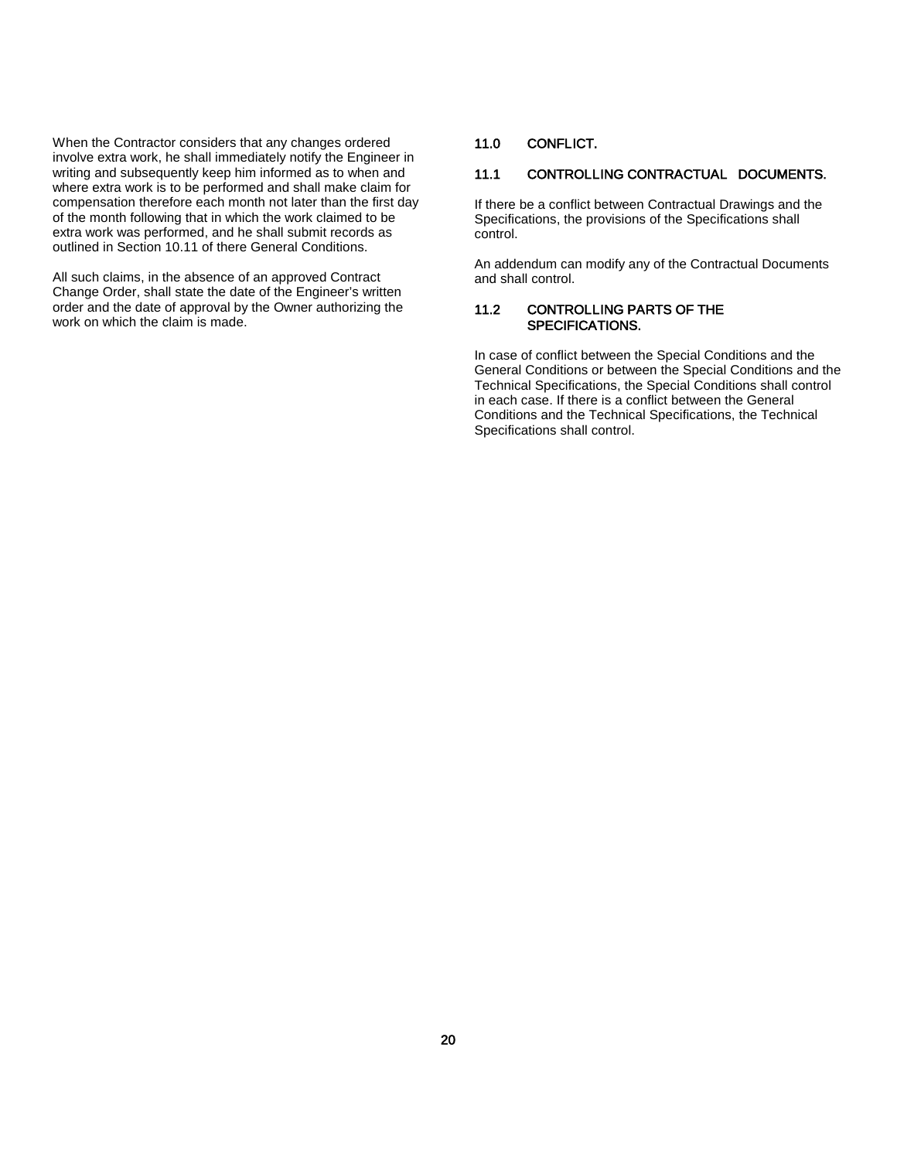When the Contractor considers that any changes ordered involve extra work, he shall immediately notify the Engineer in writing and subsequently keep him informed as to when and where extra work is to be performed and shall make claim for compensation therefore each month not later than the first day of the month following that in which the work claimed to be extra work was performed, and he shall submit records as outlined in Section 10.11 of there General Conditions.

All such claims, in the absence of an approved Contract Change Order, shall state the date of the Engineer's written order and the date of approval by the Owner authorizing the work on which the claim is made.

#### 11.0 CONFLICT.

#### 11.1 CONTROLLING CONTRACTUAL DOCUMENTS.

If there be a conflict between Contractual Drawings and the Specifications, the provisions of the Specifications shall control.

An addendum can modify any of the Contractual Documents and shall control.

#### 11.2 CONTROLLING PARTS OF THE SPECIFICATIONS.

In case of conflict between the Special Conditions and the General Conditions or between the Special Conditions and the Technical Specifications, the Special Conditions shall control in each case. If there is a conflict between the General Conditions and the Technical Specifications, the Technical Specifications shall control.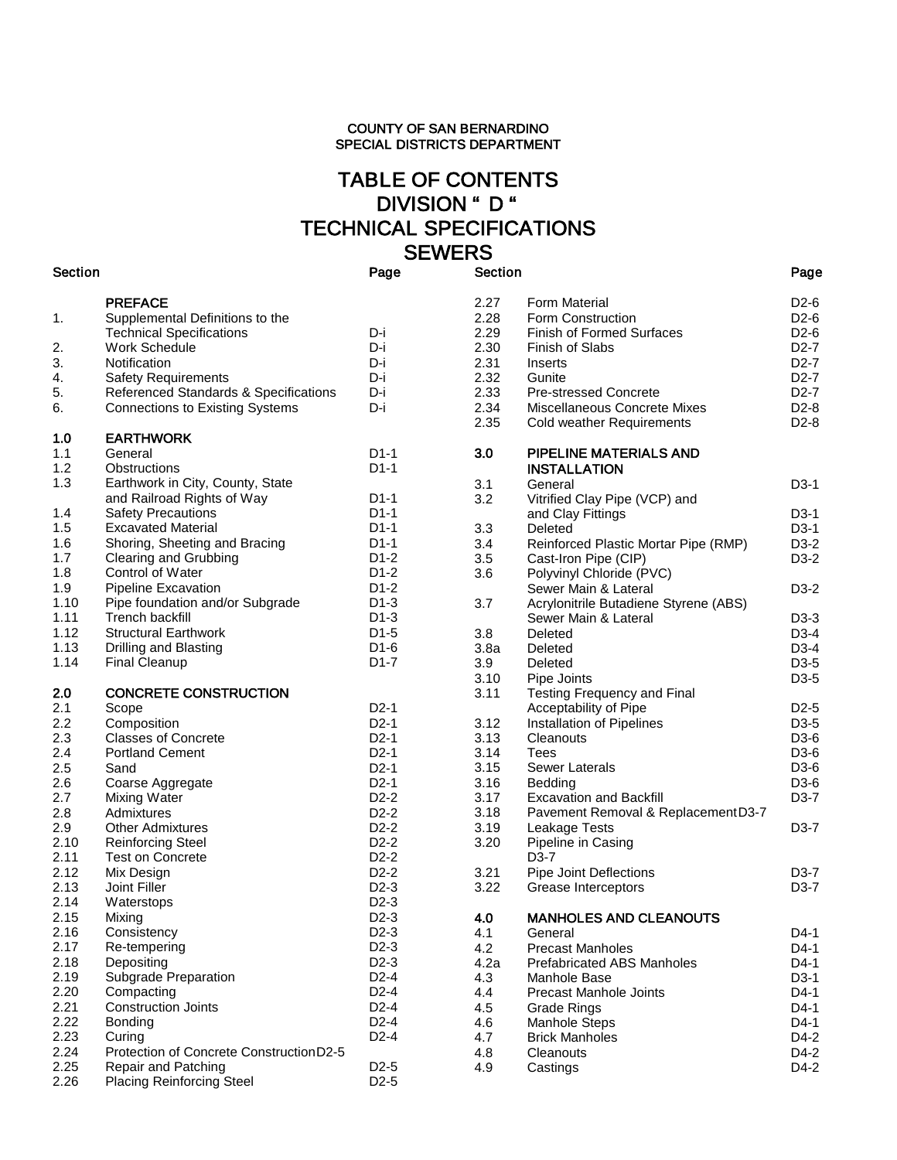# TABLE OF CONTENTS DIVISION " D " TECHNICAL SPECIFICATIONS<br>SEWERS SEWERS<br>Section Page Sec

| 1.<br>2.<br>3.<br>4.<br>5.<br>6.                                                                                                                                                           | <b>PREFACE</b><br>Supplemental Definitions to the<br><b>Technical Specifications</b><br><b>Work Schedule</b><br>Notification<br><b>Safety Requirements</b><br>Referenced Standards & Specifications<br><b>Connections to Existing Systems</b>                                                                                                                                                                                                                                                                         | D-i<br>D-i<br>D-i<br>D-i<br>D-i<br>D-i                                                                                                                                                                                                                                                                                                       |
|--------------------------------------------------------------------------------------------------------------------------------------------------------------------------------------------|-----------------------------------------------------------------------------------------------------------------------------------------------------------------------------------------------------------------------------------------------------------------------------------------------------------------------------------------------------------------------------------------------------------------------------------------------------------------------------------------------------------------------|----------------------------------------------------------------------------------------------------------------------------------------------------------------------------------------------------------------------------------------------------------------------------------------------------------------------------------------------|
| 1.0<br>1.1<br>1.2<br>1.3<br>1.4<br>1.5<br>1.6<br>1.7<br>1.8<br>1.9<br>1.10<br>1.11<br>1.12<br>1.13<br>1.14                                                                                 | <b>EARTHWORK</b><br>General<br>Obstructions<br>Earthwork in City, County, State<br>and Railroad Rights of Way<br><b>Safety Precautions</b><br><b>Excavated Material</b><br>Shoring, Sheeting and Bracing<br><b>Clearing and Grubbing</b><br><b>Control of Water</b><br><b>Pipeline Excavation</b><br>Pipe foundation and/or Subgrade<br>Trench backfill<br><b>Structural Earthwork</b><br>Drilling and Blasting<br><b>Final Cleanup</b>                                                                               | $D1-1$<br>D1-1<br>$D1-1$<br>D1-1<br>D1-1<br>D1-1<br>$D1-2$<br>D1-2<br>$D1-2$<br>$D1-3$<br>D1-3<br>D <sub>1</sub> -5<br>D1-6<br>D1-7                                                                                                                                                                                                          |
| 2.0<br>2.1<br>2.2<br>2.3<br>2.4<br>2.5<br>2.6<br>2.7<br>2.8<br>2.9<br>2.10<br>2.11<br>2.12<br>2.13<br>2.14<br>2.15<br>2.16<br>2.17<br>2.18<br>2.19<br>2.20<br>2.21<br>2.22<br>2.23<br>2.24 | <b>CONCRETE CONSTRUCTION</b><br>Scope<br>Composition<br><b>Classes of Concrete</b><br><b>Portland Cement</b><br>Sand<br>Coarse Aggregate<br><b>Mixing Water</b><br>Admixtures<br><b>Other Admixtures</b><br><b>Reinforcing Steel</b><br><b>Test on Concrete</b><br>Mix Design<br><b>Joint Filler</b><br>Waterstops<br>Mixing<br>Consistency<br>Re-tempering<br>Depositing<br>Subgrade Preparation<br>Compacting<br><b>Construction Joints</b><br><b>Bonding</b><br>Curing<br>Protection of Concrete Construction D2-5 | D <sub>2</sub> -1<br>D2-1<br>$D2-1$<br>$D2-1$<br>$D2-1$<br>$D2-1$<br>D <sub>2</sub> -2<br>$D2-2$<br>D <sub>2</sub> -2<br>D <sub>2</sub> -2<br>$D2-2$<br>$D2-2$<br>$D2-3$<br>D <sub>2</sub> -3<br>$D2-3$<br>D <sub>2</sub> -3<br>D2-3<br>D <sub>2</sub> -3<br>D <sub>2</sub> -4<br>$D2-4$<br>D <sub>2</sub> -4<br>$D2-4$<br>D <sub>2</sub> -4 |
| 2.25<br>2.26                                                                                                                                                                               | Repair and Patching<br><b>Placing Reinforcing Steel</b>                                                                                                                                                                                                                                                                                                                                                                                                                                                               | D <sub>2</sub> -5<br>D <sub>2</sub> -5                                                                                                                                                                                                                                                                                                       |

| Section                                                                                                    |                                                                                                                                                                                                                                                                                                                                           | Page                                                                                                                                                                                                         |
|------------------------------------------------------------------------------------------------------------|-------------------------------------------------------------------------------------------------------------------------------------------------------------------------------------------------------------------------------------------------------------------------------------------------------------------------------------------|--------------------------------------------------------------------------------------------------------------------------------------------------------------------------------------------------------------|
| 2.27<br>2.28<br>2.29<br>2.30<br>2.31<br>2.32<br>2.33<br>2.34<br>2.35                                       | <b>Form Material</b><br>Form Construction<br><b>Finish of Formed Surfaces</b><br><b>Finish of Slabs</b><br>Inserts<br>Gunite<br><b>Pre-stressed Concrete</b><br>Miscellaneous Concrete Mixes<br><b>Cold weather Requirements</b>                                                                                                          | D <sub>2</sub> -6<br>D <sub>2</sub> -6<br>D <sub>2</sub> -6<br>D <sub>2</sub> -7<br>D <sub>2</sub> -7<br>D <sub>2</sub> -7<br>D2-7<br>D <sub>2</sub> -8<br>$D2-8$                                            |
| 3.0                                                                                                        | PIPELINE MATERIALS AND<br><b>INSTALLATION</b>                                                                                                                                                                                                                                                                                             |                                                                                                                                                                                                              |
| 3.1<br>3.2                                                                                                 | General<br>Vitrified Clay Pipe (VCP) and                                                                                                                                                                                                                                                                                                  | $D3-1$                                                                                                                                                                                                       |
| 3.3<br>3.4<br>3.5                                                                                          | and Clay Fittings<br>Deleted<br>Reinforced Plastic Mortar Pipe (RMP)<br>Cast-Iron Pipe (CIP)                                                                                                                                                                                                                                              | $D3-1$<br>D3-1<br>D <sub>3</sub> -2<br>D <sub>3</sub> -2                                                                                                                                                     |
| 3.6<br>3.7                                                                                                 | Polyvinyl Chloride (PVC)<br>Sewer Main & Lateral<br>Acrylonitrile Butadiene Styrene (ABS)                                                                                                                                                                                                                                                 | D <sub>3</sub> -2                                                                                                                                                                                            |
| 3.8<br>3.8a<br>3.9<br>3.10<br>3.11<br>3.12<br>3.13<br>3.14<br>3.15<br>3.16<br>3.17<br>3.18<br>3.19<br>3.20 | Sewer Main & Lateral<br>Deleted<br>Deleted<br>Deleted<br>Pipe Joints<br><b>Testing Frequency and Final</b><br>Acceptability of Pipe<br>Installation of Pipelines<br>Cleanouts<br>Tees<br>Sewer Laterals<br>Bedding<br><b>Excavation and Backfill</b><br>Pavement Removal & ReplacementD3-7<br>Leakage Tests<br>Pipeline in Casing<br>D3-7 | D <sub>3</sub> -3<br>D <sub>3</sub> -4<br>D <sub>3</sub> -4<br>D <sub>3</sub> -5<br>D <sub>3</sub> -5<br>D <sub>2</sub> -5<br>D3-5<br>D3-6<br>D <sub>3</sub> -6<br>D3-6<br>D <sub>3</sub> -6<br>D3-7<br>D3-7 |
| 3.21<br>3.22                                                                                               | Pipe Joint Deflections<br>Grease Interceptors                                                                                                                                                                                                                                                                                             | D3-7<br>D3-7                                                                                                                                                                                                 |
| 4.0<br>4.1<br>4.2<br>4.2a<br>4.3<br>4.4<br>4.5<br>4.6<br>4.7<br>4.8<br>4.9                                 | <b>MANHOLES AND CLEANOUTS</b><br>General<br><b>Precast Manholes</b><br><b>Prefabricated ABS Manholes</b><br>Manhole Base<br><b>Precast Manhole Joints</b><br>Grade Rings<br><b>Manhole Steps</b><br><b>Brick Manholes</b><br>Cleanouts<br>Castings                                                                                        | $D4-1$<br>D4-1<br>D4-1<br>D <sub>3</sub> -1<br>D4-1<br>$D4-1$<br>D4-1<br>D4-2<br>D4-2<br>D4-2                                                                                                                |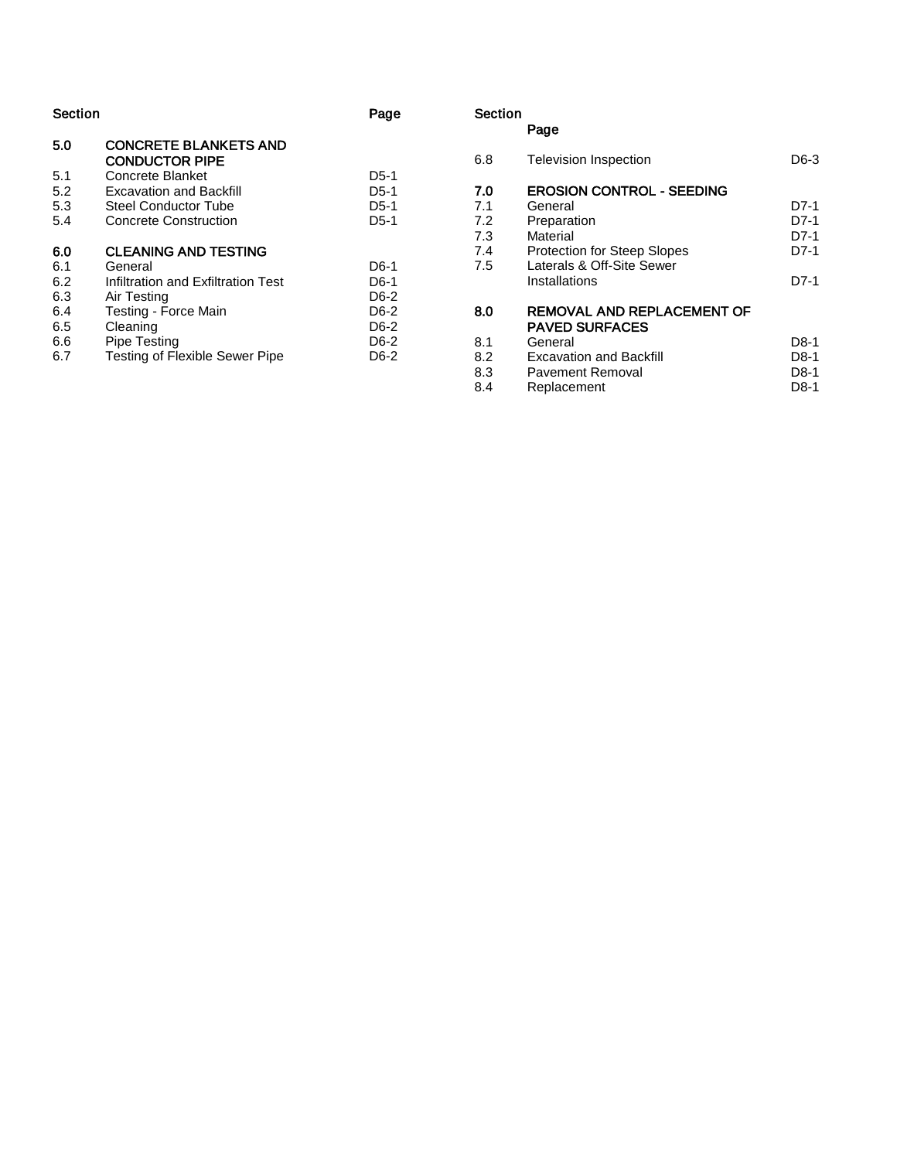| Section |                                                       | Page   |
|---------|-------------------------------------------------------|--------|
| 5.0     | <b>CONCRETE BLANKETS AND</b><br><b>CONDUCTOR PIPE</b> |        |
| 5.1     | Concrete Blanket                                      | $D5-1$ |
| 5.2     | <b>Excavation and Backfill</b>                        | $D5-1$ |
| 5.3     | Steel Conductor Tube                                  | $D5-1$ |
| 5.4     | <b>Concrete Construction</b>                          | $D5-1$ |
| 6.0     | <b>CLEANING AND TESTING</b>                           |        |
| 6.1     | General                                               | D6-1   |
| 6.2     | Infiltration and Exfiltration Test                    | D6-1   |
| 6.3     | Air Testing                                           | D6-2   |
| 6.4     | Testing - Force Main                                  | D6-2   |
| 6.5     | Cleaning                                              | D6-2   |
| 6.6     | Pipe Testing                                          | D6-2   |
| 6.7     | Testing of Flexible Sewer Pipe                        | D6-2   |

#### Section Page

6.8 Television Inspection - 3  $7.0$ <br> $7.1$  EROSION CONTROL - SEEDING 7.1 General<br>7.2 Preparat - 1 7.2 Preparation D7 - 1 7.3 Material D7 - 1 7.4 Protection for Steep Slopes **D7** - 1 7.5 Laterals & Off -Site Sewer Installations - 1 8.0 REMOVAL AND REPLACEMENT OF PAVED SURFACES 8.1 General - 1  $8.2$ <br> $8.3$ Excavation and Backfill - 1 8.3 Pavement Removal<br>8.4 Replacement - 1 - 1

Replacement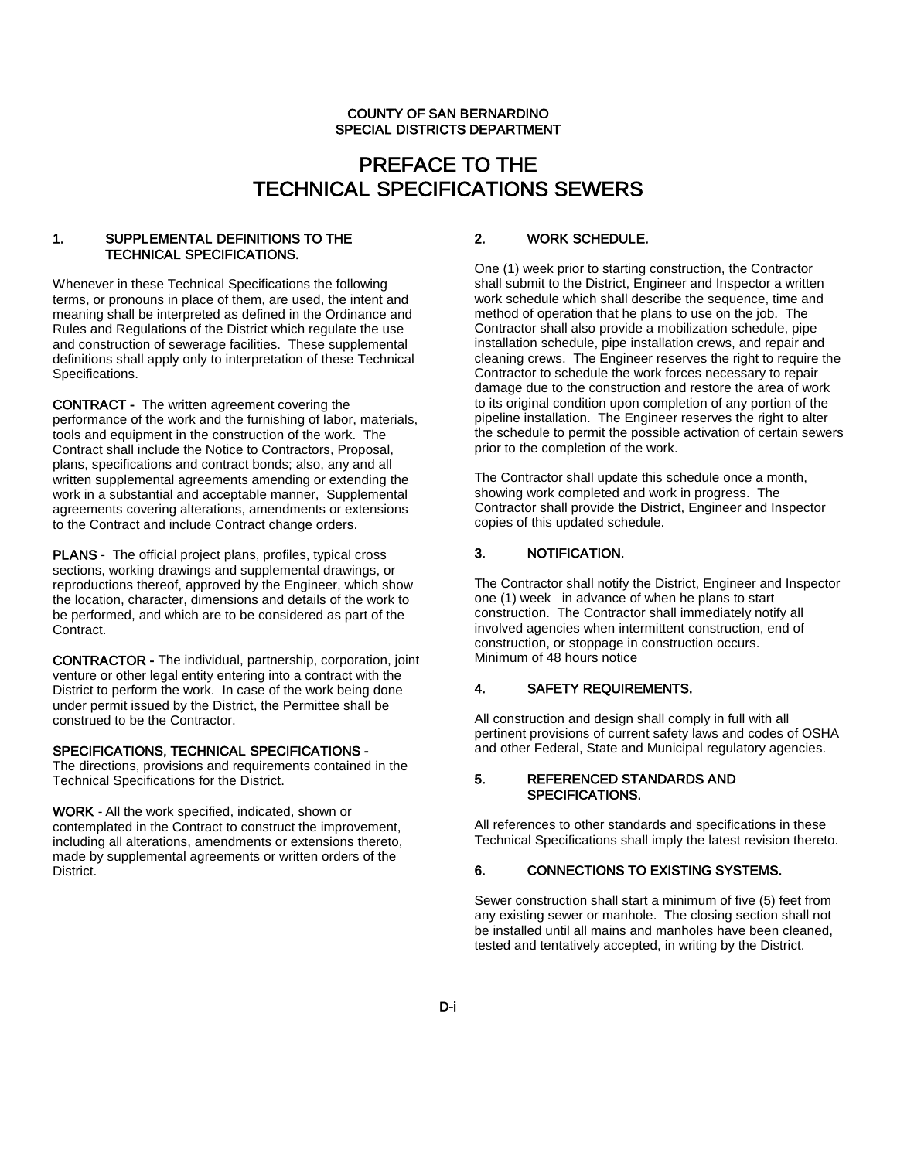# PREFACE TO THE TECHNICAL SPECIFICATIONS SEWERS

#### 1. SUPPLEMENTAL DEFINITIONS TO THE TECHNICAL SPECIFICATIONS.

Whenever in these Technical Specifications the following terms, or pronouns in place of them, are used, the intent and meaning shall be interpreted as defined in the Ordinance and Rules and Regulations of the District which regulate the use and construction of sewerage facilities. These supplemental definitions shall apply only to interpretation of these Technical Specifications.

CONTRACT - The written agreement covering the performance of the work and the furnishing of labor, materials, tools and equipment in the construction of the work. The Contract shall include the Notice to Contractors, Proposal, plans, specifications and contract bonds; also, any and all written supplemental agreements amending or extending the work in a substantial and acceptable manner, Supplemental agreements covering alterations, amendments or extensions to the Contract and include Contract change orders.

PLANS - The official project plans, profiles, typical cross sections, working drawings and supplemental drawings, or reproductions thereof, approved by the Engineer, which show the location, character, dimensions and details of the work to be performed, and which are to be considered as part of the Contract.

CONTRACTOR - The individual, partnership, corporation, joint venture or other legal entity entering into a contract with the District to perform the work. In case of the work being done under permit issued by the District, the Permittee shall be construed to be the Contractor.

#### SPECIFICATIONS, TECHNICAL SPECIFICATIONS -

The directions, provisions and requirements contained in the Technical Specifications for the District.

WORK - All the work specified, indicated, shown or contemplated in the Contract to construct the improvement, including all alterations, amendments or extensions thereto, made by supplemental agreements or written orders of the District.

#### 2. WORK SCHEDULE.

One (1) week prior to starting construction, the Contractor shall submit to the District, Engineer and Inspector a written work schedule which shall describe the sequence, time and method of operation that he plans to use on the job. The Contractor shall also provide a mobilization schedule, pipe installation schedule, pipe installation crews, and repair and cleaning crews. The Engineer reserves the right to require the Contractor to schedule the work forces necessary to repair damage due to the construction and restore the area of work to its original condition upon completion of any portion of the pipeline installation. The Engineer reserves the right to alter the schedule to permit the possible activation of certain sewers prior to the completion of the work.

The Contractor shall update this schedule once a month, showing work completed and work in progress. The Contractor shall provide the District, Engineer and Inspector copies of this updated schedule.

#### 3. NOTIFICATION.

The Contractor shall notify the District, Engineer and Inspector one (1) week in advance of when he plans to start construction. The Contractor shall immediately notify all involved agencies when intermittent construction, end of construction, or stoppage in construction occurs. Minimum of 48 hours notice

#### 4. SAFETY REQUIREMENTS.

All construction and design shall comply in full with all pertinent provisions of current safety laws and codes of OSHA and other Federal, State and Municipal regulatory agencies.

#### 5. REFERENCED STANDARDS AND SPECIFICATIONS.

All references to other standards and specifications in these Technical Specifications shall imply the latest revision thereto.

#### 6. CONNECTIONS TO EXISTING SYSTEMS.

Sewer construction shall start a minimum of five (5) feet from any existing sewer or manhole. The closing section shall not be installed until all mains and manholes have been cleaned, tested and tentatively accepted, in writing by the District.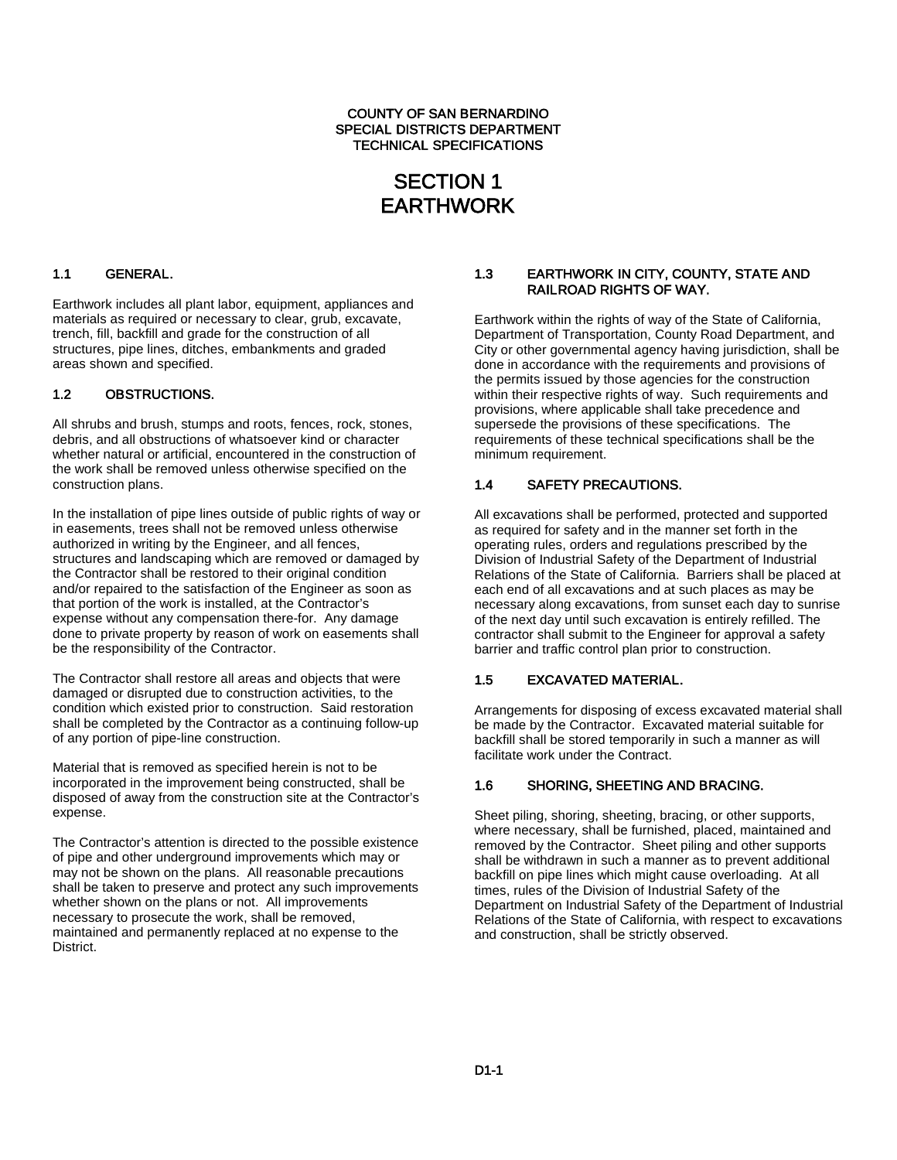#### COUNTY OF SAN BERNARDINO SPECIAL DISTRICTS DEPARTMENT TECHNICAL SPECIFICATIONS

## SECTION 1 EARTHWORK

#### 1.1 GENERAL.

Earthwork includes all plant labor, equipment, appliances and materials as required or necessary to clear, grub, excavate, trench, fill, backfill and grade for the construction of all structures, pipe lines, ditches, embankments and graded areas shown and specified.

#### 1.2 OBSTRUCTIONS.

All shrubs and brush, stumps and roots, fences, rock, stones, debris, and all obstructions of whatsoever kind or character whether natural or artificial, encountered in the construction of the work shall be removed unless otherwise specified on the construction plans.

In the installation of pipe lines outside of public rights of way or in easements, trees shall not be removed unless otherwise authorized in writing by the Engineer, and all fences, structures and landscaping which are removed or damaged by the Contractor shall be restored to their original condition and/or repaired to the satisfaction of the Engineer as soon as that portion of the work is installed, at the Contractor's expense without any compensation there-for. Any damage done to private property by reason of work on easements shall be the responsibility of the Contractor.

The Contractor shall restore all areas and objects that were damaged or disrupted due to construction activities, to the condition which existed prior to construction. Said restoration shall be completed by the Contractor as a continuing follow-up of any portion of pipe-line construction.

Material that is removed as specified herein is not to be incorporated in the improvement being constructed, shall be disposed of away from the construction site at the Contractor's expense.

The Contractor's attention is directed to the possible existence of pipe and other underground improvements which may or may not be shown on the plans. All reasonable precautions shall be taken to preserve and protect any such improvements whether shown on the plans or not. All improvements necessary to prosecute the work, shall be removed, maintained and permanently replaced at no expense to the District.

#### 1.3 EARTHWORK IN CITY, COUNTY, STATE AND RAILROAD RIGHTS OF WAY.

Earthwork within the rights of way of the State of California, Department of Transportation, County Road Department, and City or other governmental agency having jurisdiction, shall be done in accordance with the requirements and provisions of the permits issued by those agencies for the construction within their respective rights of way. Such requirements and provisions, where applicable shall take precedence and supersede the provisions of these specifications. The requirements of these technical specifications shall be the minimum requirement.

#### 1.4 SAFETY PRECAUTIONS.

All excavations shall be performed, protected and supported as required for safety and in the manner set forth in the operating rules, orders and regulations prescribed by the Division of Industrial Safety of the Department of Industrial Relations of the State of California. Barriers shall be placed at each end of all excavations and at such places as may be necessary along excavations, from sunset each day to sunrise of the next day until such excavation is entirely refilled. The contractor shall submit to the Engineer for approval a safety barrier and traffic control plan prior to construction.

#### 1.5 EXCAVATED MATERIAL.

Arrangements for disposing of excess excavated material shall be made by the Contractor. Excavated material suitable for backfill shall be stored temporarily in such a manner as will facilitate work under the Contract.

#### 1.6 SHORING, SHEETING AND BRACING.

Sheet piling, shoring, sheeting, bracing, or other supports, where necessary, shall be furnished, placed, maintained and removed by the Contractor. Sheet piling and other supports shall be withdrawn in such a manner as to prevent additional backfill on pipe lines which might cause overloading. At all times, rules of the Division of Industrial Safety of the Department on Industrial Safety of the Department of Industrial Relations of the State of California, with respect to excavations and construction, shall be strictly observed.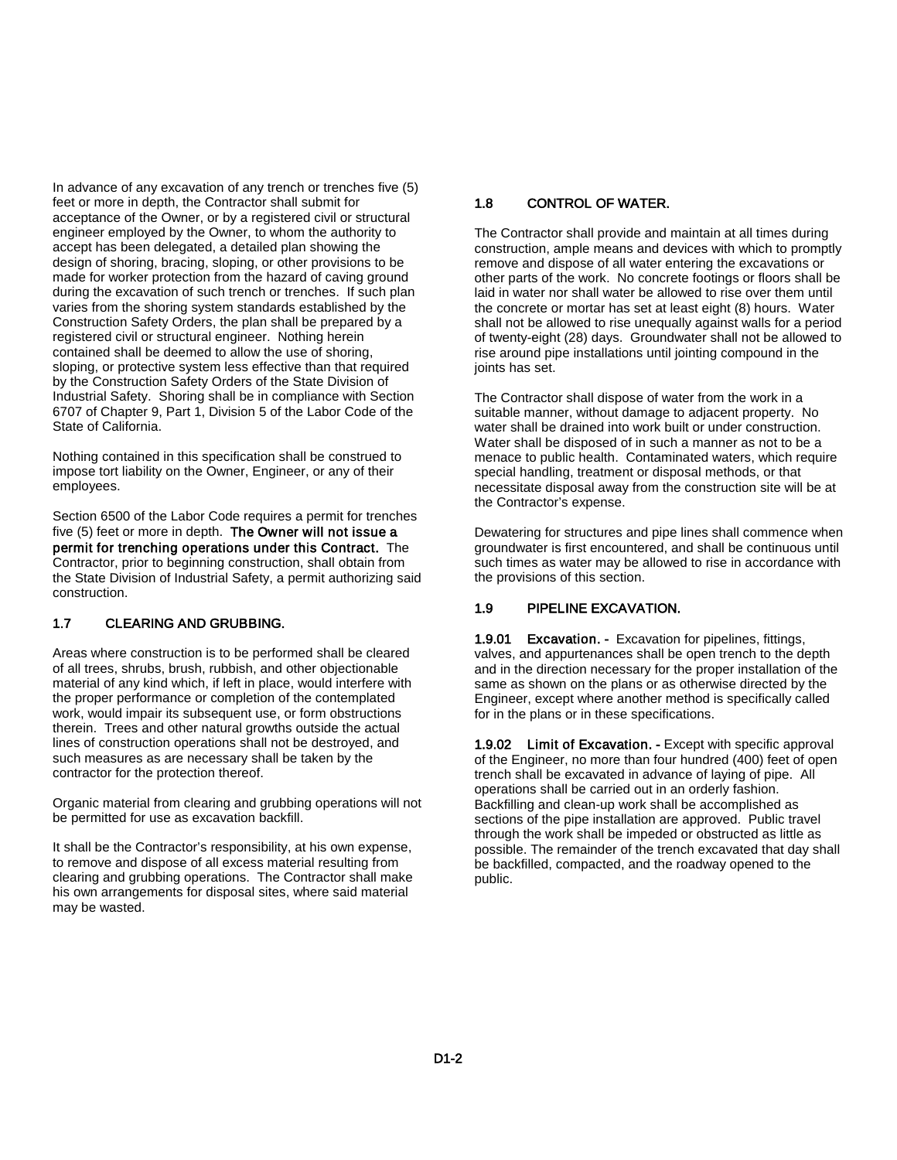In advance of any excavation of any trench or trenches five (5) feet or more in depth, the Contractor shall submit for acceptance of the Owner, or by a registered civil or structural engineer employed by the Owner, to whom the authority to accept has been delegated, a detailed plan showing the design of shoring, bracing, sloping, or other provisions to be made for worker protection from the hazard of caving ground during the excavation of such trench or trenches. If such plan varies from the shoring system standards established by the Construction Safety Orders, the plan shall be prepared by a registered civil or structural engineer. Nothing herein contained shall be deemed to allow the use of shoring, sloping, or protective system less effective than that required by the Construction Safety Orders of the State Division of Industrial Safety. Shoring shall be in compliance with Section 6707 of Chapter 9, Part 1, Division 5 of the Labor Code of the State of California.

Nothing contained in this specification shall be construed to impose tort liability on the Owner, Engineer, or any of their employees.

Section 6500 of the Labor Code requires a permit for trenches five (5) feet or more in depth. The Owner will not issue a permit for trenching operations under this Contract. The Contractor, prior to beginning construction, shall obtain from the State Division of Industrial Safety, a permit authorizing said construction.

#### 1.7 CLEARING AND GRUBBING.

Areas where construction is to be performed shall be cleared of all trees, shrubs, brush, rubbish, and other objectionable material of any kind which, if left in place, would interfere with the proper performance or completion of the contemplated work, would impair its subsequent use, or form obstructions therein. Trees and other natural growths outside the actual lines of construction operations shall not be destroyed, and such measures as are necessary shall be taken by the contractor for the protection thereof.

Organic material from clearing and grubbing operations will not be permitted for use as excavation backfill.

It shall be the Contractor's responsibility, at his own expense, to remove and dispose of all excess material resulting from clearing and grubbing operations. The Contractor shall make his own arrangements for disposal sites, where said material may be wasted.

#### 1.8 CONTROL OF WATER.

The Contractor shall provide and maintain at all times during construction, ample means and devices with which to promptly remove and dispose of all water entering the excavations or other parts of the work. No concrete footings or floors shall be laid in water nor shall water be allowed to rise over them until the concrete or mortar has set at least eight (8) hours. Water shall not be allowed to rise unequally against walls for a period of twenty-eight (28) days. Groundwater shall not be allowed to rise around pipe installations until jointing compound in the joints has set.

The Contractor shall dispose of water from the work in a suitable manner, without damage to adjacent property. No water shall be drained into work built or under construction. Water shall be disposed of in such a manner as not to be a menace to public health. Contaminated waters, which require special handling, treatment or disposal methods, or that necessitate disposal away from the construction site will be at the Contractor's expense.

Dewatering for structures and pipe lines shall commence when groundwater is first encountered, and shall be continuous until such times as water may be allowed to rise in accordance with the provisions of this section.

#### 1.9 PIPELINE EXCAVATION.

1.9.01 Excavation. - Excavation for pipelines, fittings, valves, and appurtenances shall be open trench to the depth and in the direction necessary for the proper installation of the same as shown on the plans or as otherwise directed by the Engineer, except where another method is specifically called for in the plans or in these specifications.

1.9.02 Limit of Excavation. - Except with specific approval of the Engineer, no more than four hundred (400) feet of open trench shall be excavated in advance of laying of pipe. All operations shall be carried out in an orderly fashion. Backfilling and clean-up work shall be accomplished as sections of the pipe installation are approved. Public travel through the work shall be impeded or obstructed as little as possible. The remainder of the trench excavated that day shall be backfilled, compacted, and the roadway opened to the public.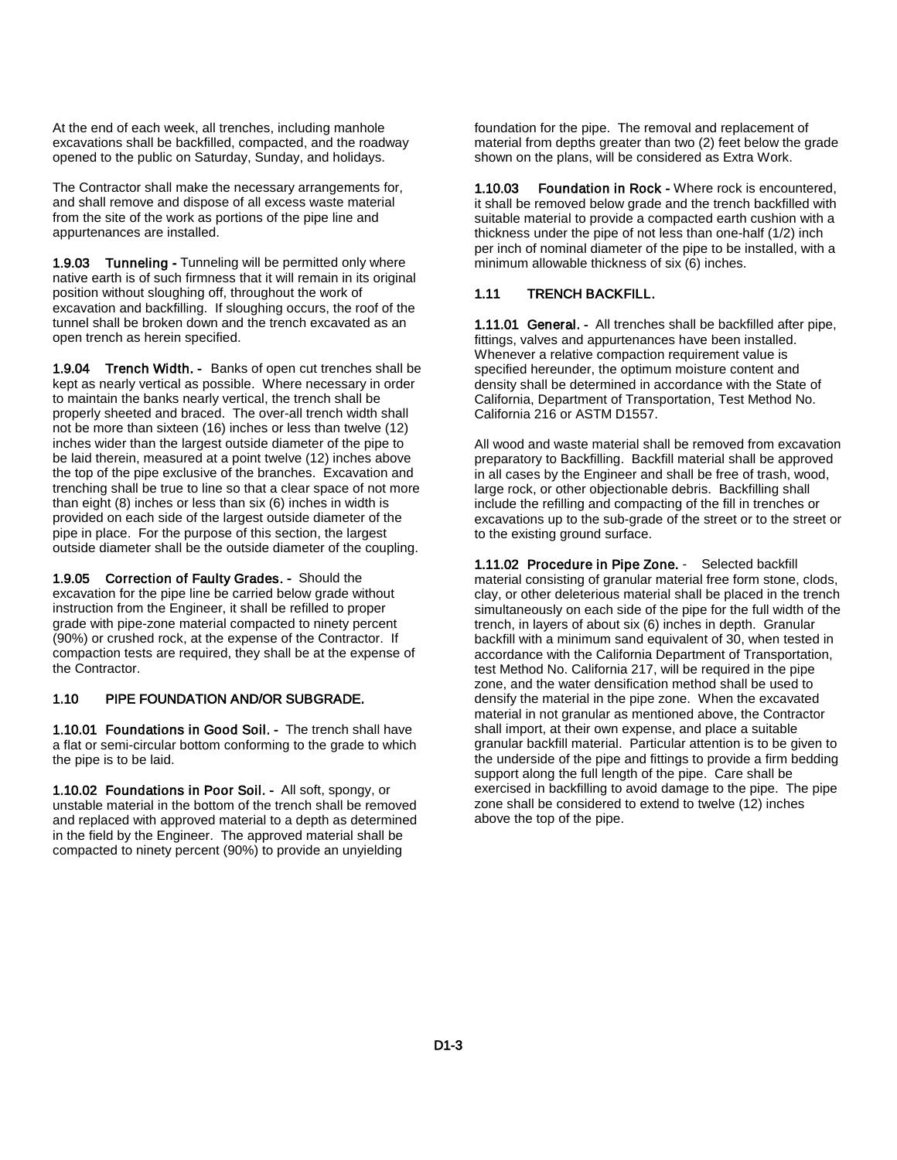At the end of each week, all trenches, including manhole excavations shall be backfilled, compacted, and the roadway opened to the public on Saturday, Sunday, and holidays.

The Contractor shall make the necessary arrangements for, and shall remove and dispose of all excess waste material from the site of the work as portions of the pipe line and appurtenances are installed.

1.9.03 Tunneling - Tunneling will be permitted only where native earth is of such firmness that it will remain in its original position without sloughing off, throughout the work of excavation and backfilling. If sloughing occurs, the roof of the tunnel shall be broken down and the trench excavated as an open trench as herein specified.

1.9.04 Trench Width. - Banks of open cut trenches shall be kept as nearly vertical as possible. Where necessary in order to maintain the banks nearly vertical, the trench shall be properly sheeted and braced. The over-all trench width shall not be more than sixteen (16) inches or less than twelve (12) inches wider than the largest outside diameter of the pipe to be laid therein, measured at a point twelve (12) inches above the top of the pipe exclusive of the branches. Excavation and trenching shall be true to line so that a clear space of not more than eight (8) inches or less than six (6) inches in width is provided on each side of the largest outside diameter of the pipe in place. For the purpose of this section, the largest outside diameter shall be the outside diameter of the coupling.

1.9.05 Correction of Faulty Grades. - Should the excavation for the pipe line be carried below grade without instruction from the Engineer, it shall be refilled to proper grade with pipe-zone material compacted to ninety percent (90%) or crushed rock, at the expense of the Contractor. If compaction tests are required, they shall be at the expense of the Contractor.

#### 1.10 PIPE FOUNDATION AND/OR SUBGRADE.

1.10.01 Foundations in Good Soil. - The trench shall have a flat or semi-circular bottom conforming to the grade to which the pipe is to be laid.

1.10.02 Foundations in Poor Soil. - All soft, spongy, or unstable material in the bottom of the trench shall be removed and replaced with approved material to a depth as determined in the field by the Engineer. The approved material shall be compacted to ninety percent (90%) to provide an unyielding

foundation for the pipe. The removal and replacement of material from depths greater than two (2) feet below the grade shown on the plans, will be considered as Extra Work.

1.10.03 Foundation in Rock - Where rock is encountered, it shall be removed below grade and the trench backfilled with suitable material to provide a compacted earth cushion with a thickness under the pipe of not less than one-half (1/2) inch per inch of nominal diameter of the pipe to be installed, with a minimum allowable thickness of six (6) inches.

#### 1.11 TRENCH BACKFILL.

1.11.01 General. - All trenches shall be backfilled after pipe, fittings, valves and appurtenances have been installed. Whenever a relative compaction requirement value is specified hereunder, the optimum moisture content and density shall be determined in accordance with the State of California, Department of Transportation, Test Method No. California 216 or ASTM D1557.

All wood and waste material shall be removed from excavation preparatory to Backfilling. Backfill material shall be approved in all cases by the Engineer and shall be free of trash, wood, large rock, or other objectionable debris. Backfilling shall include the refilling and compacting of the fill in trenches or excavations up to the sub-grade of the street or to the street or to the existing ground surface.

1.11.02 Procedure in Pipe Zone. - Selected backfill material consisting of granular material free form stone, clods, clay, or other deleterious material shall be placed in the trench simultaneously on each side of the pipe for the full width of the trench, in layers of about six (6) inches in depth. Granular backfill with a minimum sand equivalent of 30, when tested in accordance with the California Department of Transportation, test Method No. California 217, will be required in the pipe zone, and the water densification method shall be used to densify the material in the pipe zone. When the excavated material in not granular as mentioned above, the Contractor shall import, at their own expense, and place a suitable granular backfill material. Particular attention is to be given to the underside of the pipe and fittings to provide a firm bedding support along the full length of the pipe. Care shall be exercised in backfilling to avoid damage to the pipe. The pipe zone shall be considered to extend to twelve (12) inches above the top of the pipe.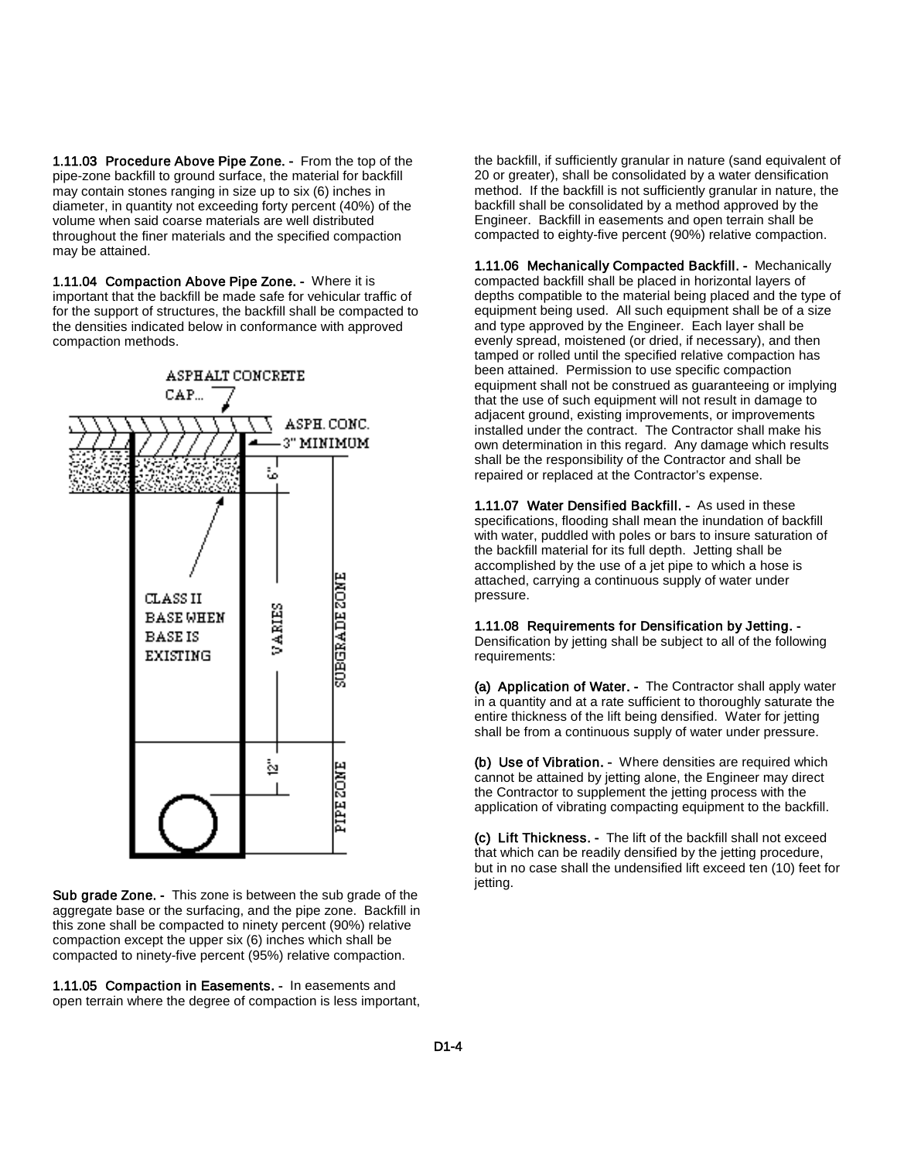1.11.03 Procedure Above Pipe Zone. - From the top of the pipe-zone backfill to ground surface, the material for backfill may contain stones ranging in size up to six (6) inches in diameter, in quantity not exceeding forty percent (40%) of the volume when said coarse materials are well distributed throughout the finer materials and the specified compaction may be attained.

1.11.04 Compaction Above Pipe Zone. - Where it is important that the backfill be made safe for vehicular traffic of for the support of structures, the backfill shall be compacted to the densities indicated below in conformance with approved compaction methods.



Sub grade Zone. - This zone is between the sub grade of the aggregate base or the surfacing, and the pipe zone. Backfill in this zone shall be compacted to ninety percent (90%) relative compaction except the upper six (6) inches which shall be compacted to ninety-five percent (95%) relative compaction.

1.11.05 Compaction in Easements. - In easements and open terrain where the degree of compaction is less important, the backfill, if sufficiently granular in nature (sand equivalent of 20 or greater), shall be consolidated by a water densification method. If the backfill is not sufficiently granular in nature, the backfill shall be consolidated by a method approved by the Engineer. Backfill in easements and open terrain shall be compacted to eighty-five percent (90%) relative compaction.

1.11.06 Mechanically Compacted Backfill. - Mechanically compacted backfill shall be placed in horizontal layers of depths compatible to the material being placed and the type of equipment being used. All such equipment shall be of a size and type approved by the Engineer. Each layer shall be evenly spread, moistened (or dried, if necessary), and then tamped or rolled until the specified relative compaction has been attained. Permission to use specific compaction equipment shall not be construed as guaranteeing or implying that the use of such equipment will not result in damage to adjacent ground, existing improvements, or improvements installed under the contract. The Contractor shall make his own determination in this regard. Any damage which results shall be the responsibility of the Contractor and shall be repaired or replaced at the Contractor's expense.

1.11.07 Water Densified Backfill. - As used in these specifications, flooding shall mean the inundation of backfill with water, puddled with poles or bars to insure saturation of the backfill material for its full depth. Jetting shall be accomplished by the use of a jet pipe to which a hose is attached, carrying a continuous supply of water under pressure.

1.11.08 Requirements for Densification by Jetting. - Densification by jetting shall be subject to all of the following requirements:

(a) Application of Water. - The Contractor shall apply water in a quantity and at a rate sufficient to thoroughly saturate the entire thickness of the lift being densified. Water for jetting shall be from a continuous supply of water under pressure.

(b) Use of Vibration. - Where densities are required which cannot be attained by jetting alone, the Engineer may direct the Contractor to supplement the jetting process with the application of vibrating compacting equipment to the backfill.

(c) Lift Thickness. - The lift of the backfill shall not exceed that which can be readily densified by the jetting procedure, but in no case shall the undensified lift exceed ten (10) feet for jetting.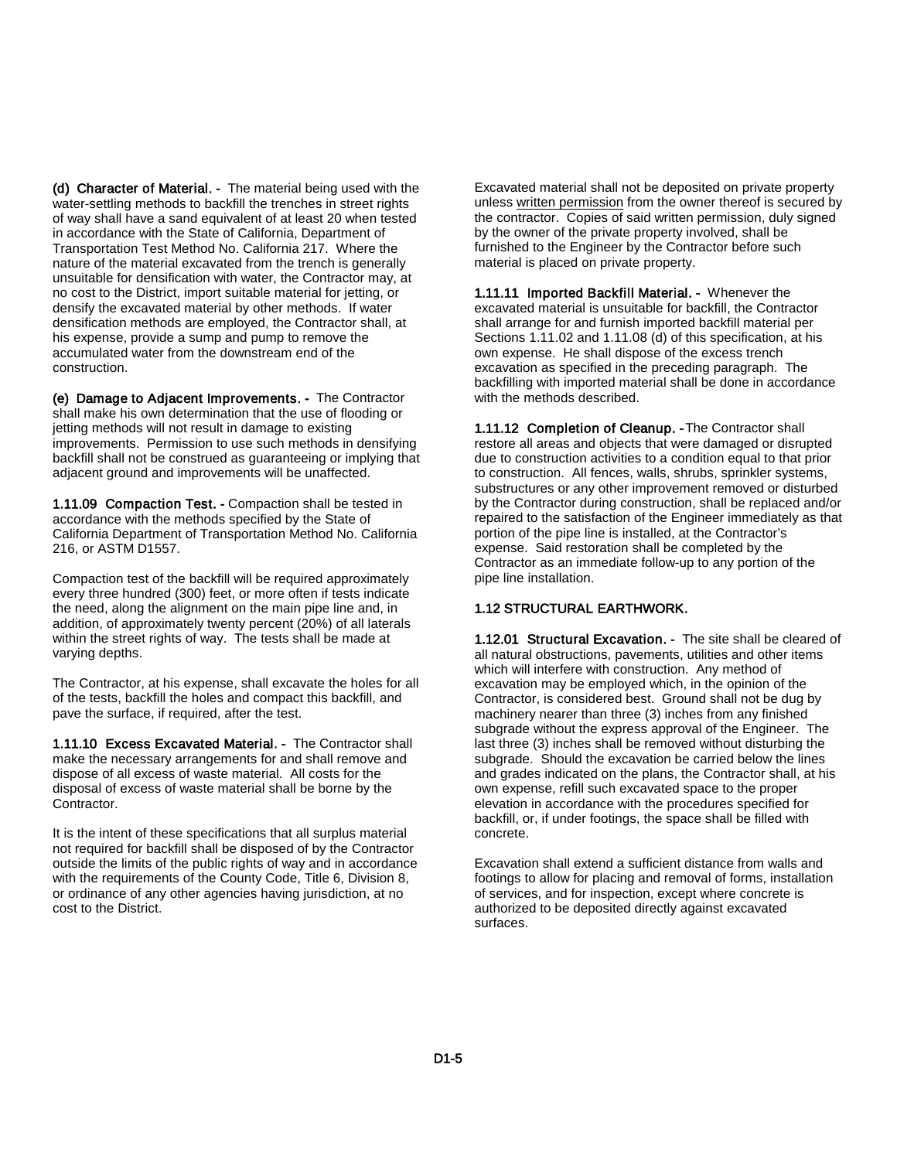(d) Character of Material. - The material being used with the water-settling methods to backfill the trenches in street rights of way shall have a sand equivalent of at least 20 when tested in accordance with the State of California, Department of Transportation Test Method No. California 217. Where the nature of the material excavated from the trench is generally unsuitable for densification with water, the Contractor may, at no cost to the District, import suitable material for jetting, or densify the excavated material by other methods. If water densification methods are employed, the Contractor shall, at his expense, provide a sump and pump to remove the accumulated water from the downstream end of the construction.

(e) Damage to Adjacent Improvements. - The Contractor shall make his own determination that the use of flooding or jetting methods will not result in damage to existing improvements. Permission to use such methods in densifying backfill shall not be construed as guaranteeing or implying that adjacent ground and improvements will be unaffected.

1.11.09 Compaction Test. - Compaction shall be tested in accordance with the methods specified by the State of California Department of Transportation Method No. California 216, or ASTM D1557.

Compaction test of the backfill will be required approximately every three hundred (300) feet, or more often if tests indicate the need, along the alignment on the main pipe line and, in addition, of approximately twenty percent (20%) of all laterals within the street rights of way. The tests shall be made at varying depths.

The Contractor, at his expense, shall excavate the holes for all of the tests, backfill the holes and compact this backfill, and pave the surface, if required, after the test.

1.11.10 Excess Excavated Material. - The Contractor shall make the necessary arrangements for and shall remove and dispose of all excess of waste material. All costs for the disposal of excess of waste material shall be borne by the Contractor.

It is the intent of these specifications that all surplus material not required for backfill shall be disposed of by the Contractor outside the limits of the public rights of way and in accordance with the requirements of the County Code, Title 6, Division 8, or ordinance of any other agencies having jurisdiction, at no cost to the District.

Excavated material shall not be deposited on private property unless written permission from the owner thereof is secured by the contractor. Copies of said written permission, duly signed by the owner of the private property involved, shall be furnished to the Engineer by the Contractor before such material is placed on private property.

1.11.11 Imported Backfill Material. - Whenever the excavated material is unsuitable for backfill, the Contractor shall arrange for and furnish imported backfill material per Sections 1.11.02 and 1.11.08 (d) of this specification, at his own expense. He shall dispose of the excess trench excavation as specified in the preceding paragraph. The backfilling with imported material shall be done in accordance with the methods described.

1.11.12 Completion of Cleanup. -The Contractor shall restore all areas and objects that were damaged or disrupted due to construction activities to a condition equal to that prior to construction. All fences, walls, shrubs, sprinkler systems, substructures or any other improvement removed or disturbed by the Contractor during construction, shall be replaced and/or repaired to the satisfaction of the Engineer immediately as that portion of the pipe line is installed, at the Contractor's expense. Said restoration shall be completed by the Contractor as an immediate follow-up to any portion of the pipe line installation.

#### 1.12 STRUCTURAL EARTHWORK.

1.12.01 Structural Excavation. - The site shall be cleared of all natural obstructions, pavements, utilities and other items which will interfere with construction. Any method of excavation may be employed which, in the opinion of the Contractor, is considered best. Ground shall not be dug by machinery nearer than three (3) inches from any finished subgrade without the express approval of the Engineer. The last three (3) inches shall be removed without disturbing the subgrade. Should the excavation be carried below the lines and grades indicated on the plans, the Contractor shall, at his own expense, refill such excavated space to the proper elevation in accordance with the procedures specified for backfill, or, if under footings, the space shall be filled with concrete.

Excavation shall extend a sufficient distance from walls and footings to allow for placing and removal of forms, installation of services, and for inspection, except where concrete is authorized to be deposited directly against excavated surfaces.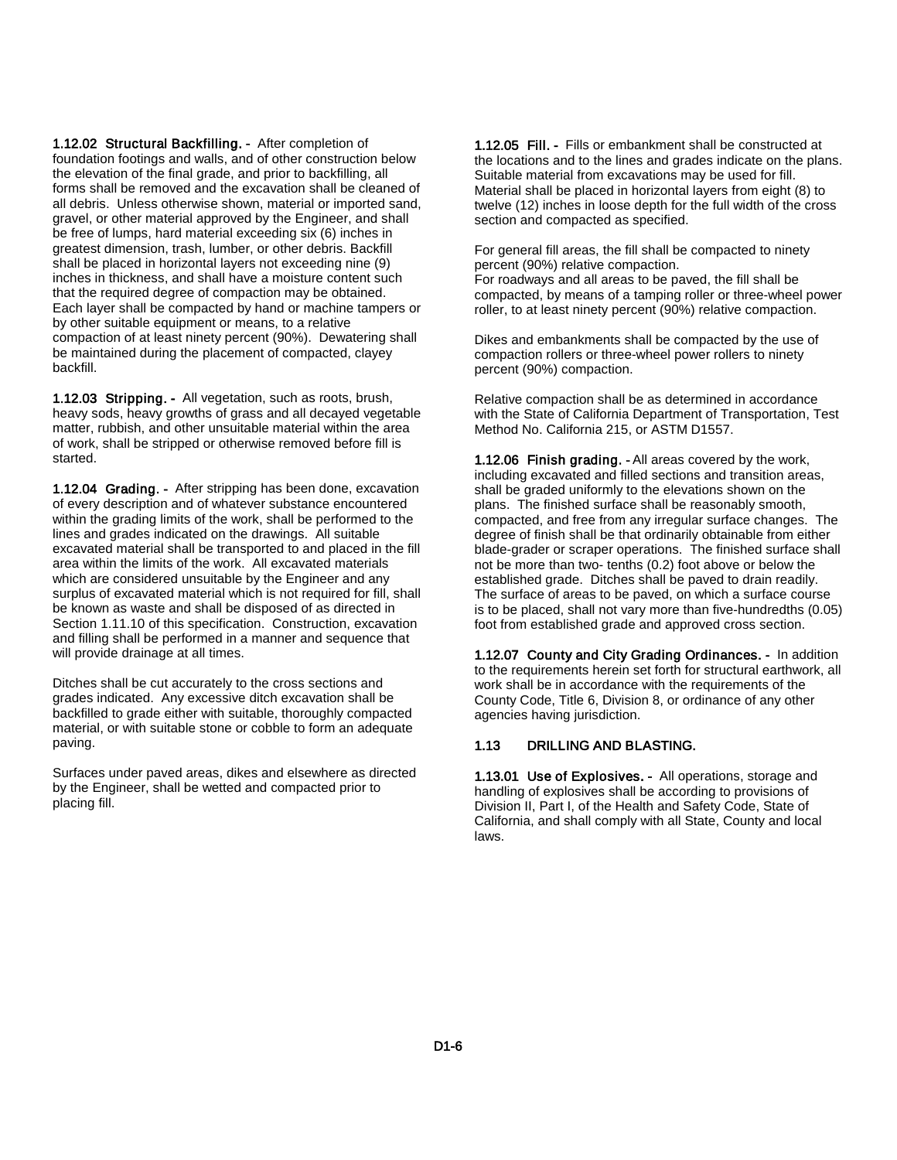1.12.02 Structural Backfilling. - After completion of foundation footings and walls, and of other construction below the elevation of the final grade, and prior to backfilling, all forms shall be removed and the excavation shall be cleaned of all debris. Unless otherwise shown, material or imported sand, gravel, or other material approved by the Engineer, and shall be free of lumps, hard material exceeding six (6) inches in greatest dimension, trash, lumber, or other debris. Backfill shall be placed in horizontal layers not exceeding nine (9) inches in thickness, and shall have a moisture content such that the required degree of compaction may be obtained. Each layer shall be compacted by hand or machine tampers or by other suitable equipment or means, to a relative compaction of at least ninety percent (90%). Dewatering shall be maintained during the placement of compacted, clayey backfill.

1.12.03 Stripping. - All vegetation, such as roots, brush, heavy sods, heavy growths of grass and all decayed vegetable matter, rubbish, and other unsuitable material within the area of work, shall be stripped or otherwise removed before fill is started.

1.12.04 Grading. - After stripping has been done, excavation of every description and of whatever substance encountered within the grading limits of the work, shall be performed to the lines and grades indicated on the drawings. All suitable excavated material shall be transported to and placed in the fill area within the limits of the work. All excavated materials which are considered unsuitable by the Engineer and any surplus of excavated material which is not required for fill, shall be known as waste and shall be disposed of as directed in Section 1.11.10 of this specification. Construction, excavation and filling shall be performed in a manner and sequence that will provide drainage at all times.

Ditches shall be cut accurately to the cross sections and grades indicated. Any excessive ditch excavation shall be backfilled to grade either with suitable, thoroughly compacted material, or with suitable stone or cobble to form an adequate paving.

Surfaces under paved areas, dikes and elsewhere as directed by the Engineer, shall be wetted and compacted prior to placing fill.

1.12.05 Fill. - Fills or embankment shall be constructed at the locations and to the lines and grades indicate on the plans. Suitable material from excavations may be used for fill. Material shall be placed in horizontal layers from eight (8) to twelve (12) inches in loose depth for the full width of the cross section and compacted as specified.

For general fill areas, the fill shall be compacted to ninety percent (90%) relative compaction.

For roadways and all areas to be paved, the fill shall be compacted, by means of a tamping roller or three-wheel power roller, to at least ninety percent (90%) relative compaction.

Dikes and embankments shall be compacted by the use of compaction rollers or three-wheel power rollers to ninety percent (90%) compaction.

Relative compaction shall be as determined in accordance with the State of California Department of Transportation, Test Method No. California 215, or ASTM D1557.

1.12.06 Finish grading. - All areas covered by the work, including excavated and filled sections and transition areas, shall be graded uniformly to the elevations shown on the plans. The finished surface shall be reasonably smooth, compacted, and free from any irregular surface changes. The degree of finish shall be that ordinarily obtainable from either blade-grader or scraper operations. The finished surface shall not be more than two- tenths (0.2) foot above or below the established grade. Ditches shall be paved to drain readily. The surface of areas to be paved, on which a surface course is to be placed, shall not vary more than five-hundredths (0.05) foot from established grade and approved cross section.

1.12.07 County and City Grading Ordinances. - In addition to the requirements herein set forth for structural earthwork, all work shall be in accordance with the requirements of the County Code, Title 6, Division 8, or ordinance of any other agencies having jurisdiction.

#### 1.13 DRILLING AND BLASTING.

1.13.01 Use of Explosives. - All operations, storage and handling of explosives shall be according to provisions of Division II, Part I, of the Health and Safety Code, State of California, and shall comply with all State, County and local laws.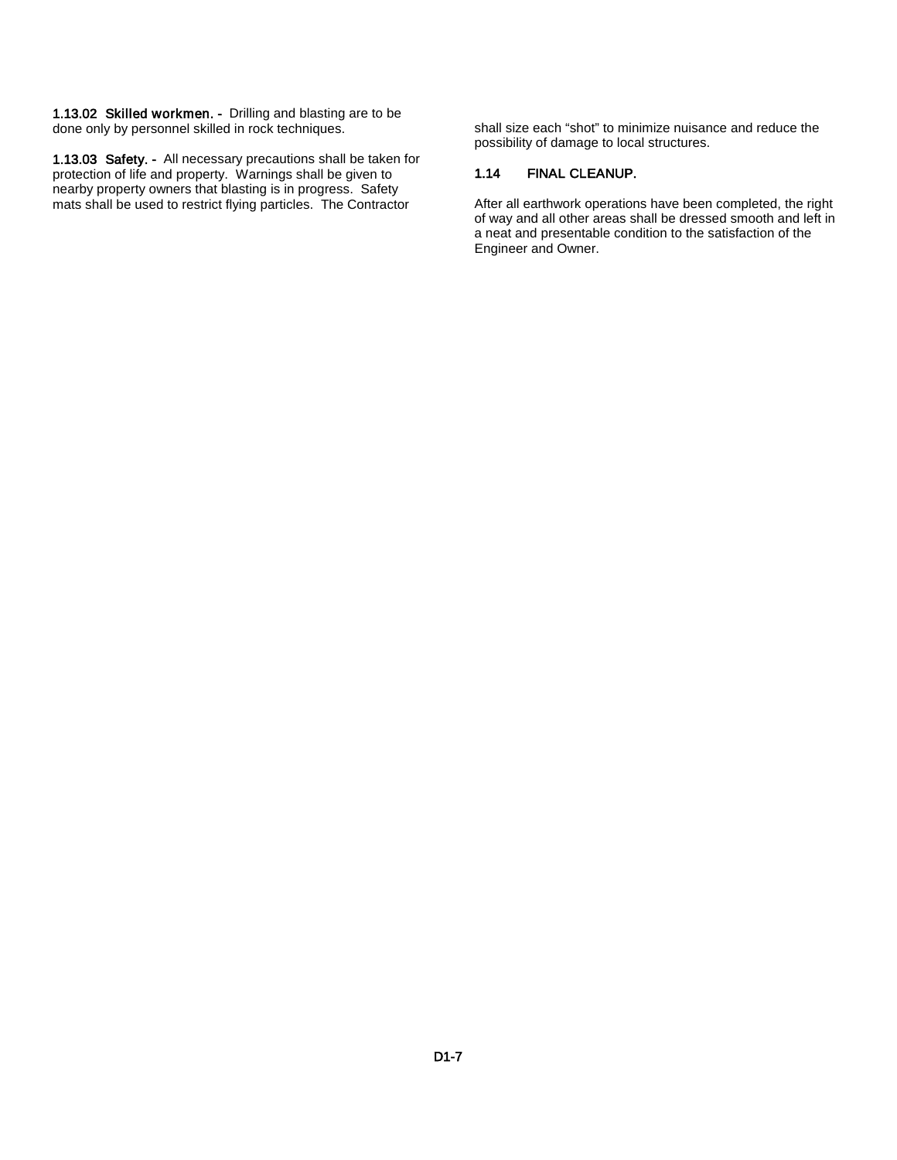1.13.02 Skilled workmen. - Drilling and blasting are to be done only by personnel skilled in rock techniques.

1.13.03 Safety. - All necessary precautions shall be taken for protection of life and property. Warnings shall be given to nearby property owners that blasting is in progress. Safety mats shall be used to restrict flying particles. The Contractor

shall size each "shot" to minimize nuisance and reduce the possibility of damage to local structures.

#### 1.14 FINAL CLEANUP.

After all earthwork operations have been completed, the right of way and all other areas shall be dressed smooth and left in a neat and presentable condition to the satisfaction of the Engineer and Owner.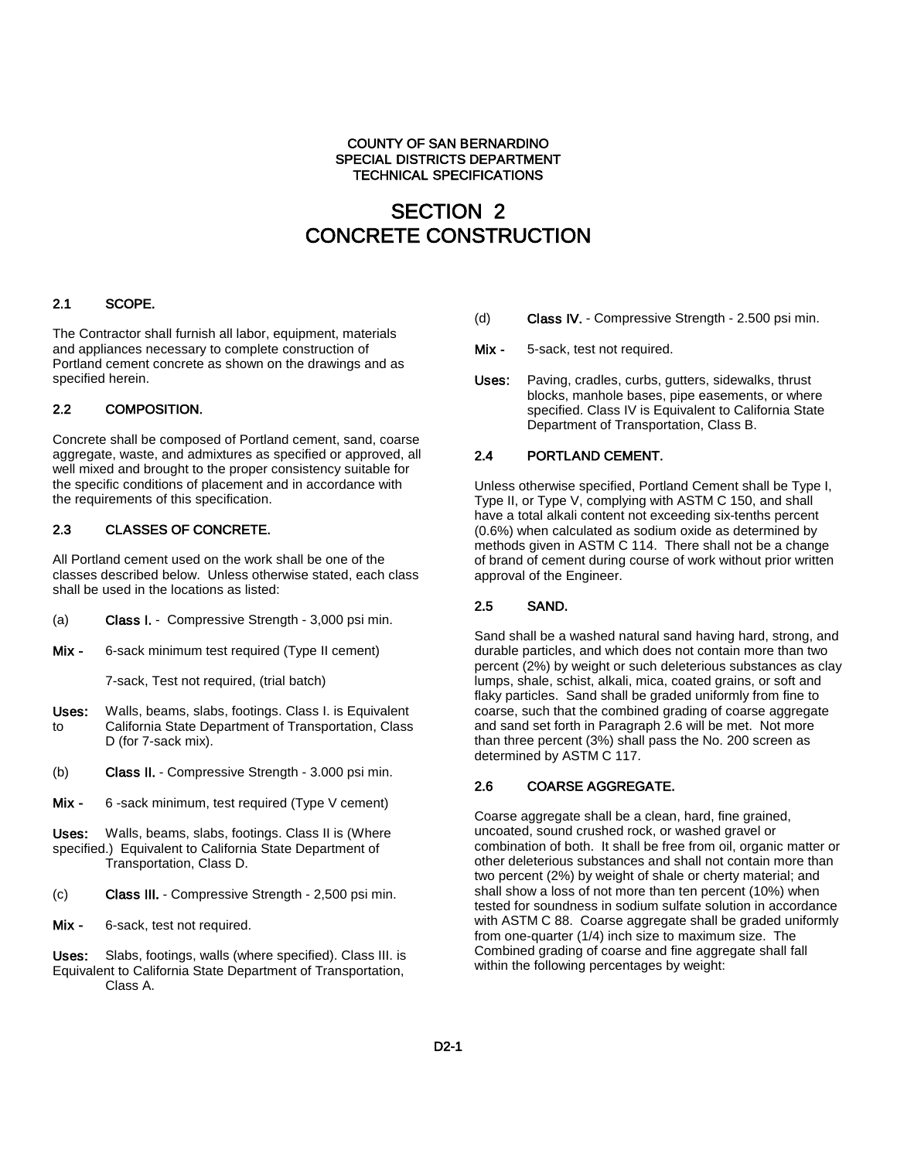#### COUNTY OF SAN BERNARDINO SPECIAL DISTRICTS DEPARTMENT TECHNICAL SPECIFICATIONS

# SECTION 2 CONCRETE CONSTRUCTION

# 2.1 SCOPE.

The Contractor shall furnish all labor, equipment, materials and appliances necessary to complete construction of Portland cement concrete as shown on the drawings and as specified herein.

#### 2.2 COMPOSITION.

Concrete shall be composed of Portland cement, sand, coarse aggregate, waste, and admixtures as specified or approved, all well mixed and brought to the proper consistency suitable for the specific conditions of placement and in accordance with the requirements of this specification.

#### 2.3 CLASSES OF CONCRETE.

All Portland cement used on the work shall be one of the classes described below. Unless otherwise stated, each class shall be used in the locations as listed:

- (a) Class I. Compressive Strength 3,000 psi min.
- Mix 6-sack minimum test required (Type II cement)

7-sack, Test not required, (trial batch)

- Uses: Walls, beams, slabs, footings. Class I. is Equivalent to California State Department of Transportation, Class D (for 7-sack mix).
- (b) Class II. Compressive Strength 3.000 psi min.
- Mix 6 -sack minimum, test required (Type V cement)

Uses: Walls, beams, slabs, footings. Class II is (Where specified.) Equivalent to California State Department of Transportation, Class D.

- (c) Class III. Compressive Strength 2,500 psi min.
- Mix 6-sack, test not required.

Uses: Slabs, footings, walls (where specified). Class III. is Equivalent to California State Department of Transportation, Class A.

- (d) Class IV. Compressive Strength 2.500 psi min.
- Mix 5-sack, test not required.
- Uses: Paving, cradles, curbs, gutters, sidewalks, thrust blocks, manhole bases, pipe easements, or where specified. Class IV is Equivalent to California State Department of Transportation, Class B.

### 2.4 PORTLAND CEMENT.

Unless otherwise specified, Portland Cement shall be Type I, Type II, or Type V, complying with ASTM C 150, and shall have a total alkali content not exceeding six-tenths percent (0.6%) when calculated as sodium oxide as determined by methods given in ASTM C 114. There shall not be a change of brand of cement during course of work without prior written approval of the Engineer.

#### 2.5 SAND.

Sand shall be a washed natural sand having hard, strong, and durable particles, and which does not contain more than two percent (2%) by weight or such deleterious substances as clay lumps, shale, schist, alkali, mica, coated grains, or soft and flaky particles. Sand shall be graded uniformly from fine to coarse, such that the combined grading of coarse aggregate and sand set forth in Paragraph 2.6 will be met. Not more than three percent (3%) shall pass the No. 200 screen as determined by ASTM C 117.

#### 2.6 COARSE AGGREGATE.

Coarse aggregate shall be a clean, hard, fine grained, uncoated, sound crushed rock, or washed gravel or combination of both. It shall be free from oil, organic matter or other deleterious substances and shall not contain more than two percent (2%) by weight of shale or cherty material; and shall show a loss of not more than ten percent (10%) when tested for soundness in sodium sulfate solution in accordance with ASTM C 88. Coarse aggregate shall be graded uniformly from one-quarter (1/4) inch size to maximum size. The Combined grading of coarse and fine aggregate shall fall within the following percentages by weight: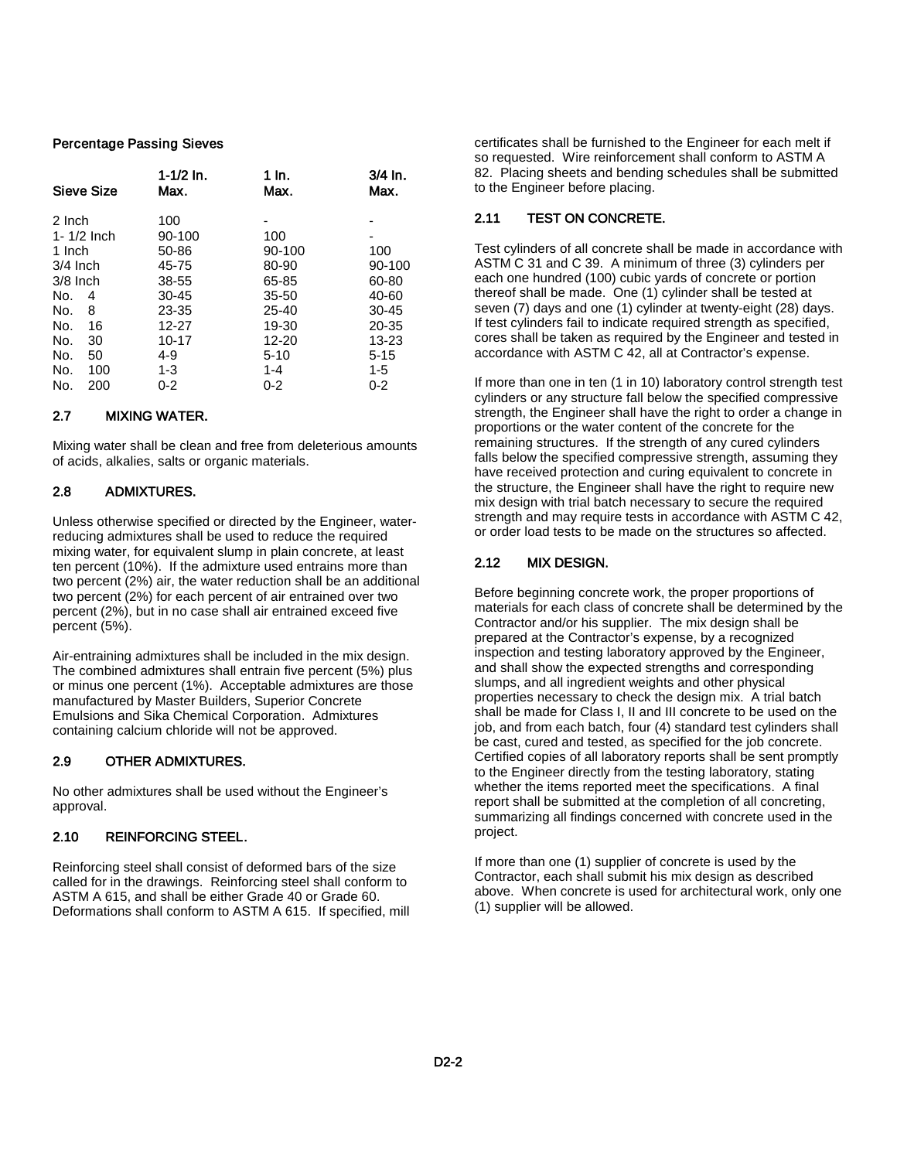#### Percentage Passing Sieves

|                                                                                        | Sieve Size                                        | $1 - 1/2$ In.<br>Max.                                                                                  | 1 In.<br>Max.                                                                                               | $3/4$ In.<br>Max.                                                                     |
|----------------------------------------------------------------------------------------|---------------------------------------------------|--------------------------------------------------------------------------------------------------------|-------------------------------------------------------------------------------------------------------------|---------------------------------------------------------------------------------------|
| 2 Inch<br>1 Inch<br>$3/4$ Inch<br>$3/8$ Inch<br>No.<br>No.<br>No.<br>No.<br>No.<br>No. | $1 - 1/2$ Inch<br>4<br>8<br>16<br>30<br>50<br>100 | 100<br>90-100<br>50-86<br>45-75<br>38-55<br>$30 - 45$<br>23-35<br>12-27<br>10-17<br>$4 - 9$<br>$1 - 3$ | 100<br>90-100<br>80-90<br>65-85<br>$35 - 50$<br>$25 - 40$<br>19-30<br>12-20<br>$5-10$<br>$1 - 4$<br>$0 - 2$ | 100<br>90-100<br>60-80<br>40-60<br>$30 - 45$<br>20-35<br>13-23<br>$5 - 15$<br>$1 - 5$ |
| No.                                                                                    | 200                                               | $0 - 2$                                                                                                |                                                                                                             | $0 - 2$                                                                               |

#### 2.7 MIXING WATER.

Mixing water shall be clean and free from deleterious amounts of acids, alkalies, salts or organic materials.

#### 2.8 ADMIXTURES.

Unless otherwise specified or directed by the Engineer, waterreducing admixtures shall be used to reduce the required mixing water, for equivalent slump in plain concrete, at least ten percent (10%). If the admixture used entrains more than two percent (2%) air, the water reduction shall be an additional two percent (2%) for each percent of air entrained over two percent (2%), but in no case shall air entrained exceed five percent (5%).

Air-entraining admixtures shall be included in the mix design. The combined admixtures shall entrain five percent (5%) plus or minus one percent (1%). Acceptable admixtures are those manufactured by Master Builders, Superior Concrete Emulsions and Sika Chemical Corporation. Admixtures containing calcium chloride will not be approved.

#### 2.9 OTHER ADMIXTURES.

No other admixtures shall be used without the Engineer's approval.

#### 2.10 REINFORCING STEEL.

Reinforcing steel shall consist of deformed bars of the size called for in the drawings. Reinforcing steel shall conform to ASTM A 615, and shall be either Grade 40 or Grade 60. Deformations shall conform to ASTM A 615. If specified, mill

certificates shall be furnished to the Engineer for each melt if so requested. Wire reinforcement shall conform to ASTM A 82. Placing sheets and bending schedules shall be submitted to the Engineer before placing.

#### 2.11 TEST ON CONCRETE.

Test cylinders of all concrete shall be made in accordance with ASTM C 31 and C 39. A minimum of three (3) cylinders per each one hundred (100) cubic yards of concrete or portion thereof shall be made. One (1) cylinder shall be tested at seven (7) days and one (1) cylinder at twenty-eight (28) days. If test cylinders fail to indicate required strength as specified, cores shall be taken as required by the Engineer and tested in accordance with ASTM C 42, all at Contractor's expense.

If more than one in ten (1 in 10) laboratory control strength test cylinders or any structure fall below the specified compressive strength, the Engineer shall have the right to order a change in proportions or the water content of the concrete for the remaining structures. If the strength of any cured cylinders falls below the specified compressive strength, assuming they have received protection and curing equivalent to concrete in the structure, the Engineer shall have the right to require new mix design with trial batch necessary to secure the required strength and may require tests in accordance with ASTM C 42, or order load tests to be made on the structures so affected.

#### 2.12 MIX DESIGN.

Before beginning concrete work, the proper proportions of materials for each class of concrete shall be determined by the Contractor and/or his supplier. The mix design shall be prepared at the Contractor's expense, by a recognized inspection and testing laboratory approved by the Engineer, and shall show the expected strengths and corresponding slumps, and all ingredient weights and other physical properties necessary to check the design mix. A trial batch shall be made for Class I, II and III concrete to be used on the job, and from each batch, four (4) standard test cylinders shall be cast, cured and tested, as specified for the job concrete. Certified copies of all laboratory reports shall be sent promptly to the Engineer directly from the testing laboratory, stating whether the items reported meet the specifications. A final report shall be submitted at the completion of all concreting, summarizing all findings concerned with concrete used in the project.

If more than one (1) supplier of concrete is used by the Contractor, each shall submit his mix design as described above. When concrete is used for architectural work, only one (1) supplier will be allowed.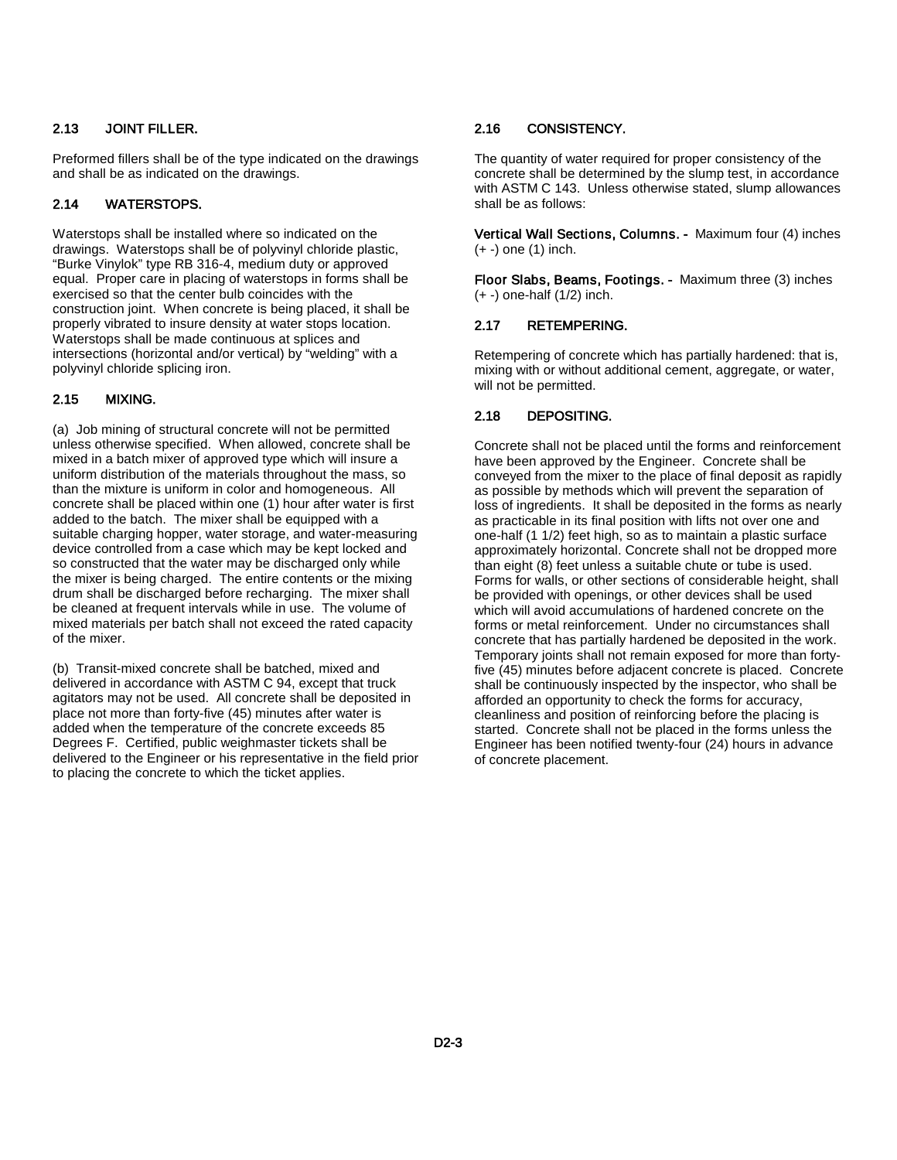#### 2.13 JOINT FILLER.

Preformed fillers shall be of the type indicated on the drawings and shall be as indicated on the drawings.

#### 2.14 WATERSTOPS.

Waterstops shall be installed where so indicated on the drawings. Waterstops shall be of polyvinyl chloride plastic, "Burke Vinylok" type RB 316-4, medium duty or approved equal. Proper care in placing of waterstops in forms shall be exercised so that the center bulb coincides with the construction joint. When concrete is being placed, it shall be properly vibrated to insure density at water stops location. Waterstops shall be made continuous at splices and intersections (horizontal and/or vertical) by "welding" with a polyvinyl chloride splicing iron.

#### 2.15 MIXING.

(a) Job mining of structural concrete will not be permitted unless otherwise specified. When allowed, concrete shall be mixed in a batch mixer of approved type which will insure a uniform distribution of the materials throughout the mass, so than the mixture is uniform in color and homogeneous. All concrete shall be placed within one (1) hour after water is first added to the batch. The mixer shall be equipped with a suitable charging hopper, water storage, and water-measuring device controlled from a case which may be kept locked and so constructed that the water may be discharged only while the mixer is being charged. The entire contents or the mixing drum shall be discharged before recharging. The mixer shall be cleaned at frequent intervals while in use. The volume of mixed materials per batch shall not exceed the rated capacity of the mixer.

(b) Transit-mixed concrete shall be batched, mixed and delivered in accordance with ASTM C 94, except that truck agitators may not be used. All concrete shall be deposited in place not more than forty-five (45) minutes after water is added when the temperature of the concrete exceeds 85 Degrees F. Certified, public weighmaster tickets shall be delivered to the Engineer or his representative in the field prior to placing the concrete to which the ticket applies.

#### 2.16 CONSISTENCY.

The quantity of water required for proper consistency of the concrete shall be determined by the slump test, in accordance with ASTM C 143. Unless otherwise stated, slump allowances shall be as follows:

Vertical Wall Sections, Columns. - Maximum four (4) inches (+ -) one (1) inch.

Floor Slabs, Beams, Footings. - Maximum three (3) inches (+ -) one-half (1/2) inch.

#### 2.17 RETEMPERING.

Retempering of concrete which has partially hardened: that is, mixing with or without additional cement, aggregate, or water, will not be permitted.

#### 2.18 DEPOSITING.

Concrete shall not be placed until the forms and reinforcement have been approved by the Engineer. Concrete shall be conveyed from the mixer to the place of final deposit as rapidly as possible by methods which will prevent the separation of loss of ingredients. It shall be deposited in the forms as nearly as practicable in its final position with lifts not over one and one-half (1 1/2) feet high, so as to maintain a plastic surface approximately horizontal. Concrete shall not be dropped more than eight (8) feet unless a suitable chute or tube is used. Forms for walls, or other sections of considerable height, shall be provided with openings, or other devices shall be used which will avoid accumulations of hardened concrete on the forms or metal reinforcement. Under no circumstances shall concrete that has partially hardened be deposited in the work. Temporary joints shall not remain exposed for more than fortyfive (45) minutes before adjacent concrete is placed. Concrete shall be continuously inspected by the inspector, who shall be afforded an opportunity to check the forms for accuracy, cleanliness and position of reinforcing before the placing is started. Concrete shall not be placed in the forms unless the Engineer has been notified twenty-four (24) hours in advance of concrete placement.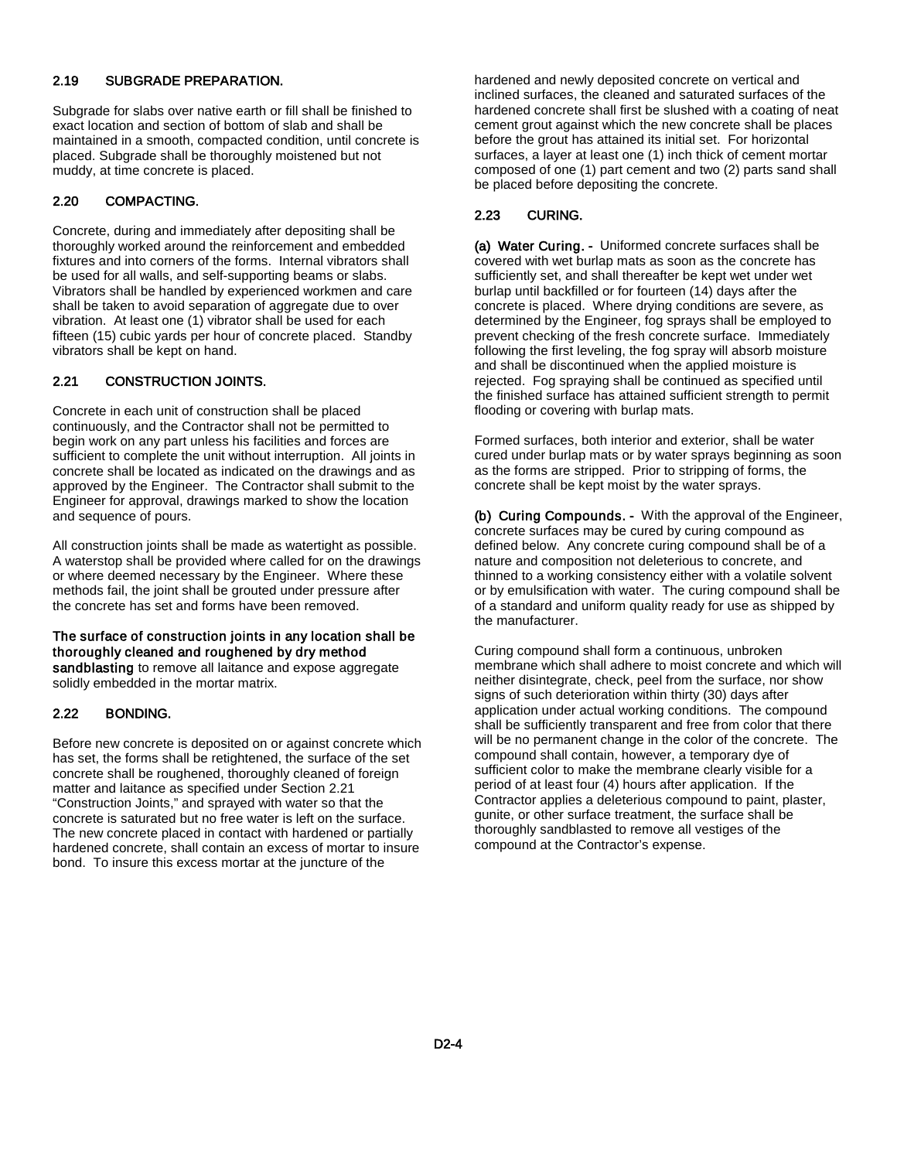#### 2.19 SUBGRADE PREPARATION.

Subgrade for slabs over native earth or fill shall be finished to exact location and section of bottom of slab and shall be maintained in a smooth, compacted condition, until concrete is placed. Subgrade shall be thoroughly moistened but not muddy, at time concrete is placed.

#### 2.20 COMPACTING.

Concrete, during and immediately after depositing shall be thoroughly worked around the reinforcement and embedded fixtures and into corners of the forms. Internal vibrators shall be used for all walls, and self-supporting beams or slabs. Vibrators shall be handled by experienced workmen and care shall be taken to avoid separation of aggregate due to over vibration. At least one (1) vibrator shall be used for each fifteen (15) cubic yards per hour of concrete placed. Standby vibrators shall be kept on hand.

#### 2.21 CONSTRUCTION JOINTS.

Concrete in each unit of construction shall be placed continuously, and the Contractor shall not be permitted to begin work on any part unless his facilities and forces are sufficient to complete the unit without interruption. All joints in concrete shall be located as indicated on the drawings and as approved by the Engineer. The Contractor shall submit to the Engineer for approval, drawings marked to show the location and sequence of pours.

All construction joints shall be made as watertight as possible. A waterstop shall be provided where called for on the drawings or where deemed necessary by the Engineer. Where these methods fail, the joint shall be grouted under pressure after the concrete has set and forms have been removed.

#### The surface of construction joints in any location shall be thoroughly cleaned and roughened by dry method sandblasting to remove all laitance and expose aggregate

solidly embedded in the mortar matrix.

#### 2.22 BONDING.

Before new concrete is deposited on or against concrete which has set, the forms shall be retightened, the surface of the set concrete shall be roughened, thoroughly cleaned of foreign matter and laitance as specified under Section 2.21 "Construction Joints," and sprayed with water so that the concrete is saturated but no free water is left on the surface. The new concrete placed in contact with hardened or partially hardened concrete, shall contain an excess of mortar to insure bond. To insure this excess mortar at the juncture of the

hardened and newly deposited concrete on vertical and inclined surfaces, the cleaned and saturated surfaces of the hardened concrete shall first be slushed with a coating of neat cement grout against which the new concrete shall be places before the grout has attained its initial set. For horizontal surfaces, a layer at least one (1) inch thick of cement mortar composed of one (1) part cement and two (2) parts sand shall be placed before depositing the concrete.

#### 2.23 CURING.

(a) Water Curing. - Uniformed concrete surfaces shall be covered with wet burlap mats as soon as the concrete has sufficiently set, and shall thereafter be kept wet under wet burlap until backfilled or for fourteen (14) days after the concrete is placed. Where drying conditions are severe, as determined by the Engineer, fog sprays shall be employed to prevent checking of the fresh concrete surface. Immediately following the first leveling, the fog spray will absorb moisture and shall be discontinued when the applied moisture is rejected. Fog spraying shall be continued as specified until the finished surface has attained sufficient strength to permit flooding or covering with burlap mats.

Formed surfaces, both interior and exterior, shall be water cured under burlap mats or by water sprays beginning as soon as the forms are stripped. Prior to stripping of forms, the concrete shall be kept moist by the water sprays.

(b) Curing Compounds. - With the approval of the Engineer, concrete surfaces may be cured by curing compound as defined below. Any concrete curing compound shall be of a nature and composition not deleterious to concrete, and thinned to a working consistency either with a volatile solvent or by emulsification with water. The curing compound shall be of a standard and uniform quality ready for use as shipped by the manufacturer.

Curing compound shall form a continuous, unbroken membrane which shall adhere to moist concrete and which will neither disintegrate, check, peel from the surface, nor show signs of such deterioration within thirty (30) days after application under actual working conditions. The compound shall be sufficiently transparent and free from color that there will be no permanent change in the color of the concrete. The compound shall contain, however, a temporary dye of sufficient color to make the membrane clearly visible for a period of at least four (4) hours after application. If the Contractor applies a deleterious compound to paint, plaster, gunite, or other surface treatment, the surface shall be thoroughly sandblasted to remove all vestiges of the compound at the Contractor's expense.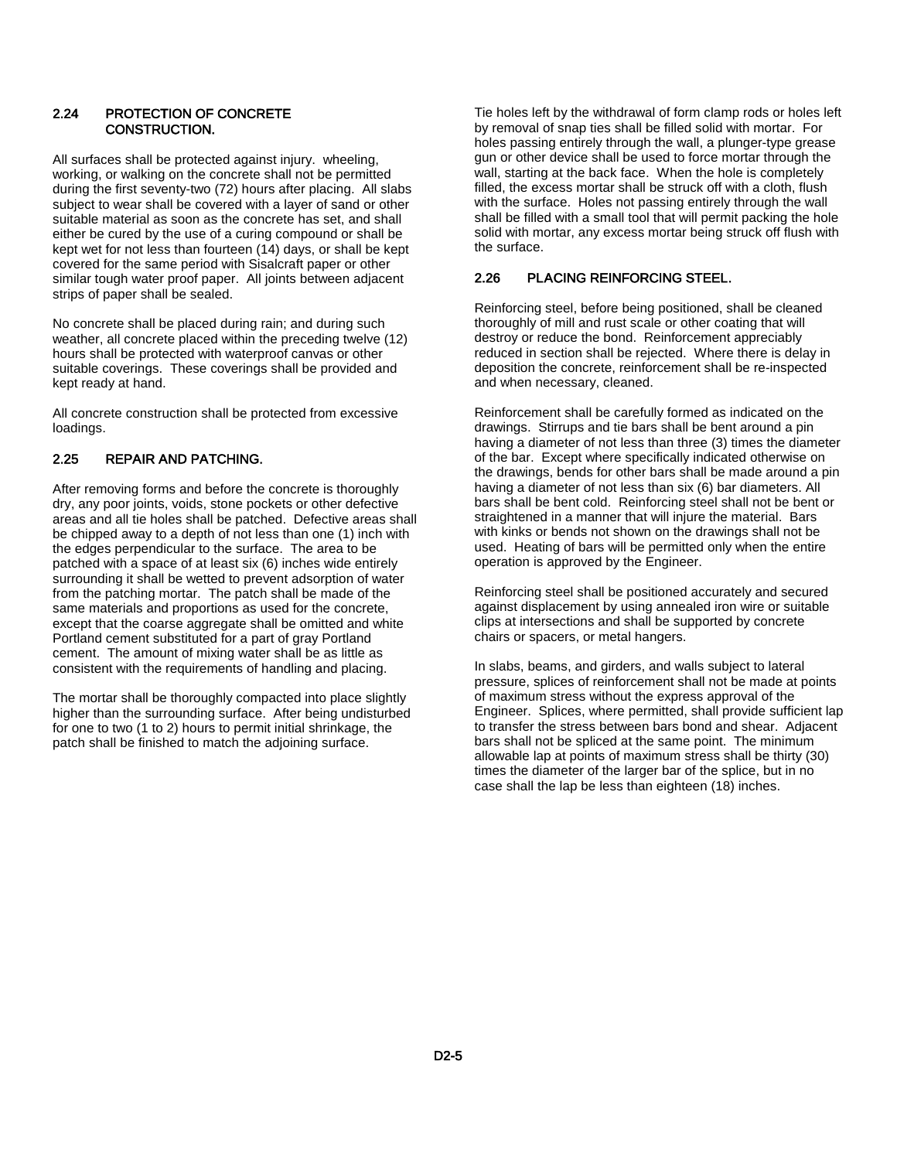#### 2.24 PROTECTION OF CONCRETE CONSTRUCTION.

All surfaces shall be protected against injury. wheeling, working, or walking on the concrete shall not be permitted during the first seventy-two (72) hours after placing. All slabs subject to wear shall be covered with a layer of sand or other suitable material as soon as the concrete has set, and shall either be cured by the use of a curing compound or shall be kept wet for not less than fourteen (14) days, or shall be kept covered for the same period with Sisalcraft paper or other similar tough water proof paper. All joints between adjacent strips of paper shall be sealed.

No concrete shall be placed during rain; and during such weather, all concrete placed within the preceding twelve (12) hours shall be protected with waterproof canvas or other suitable coverings. These coverings shall be provided and kept ready at hand.

All concrete construction shall be protected from excessive loadings.

### 2.25 REPAIR AND PATCHING.

After removing forms and before the concrete is thoroughly dry, any poor joints, voids, stone pockets or other defective areas and all tie holes shall be patched. Defective areas shall be chipped away to a depth of not less than one (1) inch with the edges perpendicular to the surface. The area to be patched with a space of at least six (6) inches wide entirely surrounding it shall be wetted to prevent adsorption of water from the patching mortar. The patch shall be made of the same materials and proportions as used for the concrete, except that the coarse aggregate shall be omitted and white Portland cement substituted for a part of gray Portland cement. The amount of mixing water shall be as little as consistent with the requirements of handling and placing.

The mortar shall be thoroughly compacted into place slightly higher than the surrounding surface. After being undisturbed for one to two (1 to 2) hours to permit initial shrinkage, the patch shall be finished to match the adjoining surface.

Tie holes left by the withdrawal of form clamp rods or holes left by removal of snap ties shall be filled solid with mortar. For holes passing entirely through the wall, a plunger-type grease gun or other device shall be used to force mortar through the wall, starting at the back face. When the hole is completely filled, the excess mortar shall be struck off with a cloth, flush with the surface. Holes not passing entirely through the wall shall be filled with a small tool that will permit packing the hole solid with mortar, any excess mortar being struck off flush with the surface.

#### 2.26 PLACING REINFORCING STEEL.

Reinforcing steel, before being positioned, shall be cleaned thoroughly of mill and rust scale or other coating that will destroy or reduce the bond. Reinforcement appreciably reduced in section shall be rejected. Where there is delay in deposition the concrete, reinforcement shall be re-inspected and when necessary, cleaned.

Reinforcement shall be carefully formed as indicated on the drawings. Stirrups and tie bars shall be bent around a pin having a diameter of not less than three (3) times the diameter of the bar. Except where specifically indicated otherwise on the drawings, bends for other bars shall be made around a pin having a diameter of not less than six (6) bar diameters. All bars shall be bent cold. Reinforcing steel shall not be bent or straightened in a manner that will injure the material. Bars with kinks or bends not shown on the drawings shall not be used. Heating of bars will be permitted only when the entire operation is approved by the Engineer.

Reinforcing steel shall be positioned accurately and secured against displacement by using annealed iron wire or suitable clips at intersections and shall be supported by concrete chairs or spacers, or metal hangers.

In slabs, beams, and girders, and walls subject to lateral pressure, splices of reinforcement shall not be made at points of maximum stress without the express approval of the Engineer. Splices, where permitted, shall provide sufficient lap to transfer the stress between bars bond and shear. Adjacent bars shall not be spliced at the same point. The minimum allowable lap at points of maximum stress shall be thirty (30) times the diameter of the larger bar of the splice, but in no case shall the lap be less than eighteen (18) inches.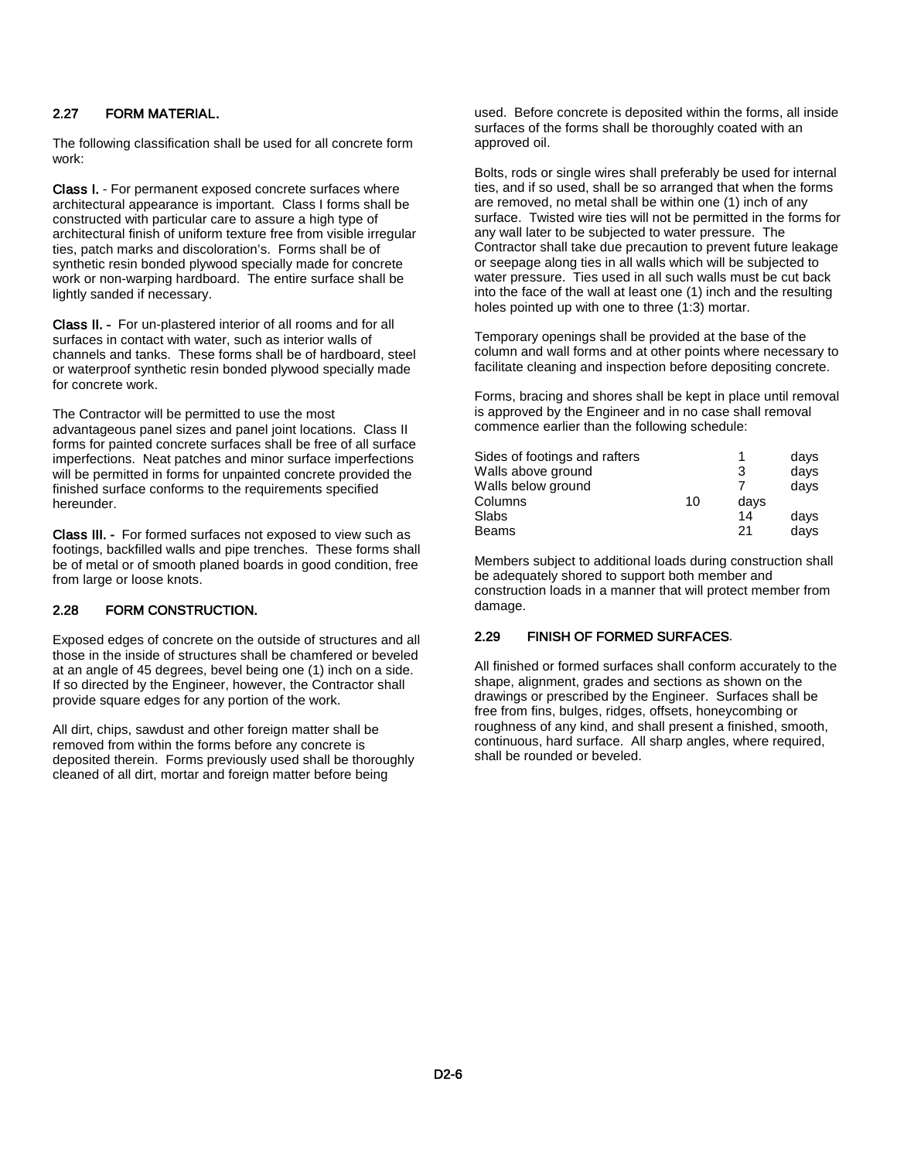#### 2.27 FORM MATERIAL.

The following classification shall be used for all concrete form work:

Class I. - For permanent exposed concrete surfaces where architectural appearance is important. Class I forms shall be constructed with particular care to assure a high type of architectural finish of uniform texture free from visible irregular ties, patch marks and discoloration's. Forms shall be of synthetic resin bonded plywood specially made for concrete work or non-warping hardboard. The entire surface shall be lightly sanded if necessary.

Class II. - For un-plastered interior of all rooms and for all surfaces in contact with water, such as interior walls of channels and tanks. These forms shall be of hardboard, steel or waterproof synthetic resin bonded plywood specially made for concrete work.

The Contractor will be permitted to use the most advantageous panel sizes and panel joint locations. Class II forms for painted concrete surfaces shall be free of all surface imperfections. Neat patches and minor surface imperfections will be permitted in forms for unpainted concrete provided the finished surface conforms to the requirements specified hereunder.

Class III. - For formed surfaces not exposed to view such as footings, backfilled walls and pipe trenches. These forms shall be of metal or of smooth planed boards in good condition, free from large or loose knots.

#### 2.28 FORM CONSTRUCTION.

Exposed edges of concrete on the outside of structures and all those in the inside of structures shall be chamfered or beveled at an angle of 45 degrees, bevel being one (1) inch on a side. If so directed by the Engineer, however, the Contractor shall provide square edges for any portion of the work.

All dirt, chips, sawdust and other foreign matter shall be removed from within the forms before any concrete is deposited therein. Forms previously used shall be thoroughly cleaned of all dirt, mortar and foreign matter before being

used. Before concrete is deposited within the forms, all inside surfaces of the forms shall be thoroughly coated with an approved oil.

Bolts, rods or single wires shall preferably be used for internal ties, and if so used, shall be so arranged that when the forms are removed, no metal shall be within one (1) inch of any surface. Twisted wire ties will not be permitted in the forms for any wall later to be subjected to water pressure. The Contractor shall take due precaution to prevent future leakage or seepage along ties in all walls which will be subjected to water pressure. Ties used in all such walls must be cut back into the face of the wall at least one (1) inch and the resulting holes pointed up with one to three (1:3) mortar.

Temporary openings shall be provided at the base of the column and wall forms and at other points where necessary to facilitate cleaning and inspection before depositing concrete.

Forms, bracing and shores shall be kept in place until removal is approved by the Engineer and in no case shall removal commence earlier than the following schedule:

| Sides of footings and rafters |    |      | days |
|-------------------------------|----|------|------|
| Walls above ground            |    | 3    | days |
| Walls below ground            |    |      | days |
| Columns                       | 10 | days |      |
| Slabs                         |    | 14   | days |
| <b>Beams</b>                  |    | 21   | days |

Members subject to additional loads during construction shall be adequately shored to support both member and construction loads in a manner that will protect member from damage.

#### 2.29 FINISH OF FORMED SURFACES.

All finished or formed surfaces shall conform accurately to the shape, alignment, grades and sections as shown on the drawings or prescribed by the Engineer. Surfaces shall be free from fins, bulges, ridges, offsets, honeycombing or roughness of any kind, and shall present a finished, smooth, continuous, hard surface. All sharp angles, where required, shall be rounded or beveled.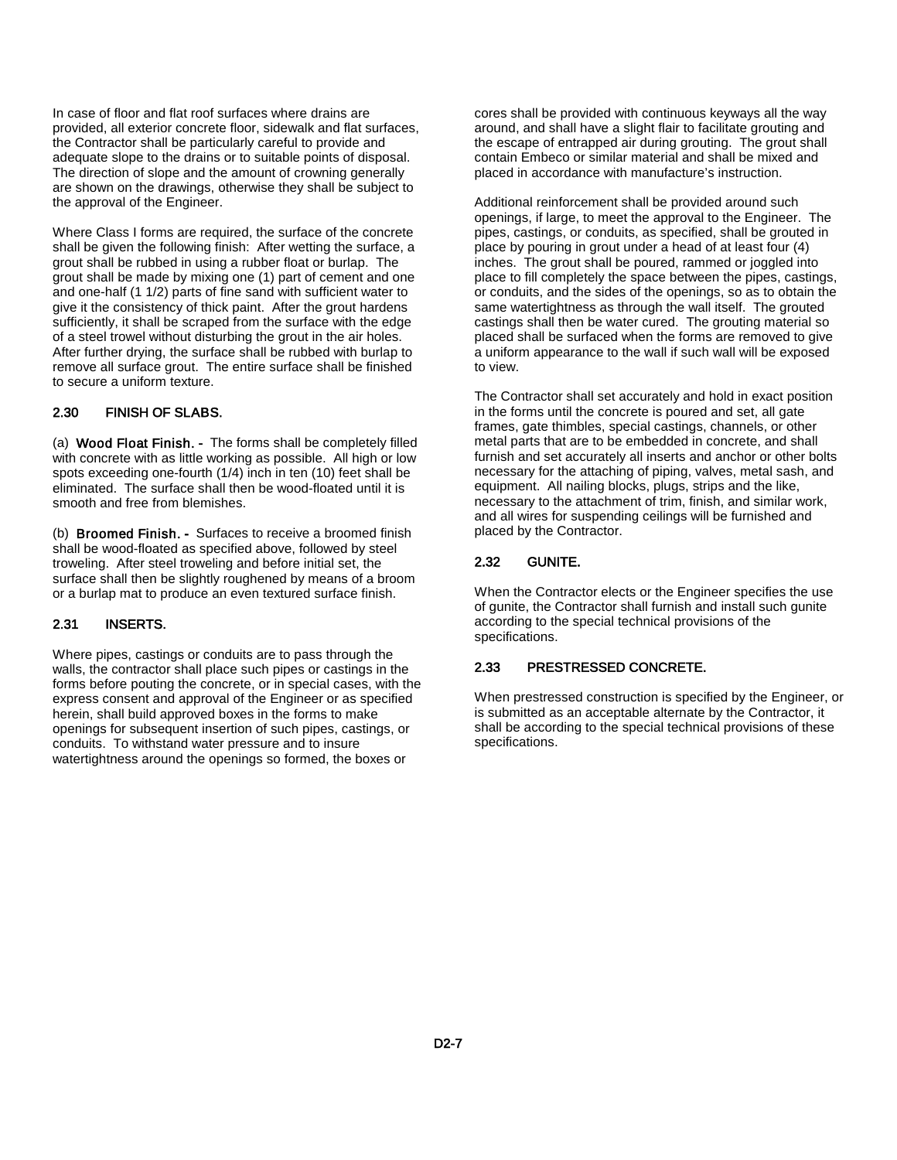In case of floor and flat roof surfaces where drains are provided, all exterior concrete floor, sidewalk and flat surfaces, the Contractor shall be particularly careful to provide and adequate slope to the drains or to suitable points of disposal. The direction of slope and the amount of crowning generally are shown on the drawings, otherwise they shall be subject to the approval of the Engineer.

Where Class I forms are required, the surface of the concrete shall be given the following finish: After wetting the surface, a grout shall be rubbed in using a rubber float or burlap. The grout shall be made by mixing one (1) part of cement and one and one-half (1 1/2) parts of fine sand with sufficient water to give it the consistency of thick paint. After the grout hardens sufficiently, it shall be scraped from the surface with the edge of a steel trowel without disturbing the grout in the air holes. After further drying, the surface shall be rubbed with burlap to remove all surface grout. The entire surface shall be finished to secure a uniform texture.

#### 2.30 FINISH OF SLABS.

(a) Wood Float Finish. - The forms shall be completely filled with concrete with as little working as possible. All high or low spots exceeding one-fourth (1/4) inch in ten (10) feet shall be eliminated. The surface shall then be wood-floated until it is smooth and free from blemishes.

(b) Broomed Finish. - Surfaces to receive a broomed finish shall be wood-floated as specified above, followed by steel troweling. After steel troweling and before initial set, the surface shall then be slightly roughened by means of a broom or a burlap mat to produce an even textured surface finish.

#### 2.31 INSERTS.

Where pipes, castings or conduits are to pass through the walls, the contractor shall place such pipes or castings in the forms before pouting the concrete, or in special cases, with the express consent and approval of the Engineer or as specified herein, shall build approved boxes in the forms to make openings for subsequent insertion of such pipes, castings, or conduits. To withstand water pressure and to insure watertightness around the openings so formed, the boxes or

cores shall be provided with continuous keyways all the way around, and shall have a slight flair to facilitate grouting and the escape of entrapped air during grouting. The grout shall contain Embeco or similar material and shall be mixed and placed in accordance with manufacture's instruction.

Additional reinforcement shall be provided around such openings, if large, to meet the approval to the Engineer. The pipes, castings, or conduits, as specified, shall be grouted in place by pouring in grout under a head of at least four (4) inches. The grout shall be poured, rammed or joggled into place to fill completely the space between the pipes, castings, or conduits, and the sides of the openings, so as to obtain the same watertightness as through the wall itself. The grouted castings shall then be water cured. The grouting material so placed shall be surfaced when the forms are removed to give a uniform appearance to the wall if such wall will be exposed to view.

The Contractor shall set accurately and hold in exact position in the forms until the concrete is poured and set, all gate frames, gate thimbles, special castings, channels, or other metal parts that are to be embedded in concrete, and shall furnish and set accurately all inserts and anchor or other bolts necessary for the attaching of piping, valves, metal sash, and equipment. All nailing blocks, plugs, strips and the like, necessary to the attachment of trim, finish, and similar work, and all wires for suspending ceilings will be furnished and placed by the Contractor.

#### 2.32 GUNITE.

When the Contractor elects or the Engineer specifies the use of gunite, the Contractor shall furnish and install such gunite according to the special technical provisions of the specifications.

#### 2.33 PRESTRESSED CONCRETE.

When prestressed construction is specified by the Engineer, or is submitted as an acceptable alternate by the Contractor, it shall be according to the special technical provisions of these specifications.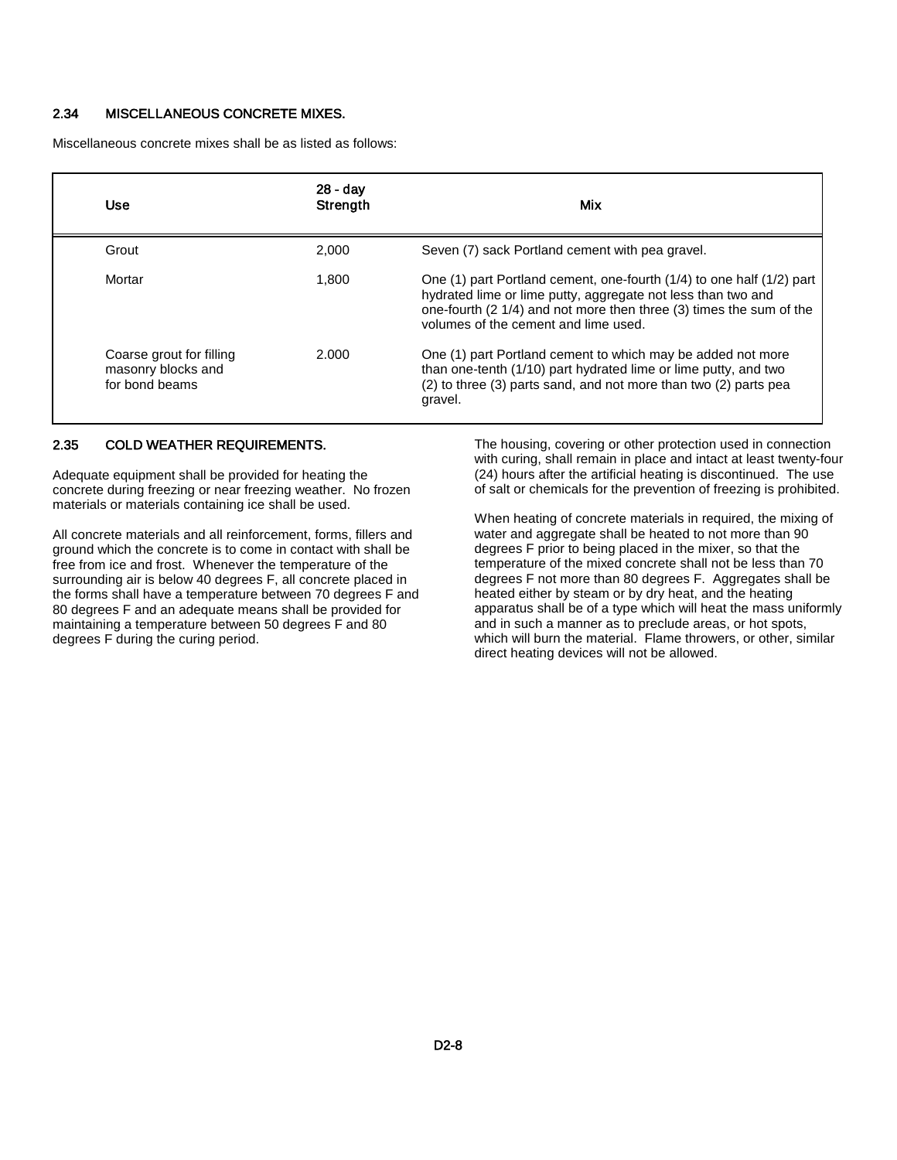#### 2.34 MISCELLANEOUS CONCRETE MIXES.

Miscellaneous concrete mixes shall be as listed as follows:

| Use                                                              | 28 - day<br>Strength | Mix                                                                                                                                                                                                                                                  |
|------------------------------------------------------------------|----------------------|------------------------------------------------------------------------------------------------------------------------------------------------------------------------------------------------------------------------------------------------------|
| Grout                                                            | 2.000                | Seven (7) sack Portland cement with pea gravel.                                                                                                                                                                                                      |
| Mortar                                                           | 1.800                | One (1) part Portland cement, one-fourth (1/4) to one half (1/2) part<br>hydrated lime or lime putty, aggregate not less than two and<br>one-fourth (2 1/4) and not more then three (3) times the sum of the<br>volumes of the cement and lime used. |
| Coarse grout for filling<br>masonry blocks and<br>for bond beams | 2.000                | One (1) part Portland cement to which may be added not more<br>than one-tenth (1/10) part hydrated lime or lime putty, and two<br>(2) to three (3) parts sand, and not more than two (2) parts pea<br>gravel.                                        |

#### 2.35 COLD WEATHER REQUIREMENTS.

Adequate equipment shall be provided for heating the concrete during freezing or near freezing weather. No frozen materials or materials containing ice shall be used.

All concrete materials and all reinforcement, forms, fillers and ground which the concrete is to come in contact with shall be free from ice and frost. Whenever the temperature of the surrounding air is below 40 degrees F, all concrete placed in the forms shall have a temperature between 70 degrees F and 80 degrees F and an adequate means shall be provided for maintaining a temperature between 50 degrees F and 80 degrees F during the curing period.

The housing, covering or other protection used in connection with curing, shall remain in place and intact at least twenty-four (24) hours after the artificial heating is discontinued. The use of salt or chemicals for the prevention of freezing is prohibited.

When heating of concrete materials in required, the mixing of water and aggregate shall be heated to not more than 90 degrees F prior to being placed in the mixer, so that the temperature of the mixed concrete shall not be less than 70 degrees F not more than 80 degrees F. Aggregates shall be heated either by steam or by dry heat, and the heating apparatus shall be of a type which will heat the mass uniformly and in such a manner as to preclude areas, or hot spots, which will burn the material. Flame throwers, or other, similar direct heating devices will not be allowed.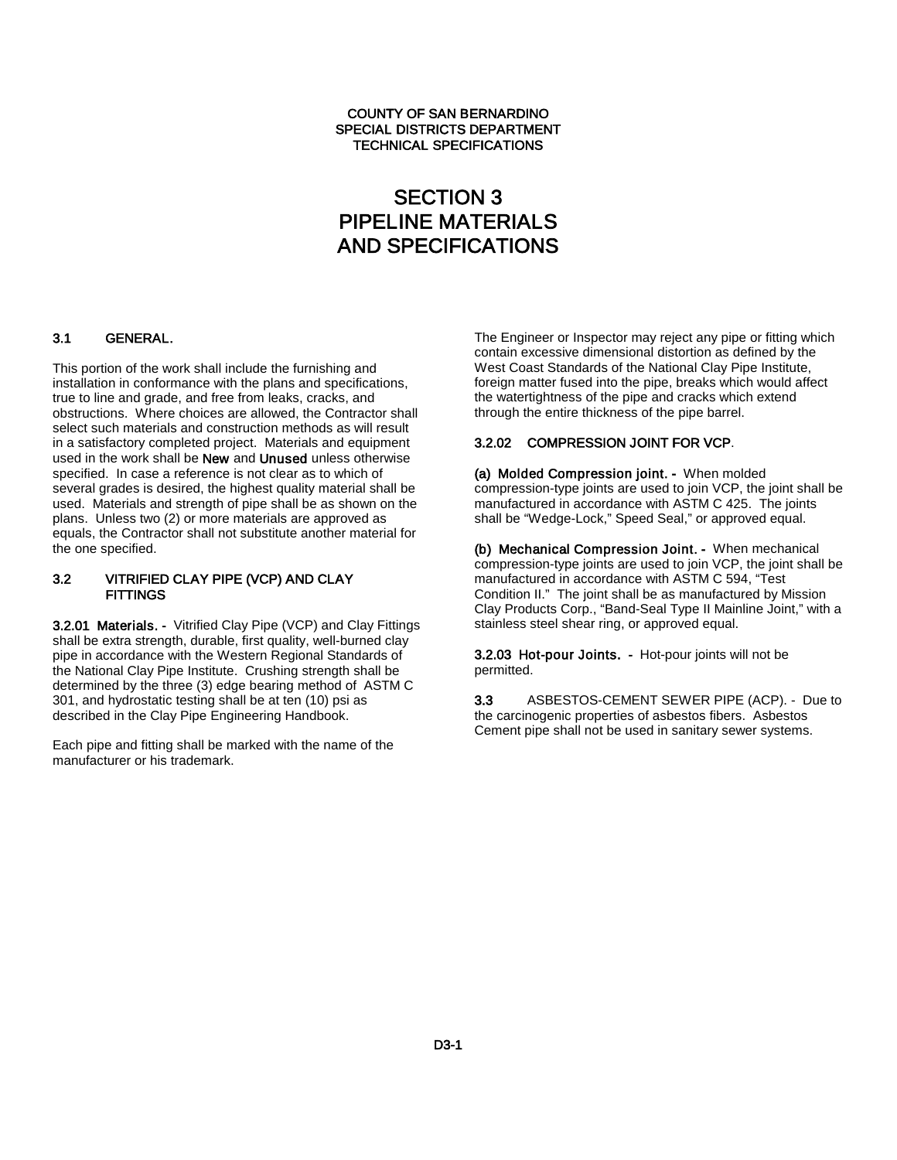#### COUNTY OF SAN BERNARDINO SPECIAL DISTRICTS DEPARTMENT TECHNICAL SPECIFICATIONS

# SECTION 3 PIPELINE MATERIALS AND SPECIFICATIONS

# 3.1 GENERAL.

This portion of the work shall include the furnishing and installation in conformance with the plans and specifications, true to line and grade, and free from leaks, cracks, and obstructions. Where choices are allowed, the Contractor shall select such materials and construction methods as will result in a satisfactory completed project. Materials and equipment used in the work shall be New and Unused unless otherwise specified. In case a reference is not clear as to which of several grades is desired, the highest quality material shall be used. Materials and strength of pipe shall be as shown on the plans. Unless two (2) or more materials are approved as equals, the Contractor shall not substitute another material for the one specified.

#### 3.2 VITRIFIED CLAY PIPE (VCP) AND CLAY **FITTINGS**

3.2.01 Materials. - Vitrified Clay Pipe (VCP) and Clay Fittings shall be extra strength, durable, first quality, well-burned clay pipe in accordance with the Western Regional Standards of the National Clay Pipe Institute. Crushing strength shall be determined by the three (3) edge bearing method of ASTM C 301, and hydrostatic testing shall be at ten (10) psi as described in the Clay Pipe Engineering Handbook.

Each pipe and fitting shall be marked with the name of the manufacturer or his trademark.

The Engineer or Inspector may reject any pipe or fitting which contain excessive dimensional distortion as defined by the West Coast Standards of the National Clay Pipe Institute, foreign matter fused into the pipe, breaks which would affect the watertightness of the pipe and cracks which extend through the entire thickness of the pipe barrel.

#### 3.2.02 COMPRESSION JOINT FOR VCP.

(a) Molded Compression joint. - When molded compression-type joints are used to join VCP, the joint shall be manufactured in accordance with ASTM C 425. The joints shall be "Wedge-Lock," Speed Seal," or approved equal.

(b) Mechanical Compression Joint. - When mechanical compression-type joints are used to join VCP, the joint shall be manufactured in accordance with ASTM C 594, "Test Condition II." The joint shall be as manufactured by Mission Clay Products Corp., "Band-Seal Type II Mainline Joint," with a stainless steel shear ring, or approved equal.

3.2.03 Hot-pour Joints. - Hot-pour joints will not be permitted.

3.3 ASBESTOS-CEMENT SEWER PIPE (ACP). - Due to the carcinogenic properties of asbestos fibers. Asbestos Cement pipe shall not be used in sanitary sewer systems.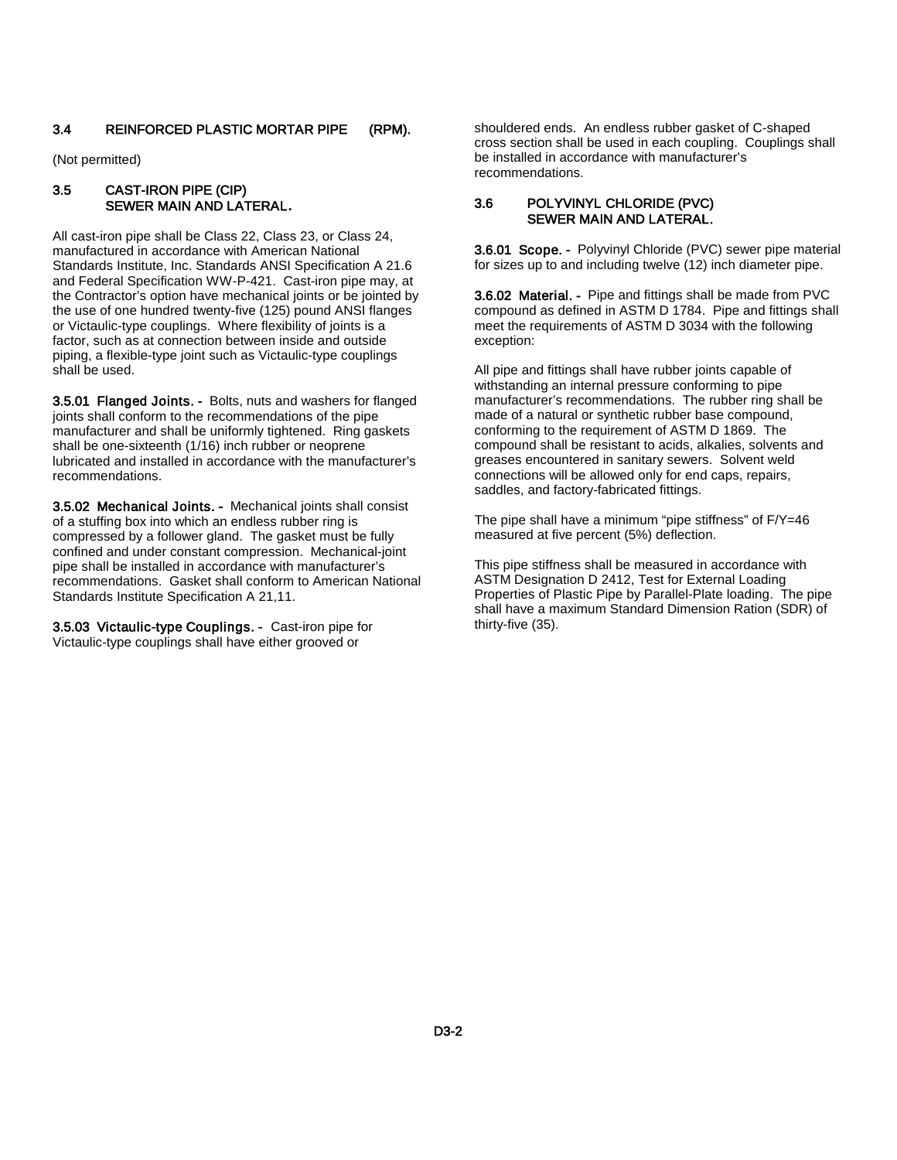#### 3.4 REINFORCED PLASTIC MORTAR PIPE (RPM).

(Not permitted)

#### 3.5 CAST-IRON PIPE (CIP) SEWER MAIN AND LATERAL**.**

All cast-iron pipe shall be Class 22, Class 23, or Class 24, manufactured in accordance with American National Standards Institute, Inc. Standards ANSI Specification A 21.6 and Federal Specification WW-P-421. Cast-iron pipe may, at the Contractor's option have mechanical joints or be jointed by the use of one hundred twenty-five (125) pound ANSI flanges or Victaulic-type couplings. Where flexibility of joints is a factor, such as at connection between inside and outside piping, a flexible-type joint such as Victaulic-type couplings shall be used.

3.5.01 Flanged Joints. - Bolts, nuts and washers for flanged joints shall conform to the recommendations of the pipe manufacturer and shall be uniformly tightened. Ring gaskets shall be one-sixteenth (1/16) inch rubber or neoprene lubricated and installed in accordance with the manufacturer's recommendations.

3.5.02 Mechanical Joints. - Mechanical joints shall consist of a stuffing box into which an endless rubber ring is compressed by a follower gland. The gasket must be fully confined and under constant compression. Mechanical-joint pipe shall be installed in accordance with manufacturer's recommendations. Gasket shall conform to American National Standards Institute Specification A 21,11.

3.5.03 Victaulic-type Couplings. - Cast-iron pipe for Victaulic-type couplings shall have either grooved or

shouldered ends. An endless rubber gasket of C-shaped cross section shall be used in each coupling. Couplings shall be installed in accordance with manufacturer's recommendations.

#### 3.6 POLYVINYL CHLORIDE (PVC) SEWER MAIN AND LATERAL.

3.6.01 Scope. - Polyvinyl Chloride (PVC) sewer pipe material for sizes up to and including twelve (12) inch diameter pipe.

3.6.02 Material. - Pipe and fittings shall be made from PVC compound as defined in ASTM D 1784. Pipe and fittings shall meet the requirements of ASTM D 3034 with the following exception:

All pipe and fittings shall have rubber joints capable of withstanding an internal pressure conforming to pipe manufacturer's recommendations. The rubber ring shall be made of a natural or synthetic rubber base compound, conforming to the requirement of ASTM D 1869. The compound shall be resistant to acids, alkalies, solvents and greases encountered in sanitary sewers. Solvent weld connections will be allowed only for end caps, repairs, saddles, and factory-fabricated fittings.

The pipe shall have a minimum "pipe stiffness" of F/Y=46 measured at five percent (5%) deflection.

This pipe stiffness shall be measured in accordance with ASTM Designation D 2412, Test for External Loading Properties of Plastic Pipe by Parallel-Plate loading. The pipe shall have a maximum Standard Dimension Ration (SDR) of thirty-five (35).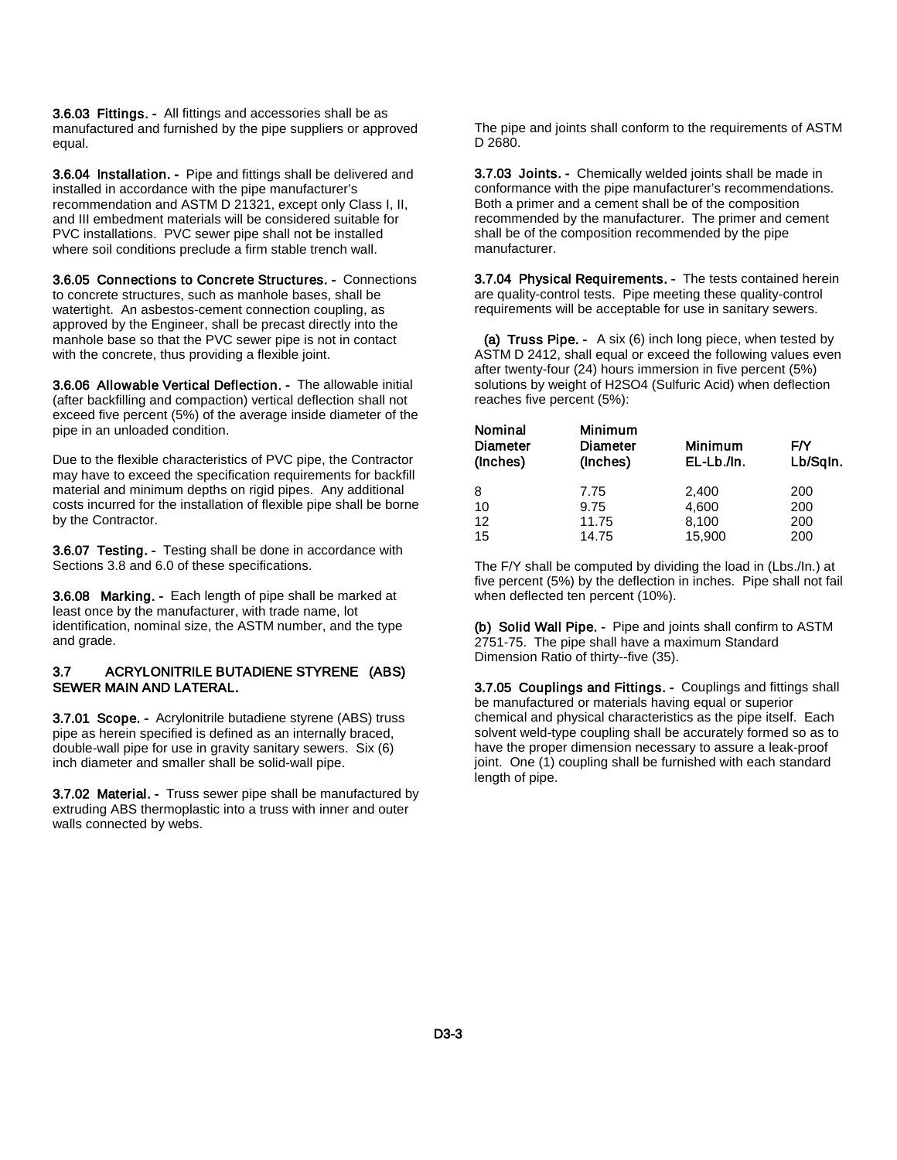3.6.03 Fittings. - All fittings and accessories shall be as manufactured and furnished by the pipe suppliers or approved equal.

3.6.04 Installation. - Pipe and fittings shall be delivered and installed in accordance with the pipe manufacturer's recommendation and ASTM D 21321, except only Class I, II, and III embedment materials will be considered suitable for PVC installations. PVC sewer pipe shall not be installed where soil conditions preclude a firm stable trench wall.

3.6.05 Connections to Concrete Structures. - Connections to concrete structures, such as manhole bases, shall be watertight. An asbestos-cement connection coupling, as approved by the Engineer, shall be precast directly into the manhole base so that the PVC sewer pipe is not in contact with the concrete, thus providing a flexible joint.

3.6.06 Allowable Vertical Deflection. - The allowable initial (after backfilling and compaction) vertical deflection shall not exceed five percent (5%) of the average inside diameter of the pipe in an unloaded condition.

Due to the flexible characteristics of PVC pipe, the Contractor may have to exceed the specification requirements for backfill material and minimum depths on rigid pipes. Any additional costs incurred for the installation of flexible pipe shall be borne by the Contractor.

3.6.07 Testing. - Testing shall be done in accordance with Sections 3.8 and 6.0 of these specifications.

3.6.08 Marking. - Each length of pipe shall be marked at least once by the manufacturer, with trade name, lot identification, nominal size, the ASTM number, and the type and grade.

#### 3.7 ACRYLONITRILE BUTADIENE STYRENE (ABS) SEWER MAIN AND LATERAL.

3.7.01 Scope. - Acrylonitrile butadiene styrene (ABS) truss pipe as herein specified is defined as an internally braced, double-wall pipe for use in gravity sanitary sewers. Six (6) inch diameter and smaller shall be solid-wall pipe.

3.7.02 Material. - Truss sewer pipe shall be manufactured by extruding ABS thermoplastic into a truss with inner and outer walls connected by webs.

The pipe and joints shall conform to the requirements of ASTM D 2680.

3.7.03 Joints. - Chemically welded joints shall be made in conformance with the pipe manufacturer's recommendations. Both a primer and a cement shall be of the composition recommended by the manufacturer. The primer and cement shall be of the composition recommended by the pipe manufacturer.

3.7.04 Physical Requirements. - The tests contained herein are quality-control tests. Pipe meeting these quality-control requirements will be acceptable for use in sanitary sewers.

(a) Truss Pipe. - A six (6) inch long piece, when tested by ASTM D 2412, shall equal or exceed the following values even after twenty-four (24) hours immersion in five percent (5%) solutions by weight of H2SO4 (Sulfuric Acid) when deflection reaches five percent (5%):

| Nominal<br><b>Diameter</b><br>(Inches) | <b>Minimum</b><br>Diameter<br>(Inches) | <b>Minimum</b><br>EL-Lb./In. | FN<br>Lb/Sqln. |
|----------------------------------------|----------------------------------------|------------------------------|----------------|
| 8                                      | 7.75                                   | 2,400                        | 200            |
| 10                                     | 9.75                                   | 4,600                        | 200            |
| 12                                     | 11.75                                  | 8,100                        | 200            |
| 15                                     | 14.75                                  | 15,900                       | 200            |

The F/Y shall be computed by dividing the load in (Lbs./In.) at five percent (5%) by the deflection in inches. Pipe shall not fail when deflected ten percent (10%).

(b) Solid Wall Pipe. - Pipe and joints shall confirm to ASTM 2751-75. The pipe shall have a maximum Standard Dimension Ratio of thirty--five (35).

3.7.05 Couplings and Fittings. - Couplings and fittings shall be manufactured or materials having equal or superior chemical and physical characteristics as the pipe itself. Each solvent weld-type coupling shall be accurately formed so as to have the proper dimension necessary to assure a leak-proof joint. One (1) coupling shall be furnished with each standard length of pipe.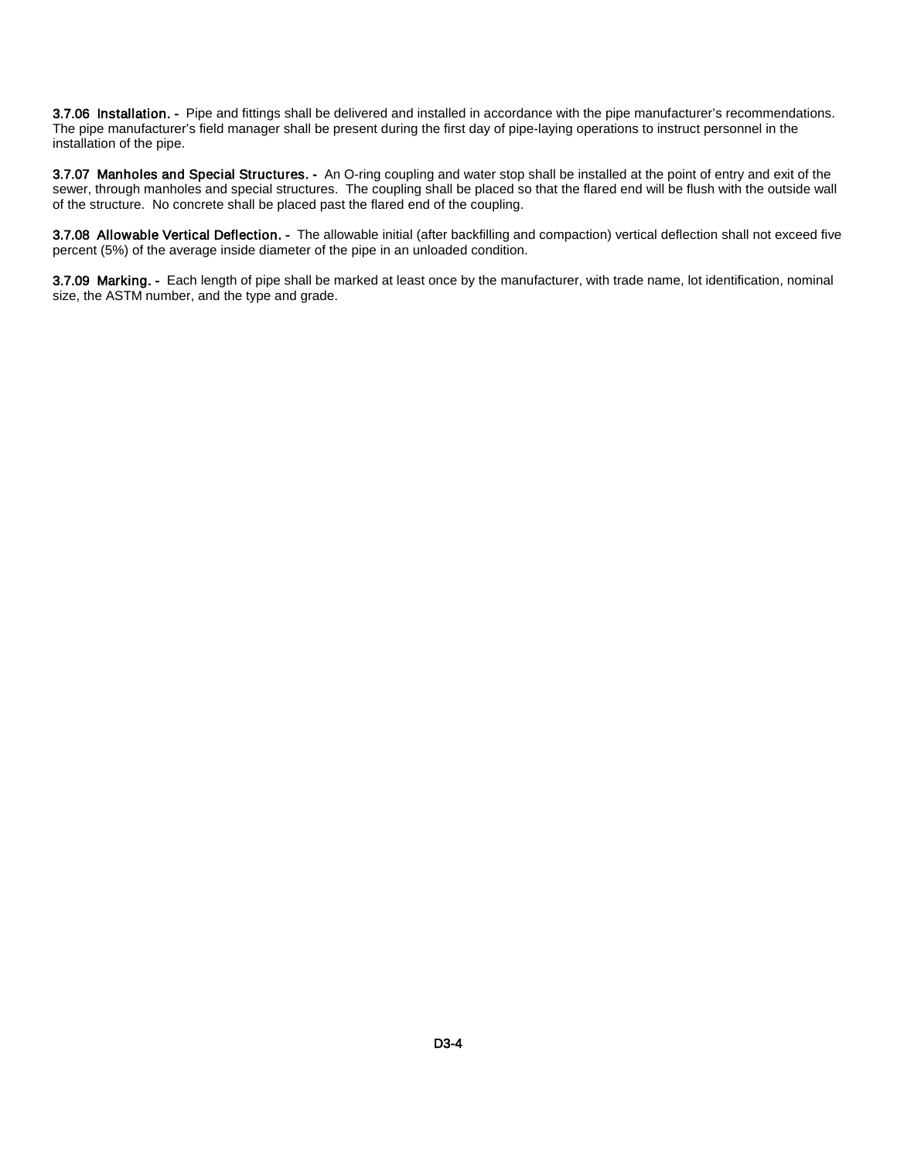3.7.06 Installation. - Pipe and fittings shall be delivered and installed in accordance with the pipe manufacturer's recommendations. The pipe manufacturer's field manager shall be present during the first day of pipe-laying operations to instruct personnel in the installation of the pipe.

3.7.07 Manholes and Special Structures. - An O-ring coupling and water stop shall be installed at the point of entry and exit of the sewer, through manholes and special structures. The coupling shall be placed so that the flared end will be flush with the outside wall of the structure. No concrete shall be placed past the flared end of the coupling.

3.7.08 Allowable Vertical Deflection. - The allowable initial (after backfilling and compaction) vertical deflection shall not exceed five percent (5%) of the average inside diameter of the pipe in an unloaded condition.

3.7.09 Marking. - Each length of pipe shall be marked at least once by the manufacturer, with trade name, lot identification, nominal size, the ASTM number, and the type and grade.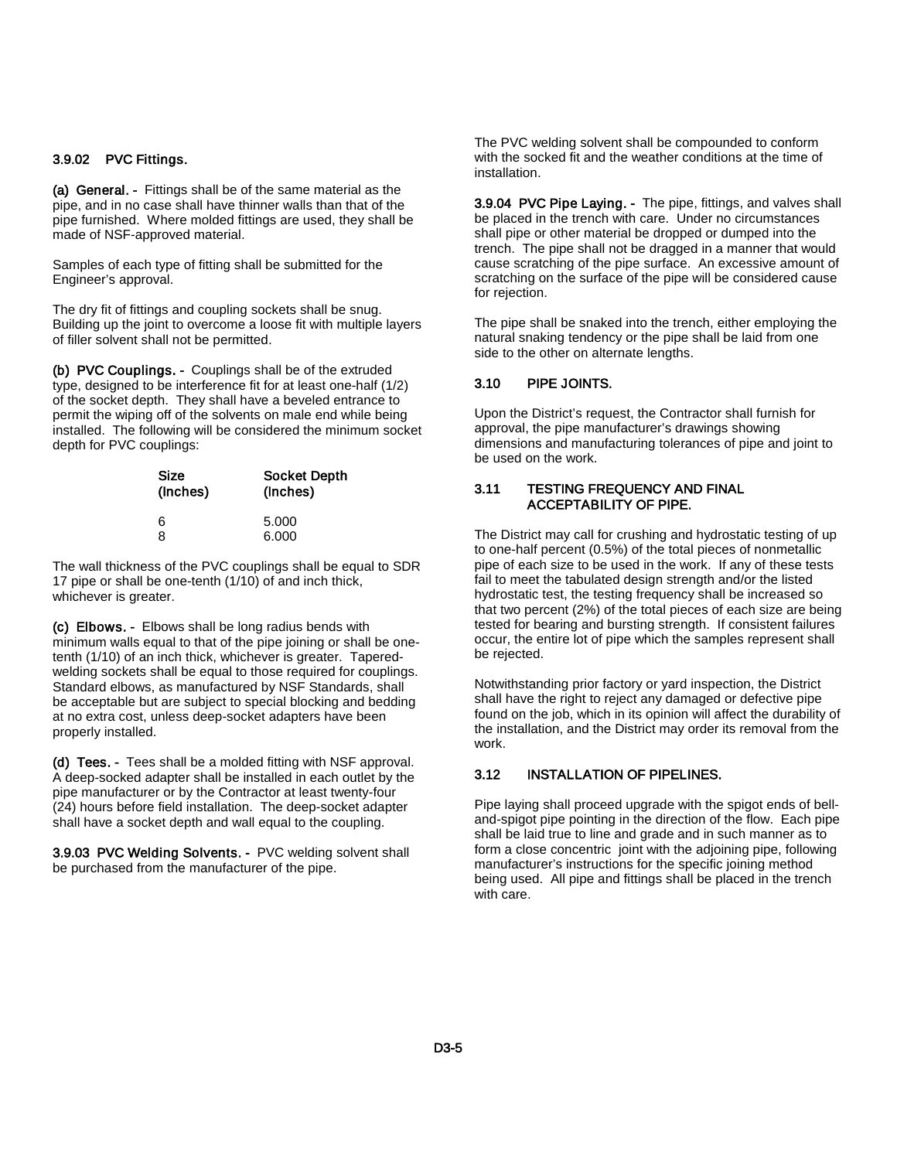#### 3.9.02 PVC Fittings.

(a) General. - Fittings shall be of the same material as the pipe, and in no case shall have thinner walls than that of the pipe furnished. Where molded fittings are used, they shall be made of NSF-approved material.

Samples of each type of fitting shall be submitted for the Engineer's approval.

The dry fit of fittings and coupling sockets shall be snug. Building up the joint to overcome a loose fit with multiple layers of filler solvent shall not be permitted.

(b) PVC Couplings. - Couplings shall be of the extruded type, designed to be interference fit for at least one-half (1/2) of the socket depth. They shall have a beveled entrance to permit the wiping off of the solvents on male end while being installed. The following will be considered the minimum socket depth for PVC couplings:

| Size<br>(Inches) | <b>Socket Depth</b><br>(Inches) |
|------------------|---------------------------------|
| 6<br>я           | 5.000<br>6.000                  |

The wall thickness of the PVC couplings shall be equal to SDR 17 pipe or shall be one-tenth (1/10) of and inch thick, whichever is greater.

(c) Elbows. - Elbows shall be long radius bends with minimum walls equal to that of the pipe joining or shall be onetenth (1/10) of an inch thick, whichever is greater. Taperedwelding sockets shall be equal to those required for couplings. Standard elbows, as manufactured by NSF Standards, shall be acceptable but are subject to special blocking and bedding at no extra cost, unless deep-socket adapters have been properly installed.

(d) Tees. - Tees shall be a molded fitting with NSF approval. A deep-socked adapter shall be installed in each outlet by the pipe manufacturer or by the Contractor at least twenty-four (24) hours before field installation. The deep-socket adapter shall have a socket depth and wall equal to the coupling.

3.9.03 PVC Welding Solvents. - PVC welding solvent shall be purchased from the manufacturer of the pipe.

The PVC welding solvent shall be compounded to conform with the socked fit and the weather conditions at the time of installation.

3.9.04 PVC Pipe Laying. - The pipe, fittings, and valves shall be placed in the trench with care. Under no circumstances shall pipe or other material be dropped or dumped into the trench. The pipe shall not be dragged in a manner that would cause scratching of the pipe surface. An excessive amount of scratching on the surface of the pipe will be considered cause for rejection.

The pipe shall be snaked into the trench, either employing the natural snaking tendency or the pipe shall be laid from one side to the other on alternate lengths.

#### 3.10 PIPE JOINTS.

Upon the District's request, the Contractor shall furnish for approval, the pipe manufacturer's drawings showing dimensions and manufacturing tolerances of pipe and joint to be used on the work.

#### 3.11 TESTING FREQUENCY AND FINAL ACCEPTABILITY OF PIPE.

The District may call for crushing and hydrostatic testing of up to one-half percent (0.5%) of the total pieces of nonmetallic pipe of each size to be used in the work. If any of these tests fail to meet the tabulated design strength and/or the listed hydrostatic test, the testing frequency shall be increased so that two percent (2%) of the total pieces of each size are being tested for bearing and bursting strength. If consistent failures occur, the entire lot of pipe which the samples represent shall be rejected.

Notwithstanding prior factory or yard inspection, the District shall have the right to reject any damaged or defective pipe found on the job, which in its opinion will affect the durability of the installation, and the District may order its removal from the work.

#### 3.12 INSTALLATION OF PIPELINES.

Pipe laying shall proceed upgrade with the spigot ends of belland-spigot pipe pointing in the direction of the flow. Each pipe shall be laid true to line and grade and in such manner as to form a close concentric joint with the adjoining pipe, following manufacturer's instructions for the specific joining method being used. All pipe and fittings shall be placed in the trench with care.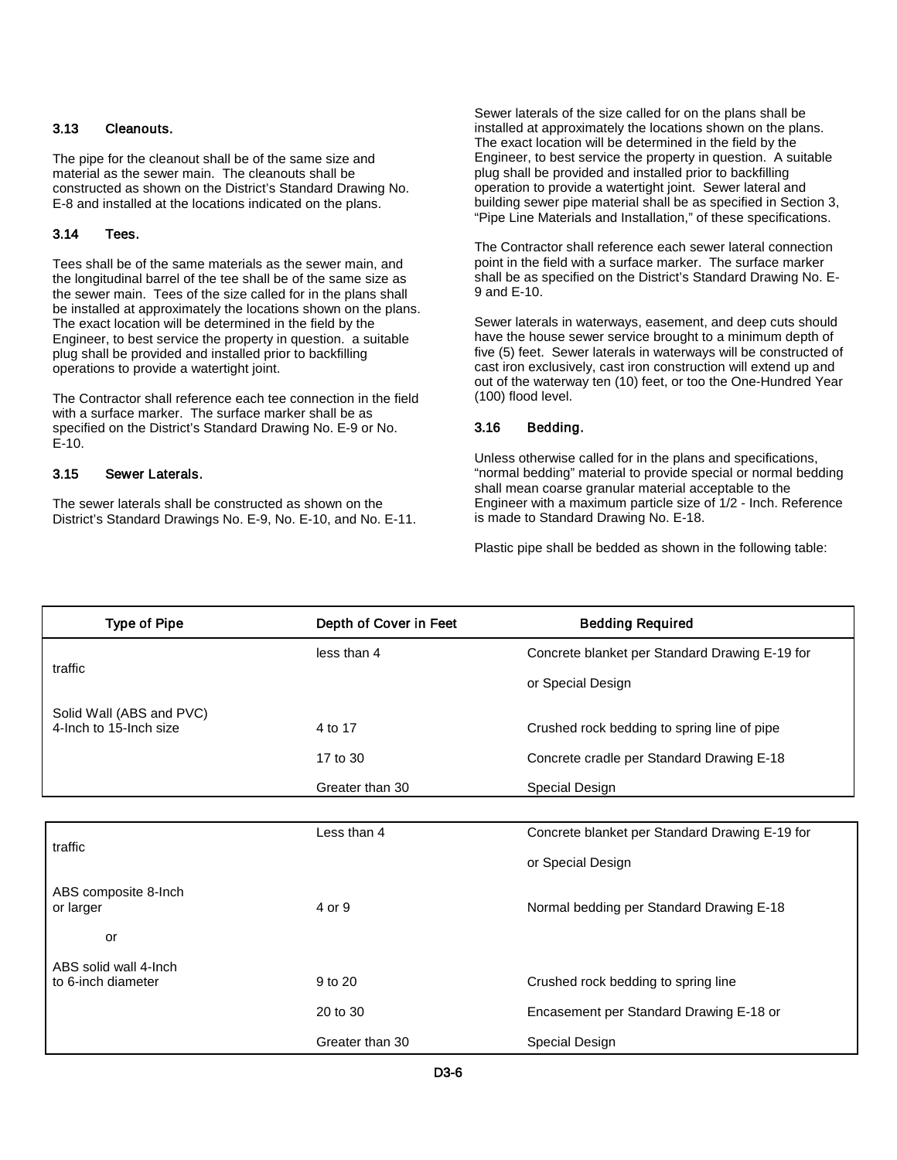#### 3.13 Cleanouts.

The pipe for the cleanout shall be of the same size and material as the sewer main. The cleanouts shall be constructed as shown on the District's Standard Drawing No. E-8 and installed at the locations indicated on the plans.

#### 3.14 Tees.

Tees shall be of the same materials as the sewer main, and the longitudinal barrel of the tee shall be of the same size as the sewer main. Tees of the size called for in the plans shall be installed at approximately the locations shown on the plans. The exact location will be determined in the field by the Engineer, to best service the property in question. a suitable plug shall be provided and installed prior to backfilling operations to provide a watertight joint.

The Contractor shall reference each tee connection in the field with a surface marker. The surface marker shall be as specified on the District's Standard Drawing No. E-9 or No. E-10.

#### 3.15 Sewer Laterals.

The sewer laterals shall be constructed as shown on the District's Standard Drawings No. E-9, No. E-10, and No. E-11. Sewer laterals of the size called for on the plans shall be installed at approximately the locations shown on the plans. The exact location will be determined in the field by the Engineer, to best service the property in question. A suitable plug shall be provided and installed prior to backfilling operation to provide a watertight joint. Sewer lateral and building sewer pipe material shall be as specified in Section 3, "Pipe Line Materials and Installation," of these specifications.

The Contractor shall reference each sewer lateral connection point in the field with a surface marker. The surface marker shall be as specified on the District's Standard Drawing No. E-9 and E-10.

Sewer laterals in waterways, easement, and deep cuts should have the house sewer service brought to a minimum depth of five (5) feet. Sewer laterals in waterways will be constructed of cast iron exclusively, cast iron construction will extend up and out of the waterway ten (10) feet, or too the One-Hundred Year (100) flood level.

#### 3.16 Bedding.

Unless otherwise called for in the plans and specifications, "normal bedding" material to provide special or normal bedding shall mean coarse granular material acceptable to the Engineer with a maximum particle size of 1/2 - Inch. Reference is made to Standard Drawing No. E-18.

Plastic pipe shall be bedded as shown in the following table:

| <b>Type of Pipe</b>      | Depth of Cover in Feet | <b>Bedding Required</b>                        |
|--------------------------|------------------------|------------------------------------------------|
|                          | less than 4            | Concrete blanket per Standard Drawing E-19 for |
| traffic                  |                        | or Special Design                              |
| Solid Wall (ABS and PVC) |                        |                                                |
| 4-Inch to 15-Inch size   | 4 to 17                | Crushed rock bedding to spring line of pipe    |
|                          | 17 to 30               | Concrete cradle per Standard Drawing E-18      |
|                          | Greater than 30        | Special Design                                 |
|                          |                        |                                                |
|                          | Less than 4            | Concrete blanket per Standard Drawing E-19 for |
| traffic                  |                        | or Special Design                              |
| ABS composite 8-Inch     |                        |                                                |
| or larger                | 4 or 9                 | Normal bedding per Standard Drawing E-18       |
| or                       |                        |                                                |
| ABS solid wall 4-lnch    |                        |                                                |
| to 6-inch diameter       | 9 to 20                | Crushed rock bedding to spring line            |
|                          | 20 to 30               | Encasement per Standard Drawing E-18 or        |
|                          | Greater than 30        | Special Design                                 |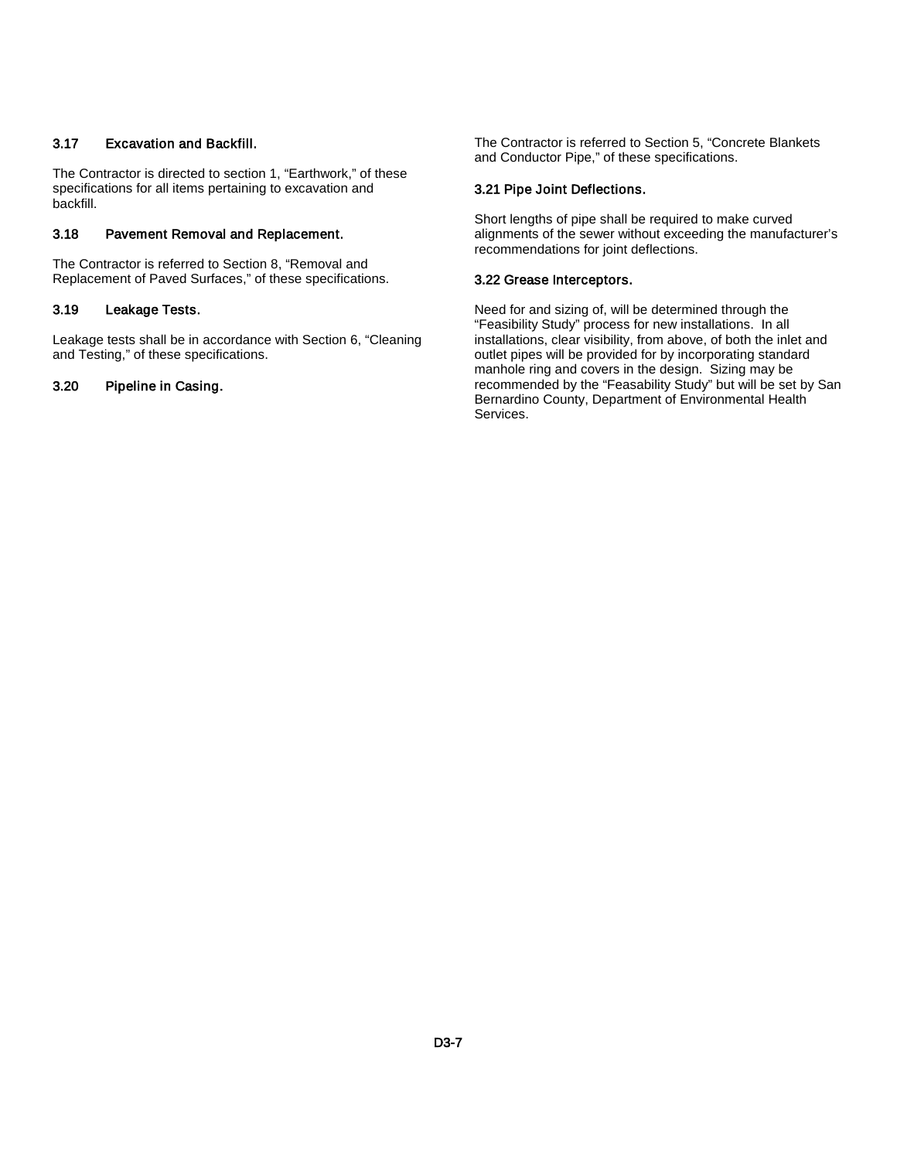#### 3.17 Excavation and Backfill.

The Contractor is directed to section 1, "Earthwork," of these specifications for all items pertaining to excavation and backfill.

#### 3.18 Pavement Removal and Replacement.

The Contractor is referred to Section 8, "Removal and Replacement of Paved Surfaces," of these specifications.

#### 3.19 Leakage Tests.

Leakage tests shall be in accordance with Section 6, "Cleaning and Testing," of these specifications.

#### 3.20 Pipeline in Casing.

The Contractor is referred to Section 5, "Concrete Blankets and Conductor Pipe," of these specifications.

#### 3.21 Pipe Joint Deflections.

Short lengths of pipe shall be required to make curved alignments of the sewer without exceeding the manufacturer's recommendations for joint deflections.

#### 3.22 Grease Interceptors.

Need for and sizing of, will be determined through the "Feasibility Study" process for new installations. In all installations, clear visibility, from above, of both the inlet and outlet pipes will be provided for by incorporating standard manhole ring and covers in the design. Sizing may be recommended by the "Feasability Study" but will be set by San Bernardino County, Department of Environmental Health Services.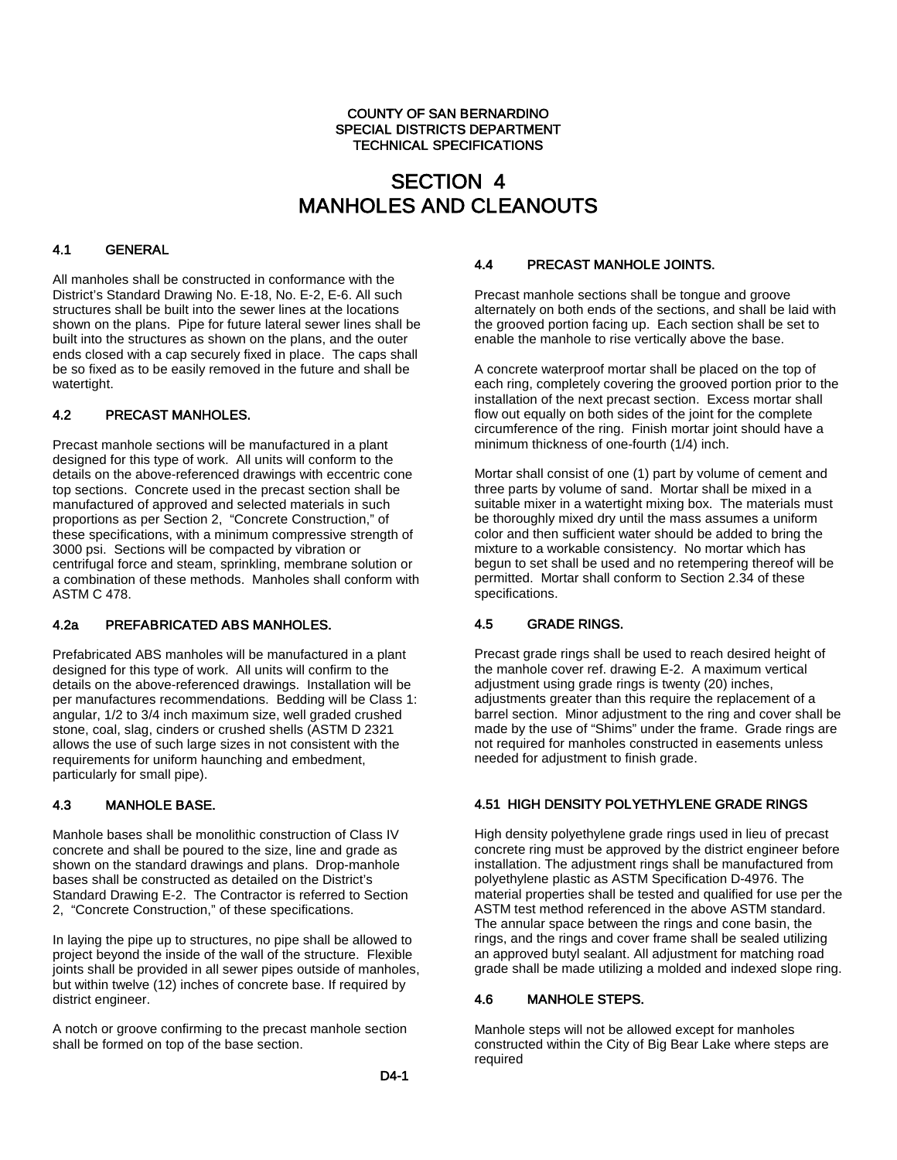#### COUNTY OF SAN BERNARDINO SPECIAL DISTRICTS DEPARTMENT TECHNICAL SPECIFICATIONS

## SECTION 4 MANHOLES AND CLEANOUTS

# 4.1 GENERAL

All manholes shall be constructed in conformance with the District's Standard Drawing No. E-18, No. E-2, E-6. All such structures shall be built into the sewer lines at the locations shown on the plans. Pipe for future lateral sewer lines shall be built into the structures as shown on the plans, and the outer ends closed with a cap securely fixed in place. The caps shall be so fixed as to be easily removed in the future and shall be watertight.

### 4.2 PRECAST MANHOLES.

Precast manhole sections will be manufactured in a plant designed for this type of work. All units will conform to the details on the above-referenced drawings with eccentric cone top sections. Concrete used in the precast section shall be manufactured of approved and selected materials in such proportions as per Section 2, "Concrete Construction," of these specifications, with a minimum compressive strength of 3000 psi. Sections will be compacted by vibration or centrifugal force and steam, sprinkling, membrane solution or a combination of these methods. Manholes shall conform with ASTM C 478.

#### 4.2a PREFABRICATED ABS MANHOLES.

Prefabricated ABS manholes will be manufactured in a plant designed for this type of work. All units will confirm to the details on the above-referenced drawings. Installation will be per manufactures recommendations. Bedding will be Class 1: angular, 1/2 to 3/4 inch maximum size, well graded crushed stone, coal, slag, cinders or crushed shells (ASTM D 2321 allows the use of such large sizes in not consistent with the requirements for uniform haunching and embedment, particularly for small pipe).

#### 4.3 MANHOLE BASE.

Manhole bases shall be monolithic construction of Class IV concrete and shall be poured to the size, line and grade as shown on the standard drawings and plans. Drop-manhole bases shall be constructed as detailed on the District's Standard Drawing E-2. The Contractor is referred to Section 2, "Concrete Construction," of these specifications.

In laying the pipe up to structures, no pipe shall be allowed to project beyond the inside of the wall of the structure. Flexible joints shall be provided in all sewer pipes outside of manholes, but within twelve (12) inches of concrete base. If required by district engineer.

A notch or groove confirming to the precast manhole section shall be formed on top of the base section.

#### 4.4 PRECAST MANHOLE JOINTS.

Precast manhole sections shall be tongue and groove alternately on both ends of the sections, and shall be laid with the grooved portion facing up. Each section shall be set to enable the manhole to rise vertically above the base.

A concrete waterproof mortar shall be placed on the top of each ring, completely covering the grooved portion prior to the installation of the next precast section. Excess mortar shall flow out equally on both sides of the joint for the complete circumference of the ring. Finish mortar joint should have a minimum thickness of one-fourth (1/4) inch.

Mortar shall consist of one (1) part by volume of cement and three parts by volume of sand. Mortar shall be mixed in a suitable mixer in a watertight mixing box. The materials must be thoroughly mixed dry until the mass assumes a uniform color and then sufficient water should be added to bring the mixture to a workable consistency. No mortar which has begun to set shall be used and no retempering thereof will be permitted. Mortar shall conform to Section 2.34 of these specifications.

#### 4.5 GRADE RINGS.

Precast grade rings shall be used to reach desired height of the manhole cover ref. drawing E-2. A maximum vertical adjustment using grade rings is twenty (20) inches, adjustments greater than this require the replacement of a barrel section. Minor adjustment to the ring and cover shall be made by the use of "Shims" under the frame. Grade rings are not required for manholes constructed in easements unless needed for adjustment to finish grade.

#### 4.51 HIGH DENSITY POLYETHYLENE GRADE RINGS

High density polyethylene grade rings used in lieu of precast concrete ring must be approved by the district engineer before installation. The adjustment rings shall be manufactured from polyethylene plastic as ASTM Specification D-4976. The material properties shall be tested and qualified for use per the ASTM test method referenced in the above ASTM standard. The annular space between the rings and cone basin, the rings, and the rings and cover frame shall be sealed utilizing an approved butyl sealant. All adjustment for matching road grade shall be made utilizing a molded and indexed slope ring.

#### 4.6 MANHOLE STEPS.

Manhole steps will not be allowed except for manholes constructed within the City of Big Bear Lake where steps are required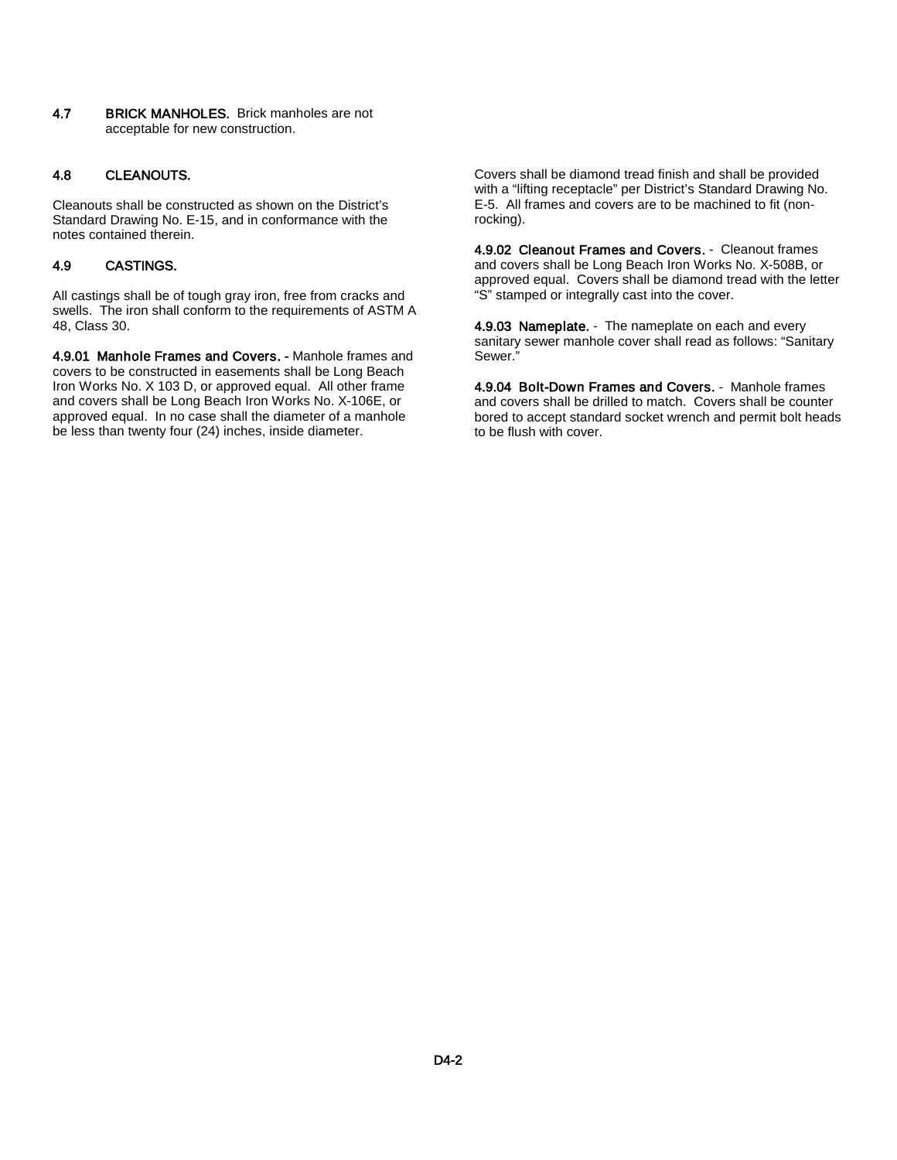4.7 BRICK MANHOLES. Brick manholes are not acceptable for new construction.

#### 4.8 CLEANOUTS.

Cleanouts shall be constructed as shown on the District's Standard Drawing No. E-15, and in conformance with the notes contained therein.

#### 4.9 CASTINGS.

All castings shall be of tough gray iron, free from cracks and swells. The iron shall conform to the requirements of ASTM A 48, Class 30.

4.9.01 Manhole Frames and Covers. - Manhole frames and covers to be constructed in easements shall be Long Beach Iron Works No. X 103 D, or approved equal. All other frame and covers shall be Long Beach Iron Works No. X-106E, or approved equal. In no case shall the diameter of a manhole be less than twenty four (24) inches, inside diameter.

Covers shall be diamond tread finish and shall be provided with a "lifting receptacle" per District's Standard Drawing No. E-5. All frames and covers are to be machined to fit (nonrocking).

4.9.02 Cleanout Frames and Covers. - Cleanout frames and covers shall be Long Beach Iron Works No. X-508B, or approved equal. Covers shall be diamond tread with the letter "S" stamped or integrally cast into the cover.

4.9.03 Nameplate. - The nameplate on each and every sanitary sewer manhole cover shall read as follows: "Sanitary Sewer."

4.9.04 Bolt-Down Frames and Covers. - Manhole frames and covers shall be drilled to match. Covers shall be counter bored to accept standard socket wrench and permit bolt heads to be flush with cover.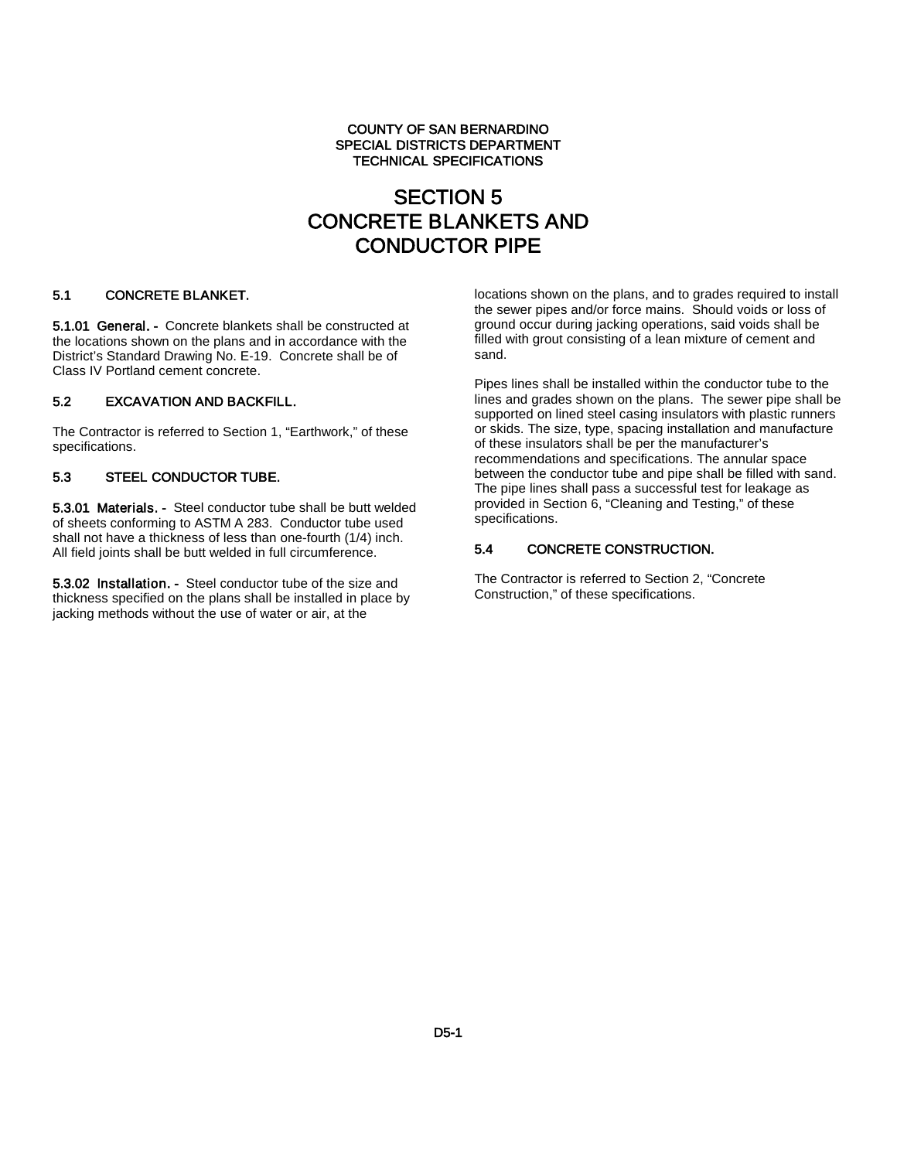#### COUNTY OF SAN BERNARDINO SPECIAL DISTRICTS DEPARTMENT TECHNICAL SPECIFICATIONS

## SECTION 5 CONCRETE BLANKETS AND CONDUCTOR PIPE

#### 5.1 CONCRETE BLANKET.

5.1.01 General. - Concrete blankets shall be constructed at the locations shown on the plans and in accordance with the District's Standard Drawing No. E-19. Concrete shall be of Class IV Portland cement concrete.

#### 5.2 EXCAVATION AND BACKFILL.

The Contractor is referred to Section 1, "Earthwork," of these specifications.

#### 5.3 STEEL CONDUCTOR TUBE.

5.3.01 Materials. - Steel conductor tube shall be butt welded of sheets conforming to ASTM A 283. Conductor tube used shall not have a thickness of less than one-fourth (1/4) inch. All field joints shall be butt welded in full circumference.

5.3.02 Installation. - Steel conductor tube of the size and thickness specified on the plans shall be installed in place by jacking methods without the use of water or air, at the

locations shown on the plans, and to grades required to install the sewer pipes and/or force mains. Should voids or loss of ground occur during jacking operations, said voids shall be filled with grout consisting of a lean mixture of cement and sand.

Pipes lines shall be installed within the conductor tube to the lines and grades shown on the plans. The sewer pipe shall be supported on lined steel casing insulators with plastic runners or skids. The size, type, spacing installation and manufacture of these insulators shall be per the manufacturer's recommendations and specifications. The annular space between the conductor tube and pipe shall be filled with sand. The pipe lines shall pass a successful test for leakage as provided in Section 6, "Cleaning and Testing," of these specifications.

#### 5.4 CONCRETE CONSTRUCTION.

The Contractor is referred to Section 2, "Concrete Construction," of these specifications.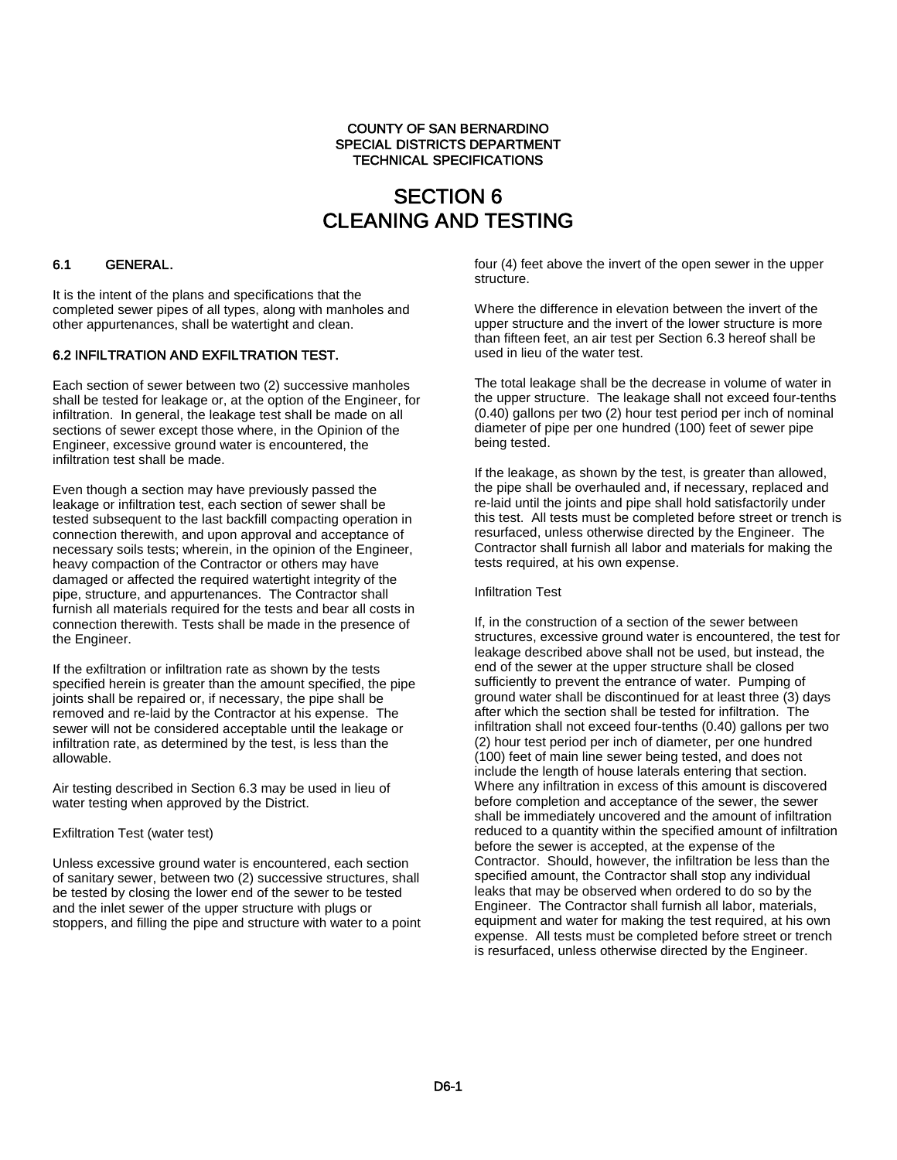#### COUNTY OF SAN BERNARDINO SPECIAL DISTRICTS DEPARTMENT TECHNICAL SPECIFICATIONS

# SECTION 6 CLEANING AND TESTING

# 6.1 GENERAL.

It is the intent of the plans and specifications that the completed sewer pipes of all types, along with manholes and other appurtenances, shall be watertight and clean.

#### 6.2 INFILTRATION AND EXFILTRATION TEST.

Each section of sewer between two (2) successive manholes shall be tested for leakage or, at the option of the Engineer, for infiltration. In general, the leakage test shall be made on all sections of sewer except those where, in the Opinion of the Engineer, excessive ground water is encountered, the infiltration test shall be made.

Even though a section may have previously passed the leakage or infiltration test, each section of sewer shall be tested subsequent to the last backfill compacting operation in connection therewith, and upon approval and acceptance of necessary soils tests; wherein, in the opinion of the Engineer, heavy compaction of the Contractor or others may have damaged or affected the required watertight integrity of the pipe, structure, and appurtenances. The Contractor shall furnish all materials required for the tests and bear all costs in connection therewith. Tests shall be made in the presence of the Engineer.

If the exfiltration or infiltration rate as shown by the tests specified herein is greater than the amount specified, the pipe joints shall be repaired or, if necessary, the pipe shall be removed and re-laid by the Contractor at his expense. The sewer will not be considered acceptable until the leakage or infiltration rate, as determined by the test, is less than the allowable.

Air testing described in Section 6.3 may be used in lieu of water testing when approved by the District.

#### Exfiltration Test (water test)

Unless excessive ground water is encountered, each section of sanitary sewer, between two (2) successive structures, shall be tested by closing the lower end of the sewer to be tested and the inlet sewer of the upper structure with plugs or stoppers, and filling the pipe and structure with water to a point four (4) feet above the invert of the open sewer in the upper structure.

Where the difference in elevation between the invert of the upper structure and the invert of the lower structure is more than fifteen feet, an air test per Section 6.3 hereof shall be used in lieu of the water test.

The total leakage shall be the decrease in volume of water in the upper structure. The leakage shall not exceed four-tenths (0.40) gallons per two (2) hour test period per inch of nominal diameter of pipe per one hundred (100) feet of sewer pipe being tested.

If the leakage, as shown by the test, is greater than allowed, the pipe shall be overhauled and, if necessary, replaced and re-laid until the joints and pipe shall hold satisfactorily under this test. All tests must be completed before street or trench is resurfaced, unless otherwise directed by the Engineer. The Contractor shall furnish all labor and materials for making the tests required, at his own expense.

#### Infiltration Test

If, in the construction of a section of the sewer between structures, excessive ground water is encountered, the test for leakage described above shall not be used, but instead, the end of the sewer at the upper structure shall be closed sufficiently to prevent the entrance of water. Pumping of ground water shall be discontinued for at least three (3) days after which the section shall be tested for infiltration. The infiltration shall not exceed four-tenths (0.40) gallons per two (2) hour test period per inch of diameter, per one hundred (100) feet of main line sewer being tested, and does not include the length of house laterals entering that section. Where any infiltration in excess of this amount is discovered before completion and acceptance of the sewer, the sewer shall be immediately uncovered and the amount of infiltration reduced to a quantity within the specified amount of infiltration before the sewer is accepted, at the expense of the Contractor. Should, however, the infiltration be less than the specified amount, the Contractor shall stop any individual leaks that may be observed when ordered to do so by the Engineer. The Contractor shall furnish all labor, materials, equipment and water for making the test required, at his own expense. All tests must be completed before street or trench is resurfaced, unless otherwise directed by the Engineer.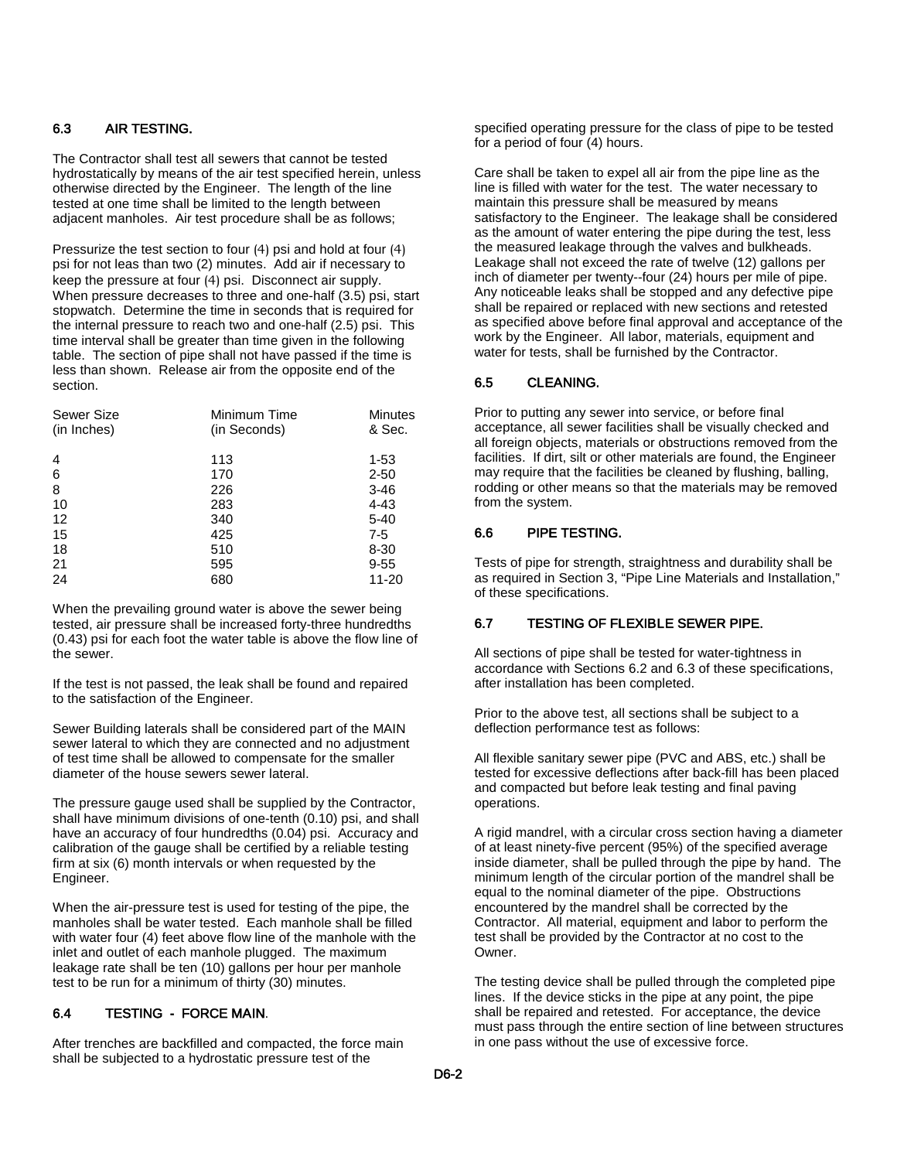#### 6.3 AIR TESTING.

The Contractor shall test all sewers that cannot be tested hydrostatically by means of the air test specified herein, unless otherwise directed by the Engineer. The length of the line tested at one time shall be limited to the length between adjacent manholes. Air test procedure shall be as follows;

Pressurize the test section to four (4) psi and hold at four (4) psi for not leas than two (2) minutes. Add air if necessary to keep the pressure at four (4) psi. Disconnect air supply. When pressure decreases to three and one-half (3.5) psi, start stopwatch. Determine the time in seconds that is required for the internal pressure to reach two and one-half (2.5) psi. This time interval shall be greater than time given in the following table. The section of pipe shall not have passed if the time is less than shown. Release air from the opposite end of the section.

| <b>Sewer Size</b> | Minimum Time | <b>Minutes</b> |
|-------------------|--------------|----------------|
| (in Inches)       | (in Seconds) | & Sec.         |
| 4                 | 113          | $1 - 53$       |
| 6                 | 170          | $2 - 50$       |
| 8                 | 226          | $3 - 46$       |
| 10                | 283          | $4 - 43$       |
| 12                | 340          | $5 - 40$       |
| 15                | 425          | $7-5$          |
| 18                | 510          | 8-30           |
| 21                | 595          | $9 - 55$       |
| 24                | 680          | 11-20          |

When the prevailing ground water is above the sewer being tested, air pressure shall be increased forty-three hundredths (0.43) psi for each foot the water table is above the flow line of the sewer.

If the test is not passed, the leak shall be found and repaired to the satisfaction of the Engineer.

Sewer Building laterals shall be considered part of the MAIN sewer lateral to which they are connected and no adjustment of test time shall be allowed to compensate for the smaller diameter of the house sewers sewer lateral.

The pressure gauge used shall be supplied by the Contractor, shall have minimum divisions of one-tenth (0.10) psi, and shall have an accuracy of four hundredths (0.04) psi. Accuracy and calibration of the gauge shall be certified by a reliable testing firm at six (6) month intervals or when requested by the Engineer.

When the air-pressure test is used for testing of the pipe, the manholes shall be water tested. Each manhole shall be filled with water four (4) feet above flow line of the manhole with the inlet and outlet of each manhole plugged. The maximum leakage rate shall be ten (10) gallons per hour per manhole test to be run for a minimum of thirty (30) minutes.

#### 6.4 TESTING - FORCE MAIN.

After trenches are backfilled and compacted, the force main shall be subjected to a hydrostatic pressure test of the

specified operating pressure for the class of pipe to be tested for a period of four (4) hours.

Care shall be taken to expel all air from the pipe line as the line is filled with water for the test. The water necessary to maintain this pressure shall be measured by means satisfactory to the Engineer. The leakage shall be considered as the amount of water entering the pipe during the test, less the measured leakage through the valves and bulkheads. Leakage shall not exceed the rate of twelve (12) gallons per inch of diameter per twenty--four (24) hours per mile of pipe. Any noticeable leaks shall be stopped and any defective pipe shall be repaired or replaced with new sections and retested as specified above before final approval and acceptance of the work by the Engineer. All labor, materials, equipment and water for tests, shall be furnished by the Contractor.

#### 6.5 CLEANING.

Prior to putting any sewer into service, or before final acceptance, all sewer facilities shall be visually checked and all foreign objects, materials or obstructions removed from the facilities. If dirt, silt or other materials are found, the Engineer may require that the facilities be cleaned by flushing, balling, rodding or other means so that the materials may be removed from the system.

#### 6.6 PIPE TESTING.

Tests of pipe for strength, straightness and durability shall be as required in Section 3, "Pipe Line Materials and Installation," of these specifications.

#### 6.7 TESTING OF FLEXIBLE SEWER PIPE.

All sections of pipe shall be tested for water-tightness in accordance with Sections 6.2 and 6.3 of these specifications, after installation has been completed.

Prior to the above test, all sections shall be subject to a deflection performance test as follows:

All flexible sanitary sewer pipe (PVC and ABS, etc.) shall be tested for excessive deflections after back-fill has been placed and compacted but before leak testing and final paving operations.

A rigid mandrel, with a circular cross section having a diameter of at least ninety-five percent (95%) of the specified average inside diameter, shall be pulled through the pipe by hand. The minimum length of the circular portion of the mandrel shall be equal to the nominal diameter of the pipe. Obstructions encountered by the mandrel shall be corrected by the Contractor. All material, equipment and labor to perform the test shall be provided by the Contractor at no cost to the Owner.

The testing device shall be pulled through the completed pipe lines. If the device sticks in the pipe at any point, the pipe shall be repaired and retested. For acceptance, the device must pass through the entire section of line between structures in one pass without the use of excessive force.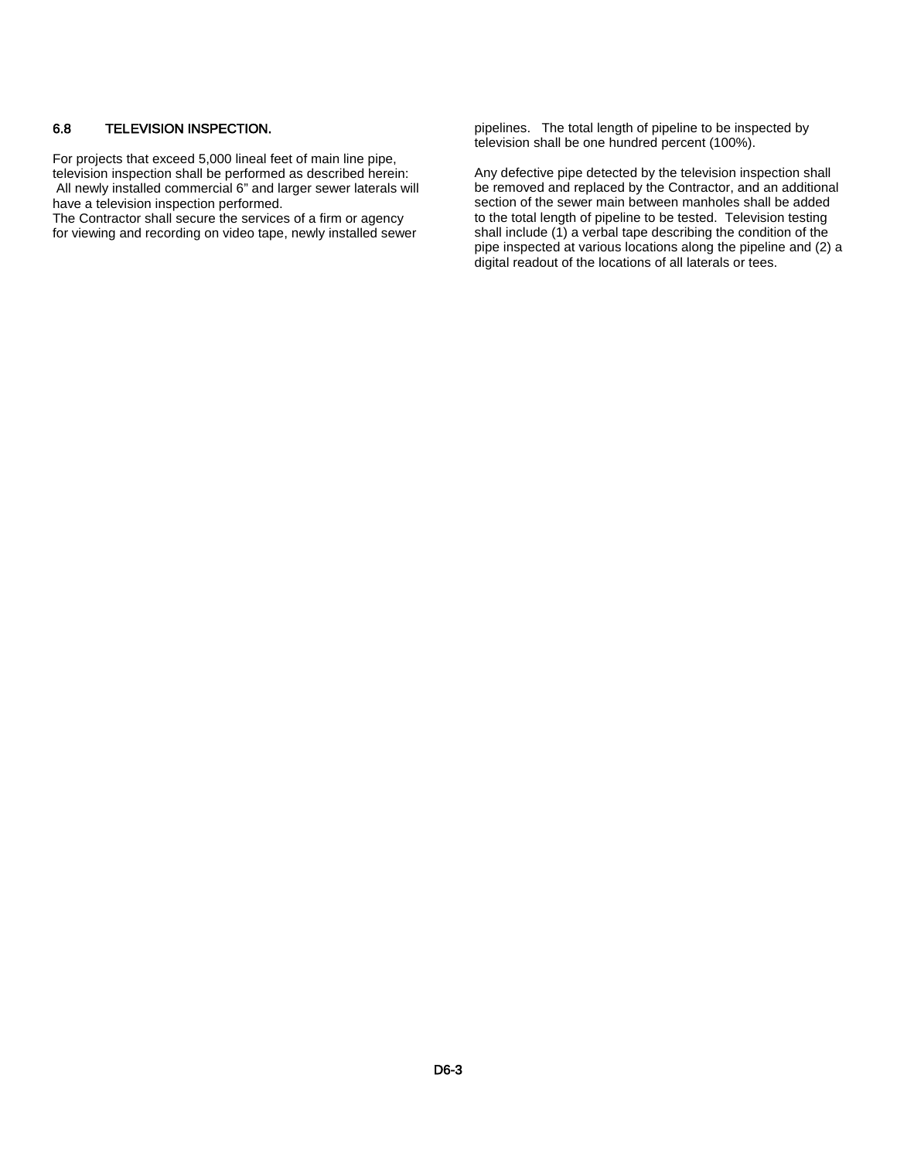#### 6.8 TELEVISION INSPECTION.

For projects that exceed 5,000 lineal feet of main line pipe, television inspection shall be performed as described herein: All newly installed commercial 6" and larger sewer laterals will have a television inspection performed.

The Contractor shall secure the services of a firm or agency for viewing and recording on video tape, newly installed sewer pipelines. The total length of pipeline to be inspected by television shall be one hundred percent (100%).

Any defective pipe detected by the television inspection shall be removed and replaced by the Contractor, and an additional section of the sewer main between manholes shall be added to the total length of pipeline to be tested. Television testing shall include (1) a verbal tape describing the condition of the pipe inspected at various locations along the pipeline and (2) a digital readout of the locations of all laterals or tees.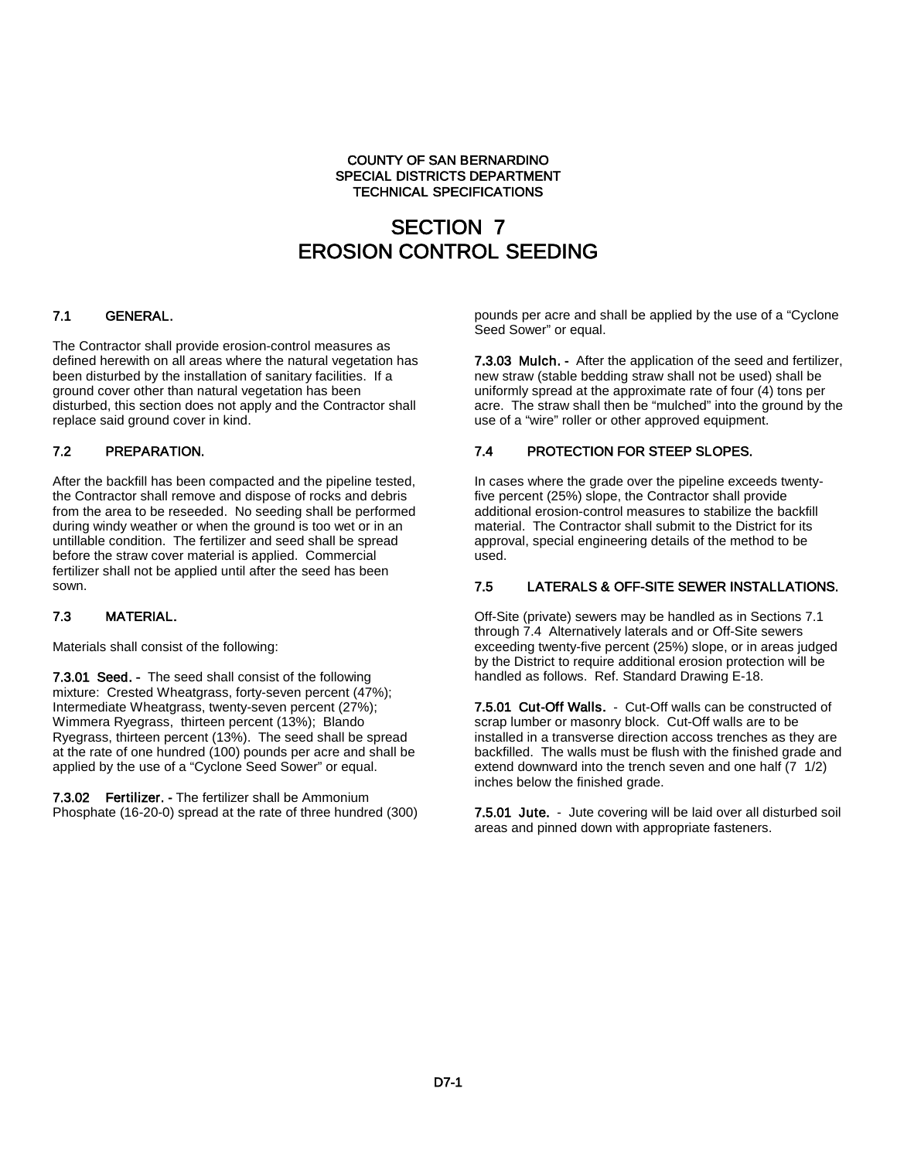#### COUNTY OF SAN BERNARDINO SPECIAL DISTRICTS DEPARTMENT TECHNICAL SPECIFICATIONS

# SECTION 7 EROSION CONTROL SEEDING

#### 7.1 GENERAL.

The Contractor shall provide erosion-control measures as defined herewith on all areas where the natural vegetation has been disturbed by the installation of sanitary facilities. If a ground cover other than natural vegetation has been disturbed, this section does not apply and the Contractor shall replace said ground cover in kind.

#### 7.2 PREPARATION.

After the backfill has been compacted and the pipeline tested, the Contractor shall remove and dispose of rocks and debris from the area to be reseeded. No seeding shall be performed during windy weather or when the ground is too wet or in an untillable condition. The fertilizer and seed shall be spread before the straw cover material is applied. Commercial fertilizer shall not be applied until after the seed has been sown.

#### 7.3 MATERIAL.

Materials shall consist of the following:

7.3.01 Seed. - The seed shall consist of the following mixture: Crested Wheatgrass, forty-seven percent (47%); Intermediate Wheatgrass, twenty-seven percent (27%); Wimmera Ryegrass, thirteen percent (13%); Blando Ryegrass, thirteen percent (13%). The seed shall be spread at the rate of one hundred (100) pounds per acre and shall be applied by the use of a "Cyclone Seed Sower" or equal.

7.3.02 Fertilizer. - The fertilizer shall be Ammonium Phosphate (16-20-0) spread at the rate of three hundred (300) pounds per acre and shall be applied by the use of a "Cyclone Seed Sower" or equal.

7.3.03 Mulch. - After the application of the seed and fertilizer, new straw (stable bedding straw shall not be used) shall be uniformly spread at the approximate rate of four (4) tons per acre. The straw shall then be "mulched" into the ground by the use of a "wire" roller or other approved equipment.

#### 7.4 PROTECTION FOR STEEP SLOPES.

In cases where the grade over the pipeline exceeds twentyfive percent (25%) slope, the Contractor shall provide additional erosion-control measures to stabilize the backfill material. The Contractor shall submit to the District for its approval, special engineering details of the method to be used.

#### 7.5 LATERALS & OFF-SITE SEWER INSTALLATIONS.

Off-Site (private) sewers may be handled as in Sections 7.1 through 7.4 Alternatively laterals and or Off-Site sewers exceeding twenty-five percent (25%) slope, or in areas judged by the District to require additional erosion protection will be handled as follows. Ref. Standard Drawing E-18.

7.5.01 Cut-Off Walls. - Cut-Off walls can be constructed of scrap lumber or masonry block. Cut-Off walls are to be installed in a transverse direction accoss trenches as they are backfilled. The walls must be flush with the finished grade and extend downward into the trench seven and one half (7 1/2) inches below the finished grade.

7.5.01 Jute. - Jute covering will be laid over all disturbed soil areas and pinned down with appropriate fasteners.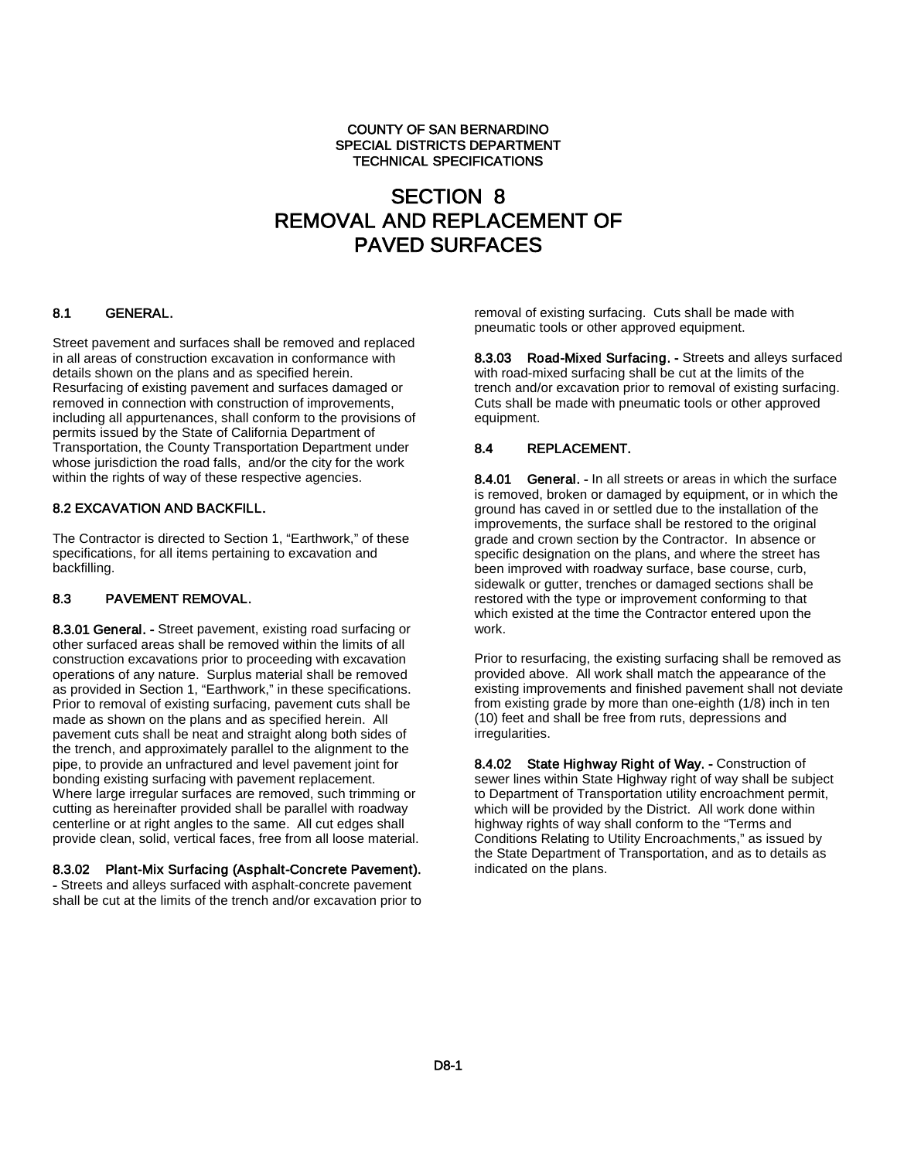#### COUNTY OF SAN BERNARDINO SPECIAL DISTRICTS DEPARTMENT TECHNICAL SPECIFICATIONS

# SECTION 8 REMOVAL AND REPLACEMENT OF PAVED SURFACES

# 8.1 GENERAL.

Street pavement and surfaces shall be removed and replaced in all areas of construction excavation in conformance with details shown on the plans and as specified herein. Resurfacing of existing pavement and surfaces damaged or removed in connection with construction of improvements, including all appurtenances, shall conform to the provisions of permits issued by the State of California Department of Transportation, the County Transportation Department under whose jurisdiction the road falls, and/or the city for the work within the rights of way of these respective agencies.

#### 8.2 EXCAVATION AND BACKFILL.

The Contractor is directed to Section 1, "Earthwork," of these specifications, for all items pertaining to excavation and backfilling.

#### 8.3 PAVEMENT REMOVAL.

8.3.01 General. - Street pavement, existing road surfacing or other surfaced areas shall be removed within the limits of all construction excavations prior to proceeding with excavation operations of any nature. Surplus material shall be removed as provided in Section 1, "Earthwork," in these specifications. Prior to removal of existing surfacing, pavement cuts shall be made as shown on the plans and as specified herein. All pavement cuts shall be neat and straight along both sides of the trench, and approximately parallel to the alignment to the pipe, to provide an unfractured and level pavement joint for bonding existing surfacing with pavement replacement. Where large irregular surfaces are removed, such trimming or cutting as hereinafter provided shall be parallel with roadway centerline or at right angles to the same. All cut edges shall provide clean, solid, vertical faces, free from all loose material.

#### 8.3.02 Plant-Mix Surfacing (Asphalt-Concrete Pavement).

- Streets and alleys surfaced with asphalt-concrete pavement shall be cut at the limits of the trench and/or excavation prior to removal of existing surfacing. Cuts shall be made with pneumatic tools or other approved equipment.

8.3.03 Road-Mixed Surfacing. - Streets and alleys surfaced with road-mixed surfacing shall be cut at the limits of the trench and/or excavation prior to removal of existing surfacing. Cuts shall be made with pneumatic tools or other approved equipment.

#### 8.4 REPLACEMENT.

8.4.01 General. - In all streets or areas in which the surface is removed, broken or damaged by equipment, or in which the ground has caved in or settled due to the installation of the improvements, the surface shall be restored to the original grade and crown section by the Contractor. In absence or specific designation on the plans, and where the street has been improved with roadway surface, base course, curb, sidewalk or gutter, trenches or damaged sections shall be restored with the type or improvement conforming to that which existed at the time the Contractor entered upon the work.

Prior to resurfacing, the existing surfacing shall be removed as provided above. All work shall match the appearance of the existing improvements and finished pavement shall not deviate from existing grade by more than one-eighth (1/8) inch in ten (10) feet and shall be free from ruts, depressions and irregularities.

8.4.02 State Highway Right of Way. - Construction of sewer lines within State Highway right of way shall be subject to Department of Transportation utility encroachment permit, which will be provided by the District. All work done within highway rights of way shall conform to the "Terms and Conditions Relating to Utility Encroachments," as issued by the State Department of Transportation, and as to details as indicated on the plans.